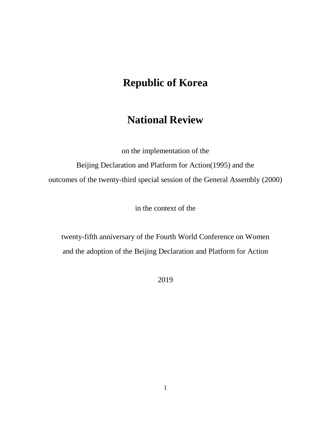# **Republic of Korea**

# **National Review**

on the implementation of the

Beijing Declaration and Platform for Action(1995) and the outcomes of the twenty-third special session of the General Assembly (2000)

in the context of the

twenty-fifth anniversary of the Fourth World Conference on Women and the adoption of the Beijing Declaration and Platform for Action

2019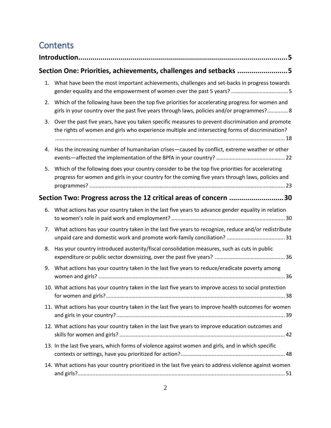# **Contents**

|    | Section One: Priorities, achievements, challenges and setbacks 5                                                                                                                                      |
|----|-------------------------------------------------------------------------------------------------------------------------------------------------------------------------------------------------------|
| 1. | What have been the most important achievements, challenges and set-backs in progress towards                                                                                                          |
| 2. | Which of the following have been the top five priorities for accelerating progress for women and<br>girls in your country over the past five years through laws, policies and/or programmes? 8        |
| 3. | Over the past five years, have you taken specific measures to prevent discrimination and promote<br>the rights of women and girls who experience multiple and intersecting forms of discrimination?   |
| 4. | Has the increasing number of humanitarian crises-caused by conflict, extreme weather or other                                                                                                         |
| 5. | Which of the following does your country consider to be the top five priorities for accelerating<br>progress for women and girls in your country for the coming five years through laws, policies and |
|    | Section Two: Progress across the 12 critical areas of concern 30                                                                                                                                      |
| 6. | What actions has your country taken in the last five years to advance gender equality in relation                                                                                                     |
| 7. | What actions has your country taken in the last five years to recognize, reduce and/or redistribute                                                                                                   |
| 8. | Has your country introduced austerity/fiscal consolidation measures, such as cuts in public                                                                                                           |
| 9. | What actions has your country taken in the last five years to reduce/eradicate poverty among                                                                                                          |
|    | 10. What actions has your country taken in the last five years to improve access to social protection                                                                                                 |
|    | 11. What actions has your country taken in the last five years to improve health outcomes for women                                                                                                   |
|    | 12. What actions has your country taken in the last five years to improve education outcomes and                                                                                                      |
|    | 13. In the last five years, which forms of violence against women and girls, and in which specific                                                                                                    |
|    | 14. What actions has your country prioritized in the last five years to address violence against women                                                                                                |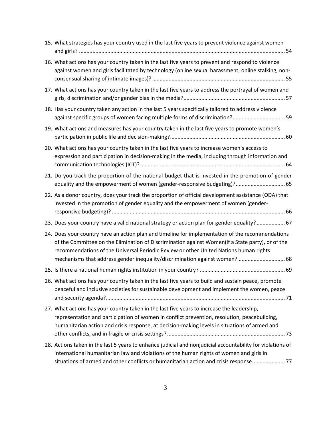| 15. What strategies has your country used in the last five years to prevent violence against women                                                                                                                                                                                                                                                                           |
|------------------------------------------------------------------------------------------------------------------------------------------------------------------------------------------------------------------------------------------------------------------------------------------------------------------------------------------------------------------------------|
| 16. What actions has your country taken in the last five years to prevent and respond to violence<br>against women and girls facilitated by technology (online sexual harassment, online stalking, non-                                                                                                                                                                      |
| 17. What actions has your country taken in the last five years to address the portrayal of women and                                                                                                                                                                                                                                                                         |
| 18. Has your country taken any action in the last 5 years specifically tailored to address violence<br>against specific groups of women facing multiple forms of discrimination? 59                                                                                                                                                                                          |
| 19. What actions and measures has your country taken in the last five years to promote women's                                                                                                                                                                                                                                                                               |
| 20. What actions has your country taken in the last five years to increase women's access to<br>expression and participation in decision-making in the media, including through information and                                                                                                                                                                              |
| 21. Do you track the proportion of the national budget that is invested in the promotion of gender<br>equality and the empowerment of women (gender-responsive budgeting)? 65                                                                                                                                                                                                |
| 22. As a donor country, does your track the proportion of official development assistance (ODA) that<br>invested in the promotion of gender equality and the empowerment of women (gender-                                                                                                                                                                                   |
| 23. Does your country have a valid national strategy or action plan for gender equality?  67                                                                                                                                                                                                                                                                                 |
| 24. Does your country have an action plan and timeline for implementation of the recommendations<br>of the Committee on the Elimination of Discrimination against Women(if a State party), or of the<br>recommendations of the Universal Periodic Review or other United Nations human rights<br>mechanisms that address gender inequality/discrimination against women?  68 |
|                                                                                                                                                                                                                                                                                                                                                                              |
| 26. What actions has your country taken in the last five years to build and sustain peace, promote<br>peaceful and inclusive societies for sustainable development and implement the women, peace                                                                                                                                                                            |
| 27. What actions has your country taken in the last five years to increase the leadership,<br>representation and participation of women in conflict prevention, resolution, peacebuilding,<br>humanitarian action and crisis response, at decision-making levels in situations of armed and                                                                                  |
| 28. Actions taken in the last 5 years to enhance judicial and nonjudicial accountability for violations of<br>international humanitarian law and violations of the human rights of women and girls in<br>situations of armed and other conflicts or humanitarian action and crisis response 77                                                                               |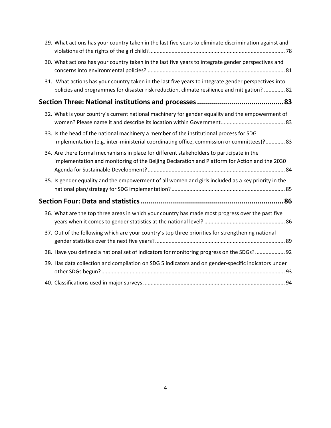|  | 29. What actions has your country taken in the last five years to eliminate discrimination against and                                                                                              |
|--|-----------------------------------------------------------------------------------------------------------------------------------------------------------------------------------------------------|
|  | 30. What actions has your country taken in the last five years to integrate gender perspectives and                                                                                                 |
|  | 31. What actions has your country taken in the last five years to integrate gender perspectives into<br>policies and programmes for disaster risk reduction, climate resilience and mitigation?  82 |
|  |                                                                                                                                                                                                     |
|  | 32. What is your country's current national machinery for gender equality and the empowerment of                                                                                                    |
|  | 33. Is the head of the national machinery a member of the institutional process for SDG<br>implementation (e.g. inter-ministerial coordinating office, commission or committees)? 83                |
|  | 34. Are there formal mechanisms in place for different stakeholders to participate in the<br>implementation and monitoring of the Beijing Declaration and Platform for Action and the 2030          |
|  | 35. Is gender equality and the empowerment of all women and girls included as a key priority in the                                                                                                 |
|  |                                                                                                                                                                                                     |
|  | 36. What are the top three areas in which your country has made most progress over the past five                                                                                                    |
|  | 37. Out of the following which are your country's top three priorities for strengthening national                                                                                                   |
|  | 38. Have you defined a national set of indicators for monitoring progress on the SDGs?  92                                                                                                          |
|  | 39. Has data collection and compilation on SDG 5 indicators and on gender-specific indicators under                                                                                                 |
|  |                                                                                                                                                                                                     |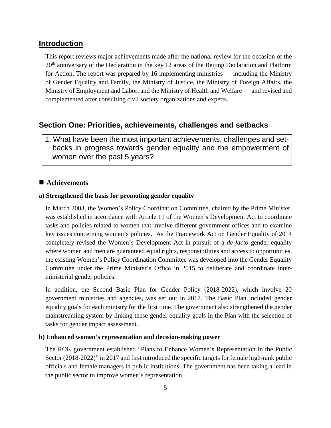# **Introduction**

This report reviews major achievements made after the national review for the occasion of the  $20<sup>th</sup>$  anniversary of the Declaration in the key 12 areas of the Beijing Declaration and Platform for Action. The report was prepared by 16 implementing ministries — including the Ministry of Gender Equality and Family, the Ministry of Justice, the Ministry of Foreign Affairs, the Ministry of Employment and Labor, and the Ministry of Health and Welfare — and revised and complemented after consulting civil society organizations and experts.

# **Section One: Priorities, achievements, challenges and setbacks**

1. What have been the most important achievements, challenges and setbacks in progress towards gender equality and the empowerment of women over the past 5 years?

## ■ Achievements

## **a) Strengthened the basis for promoting gender equality**

In March 2003, the Women's Policy Coordination Committee, chaired by the Prime Minister, was established in accordance with Article 11 of the Women's Development Act to coordinate tasks and policies related to women that involve different government offices and to examine key issues concerning women's policies. As the Framework Act on Gender Equality of 2014 completely revised the Women's Development Act in pursuit of a *de facto* gender equality where women and men are guaranteed equal rights, responsibilities and access to opportunities, the existing Women's Policy Coordination Committee was developed into the Gender Equality Committee under the Prime Minister's Office in 2015 to deliberate and coordinate interministerial gender policies.

In addition, the Second Basic Plan for Gender Policy (2018-2022), which involve 20 government ministries and agencies, was set out in 2017. The Basic Plan included gender equality goals for each ministry for the first time. The government also strengthened the gender mainstreaming system by linking these gender equality goals in the Plan with the selection of tasks for gender impact assessment.

### **b) Enhanced women's representation and decision-making power**

The ROK government established "Plans to Enhance Women's Representation in the Public Sector (2018-2022)" in 2017 and first introduced the specific targets for female high-rank public officials and female managers in public institutions. The government has been taking a lead in the public sector to improve women's representation.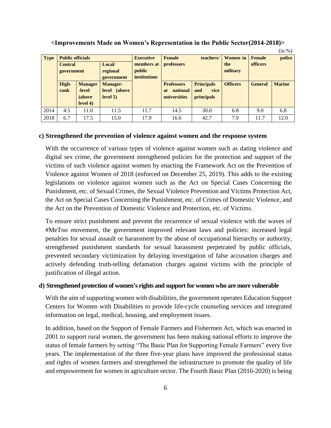|             |                          |                |                 |                     |                       |                   |                 |                 | (III 70 J     |
|-------------|--------------------------|----------------|-----------------|---------------------|-----------------------|-------------------|-----------------|-----------------|---------------|
| <b>Type</b> | <b>Public officials</b>  |                |                 | <b>Executive</b>    | <b>Female</b>         | teachers/         | <b>Women</b> in | <b>Female</b>   | police        |
|             | Local/<br><b>Central</b> |                |                 | members at          | <b>professors</b>     |                   | the             | <i>officers</i> |               |
|             | government               |                | regional        | public              |                       |                   | military        |                 |               |
|             |                          |                | government      | <i>institutions</i> |                       |                   |                 |                 |               |
|             | High-                    | <b>Manager</b> | <b>Manager-</b> |                     | <b>Professors</b>     | <b>Principals</b> | <b>Officers</b> | <b>General</b>  | <b>Marine</b> |
|             | rank                     | -level         | level (above    |                     | national<br><b>at</b> | vice<br>and       |                 |                 |               |
|             |                          | (above         | level 5)        |                     | universities          | <i>principals</i> |                 |                 |               |
|             |                          | level 4)       |                 |                     |                       |                   |                 |                 |               |
| 2014        | 4.5                      | 11.0           | 11.5            | 11.7                | 14.5                  | 30.0              | 6.8             | 9.0             | 6.8           |
| 2018        | 6.7                      | 17.5           | 15.0            | 17.9                | 16.6                  | 42.7              | 7.9             | 11.7            | 12.0          |

#### **<Improvements Made on Women's Representation in the Public Sector(2014-2018)>**

 $(i_{\alpha}, \alpha')$ 

#### **c) Strengthened the prevention of violence against women and the response system**

With the occurrence of various types of violence against women such as dating violence and digital sex crime, the government strengthened policies for the protection and support of the victims of such violence against women by enacting the Framework Act on the Prevention of Violence against Women of 2018 (enforced on December 25, 2019). This adds to the existing legislations on violence against women such as the Act on Special Cases Concerning the Punishment, etc. of Sexual Crimes, the Sexual Violence Prevention and Victims Protection Act, the Act on Special Cases Concerning the Punishment, etc. of Crimes of Domestic Violence, and the Act on the Prevention of Domestic Violence and Protection, etc. of Victims.

To ensure strict punishment and prevent the recurrence of sexual violence with the waves of #MeToo movement, the government improved relevant laws and policies: increased legal penalties for sexual assault or harassment by the abuse of occupational hierarchy or authority, strengthened punishment standards for sexual harassment perpetrated by public officials, prevented secondary victimization by delaying investigation of false accusation charges and actively defending truth-telling defamation charges against victims with the principle of justification of illegal action.

#### **d) Strengthened protection of women's rights and support for women who are more vulnerable**

With the aim of supporting women with disabilities, the government operates Education Support Centers for Women with Disabilities to provide life-cycle counseling services and integrated information on legal, medical, housing, and employment issues.

In addition, based on the Support of Female Farmers and Fishermen Act, which was enacted in 2001 to support rural women, the government has been making national efforts to improve the status of female farmers by setting "The Basic Plan for Supporting Female Farmers" every five years. The implementation of the three five-year plans have improved the professional status and rights of women farmers and strengthened the infrastructure to promote the quality of life and empowerment for women in agriculture sector. The Fourth Basic Plan (2016-2020) is being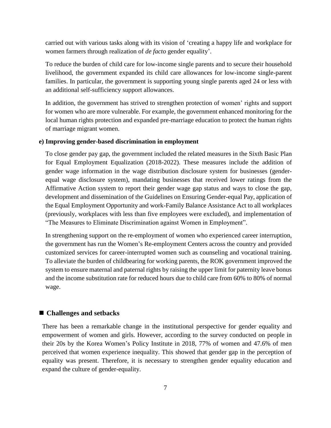carried out with various tasks along with its vision of 'creating a happy life and workplace for women farmers through realization of *de facto* gender equality'.

To reduce the burden of child care for low-income single parents and to secure their household livelihood, the government expanded its child care allowances for low-income single-parent families. In particular, the government is supporting young single parents aged 24 or less with an additional self-sufficiency support allowances.

In addition, the government has strived to strengthen protection of women' rights and support for women who are more vulnerable. For example, the government enhanced monitoring for the local human rights protection and expanded pre-marriage education to protect the human rights of marriage migrant women.

## **e) Improving gender-based discrimination in employment**

To close gender pay gap, the government included the related measures in the Sixth Basic Plan for Equal Employment Equalization (2018-2022). These measures include the addition of gender wage information in the wage distribution disclosure system for businesses (genderequal wage disclosure system), mandating businesses that received lower ratings from the Affirmative Action system to report their gender wage gap status and ways to close the gap, development and dissemination of the Guidelines on Ensuring Gender-equal Pay, application of the Equal Employment Opportunity and work-Family Balance Assistance Act to all workplaces (previously, workplaces with less than five employees were excluded), and implementation of "The Measures to Eliminate Discrimination against Women in Employment".

In strengthening support on the re-employment of women who experienced career interruption, the government has run the Women's Re-employment Centers across the country and provided customized services for career-interrupted women such as counseling and vocational training. To alleviate the burden of childbearing for working parents, the ROK government improved the system to ensure maternal and paternal rights by raising the upper limit for paternity leave bonus and the income substitution rate for reduced hours due to child care from 60% to 80% of normal wage.

## ■ **Challenges and setbacks**

There has been a remarkable change in the institutional perspective for gender equality and empowerment of women and girls. However, according to the survey conducted on people in their 20s by the Korea Women's Policy Institute in 2018, 77% of women and 47.6% of men perceived that women experience inequality. This showed that gender gap in the perception of equality was present. Therefore, it is necessary to strengthen gender equality education and expand the culture of gender-equality.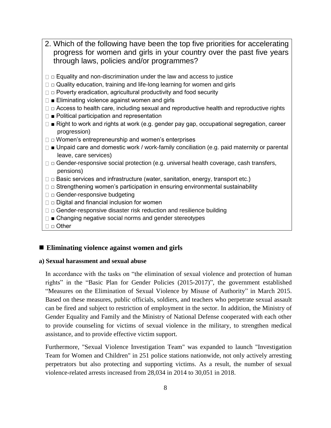- 2. Which of the following have been the top five priorities for accelerating progress for women and girls in your country over the past five years through laws, policies and/or programmes?
- $\Box$   $\Box$  Equality and non-discrimination under the law and access to justice
- $\Box$   $\Box$  Quality education, training and life-long learning for women and girls
- $\Box$   $\Box$  Poverty eradication, agricultural productivity and food security
- $\square$   $\blacksquare$  Eliminating violence against women and girls
- $\square$   $\square$  Access to health care, including sexual and reproductive health and reproductive rights
- $\Box$  Political participation and representation
- □ Right to work and rights at work (e.g. gender pay gap, occupational segregation, career progression)
- $\square$   $\square$  Women's entrepreneurship and women's enterprises
- $\square$   $\blacksquare$  Unpaid care and domestic work / work-family conciliation (e.g. paid maternity or parental leave, care services)
- $\square$   $\square$  Gender-responsive social protection (e.g. universal health coverage, cash transfers, pensions)
- $\square$   $\square$  Basic services and infrastructure (water, sanitation, energy, transport etc.)
- $\square$   $\square$  Strengthening women's participation in ensuring environmental sustainability
- □ □ Gender-responsive budgeting
- $\Box$   $\Box$  Digital and financial inclusion for women
- $\Box$   $\Box$  Gender-responsive disaster risk reduction and resilience building
- $\Box$   $\blacksquare$  Changing negative social norms and gender stereotypes
- □ □ Other

## ■ Eliminating violence against women and girls

## **a) Sexual harassment and sexual abuse**

In accordance with the tasks on "the elimination of sexual violence and protection of human rights" in the "Basic Plan for Gender Policies (2015-2017)", the government established "Measures on the Elimination of Sexual Violence by Misuse of Authority" in March 2015. Based on these measures, public officials, soldiers, and teachers who perpetrate sexual assault can be fired and subject to restriction of employment in the sector. In addition, the Ministry of Gender Equality and Family and the Ministry of National Defense cooperated with each other to provide counseling for victims of sexual violence in the military, to strengthen medical assistance, and to provide effective victim support.

Furthermore, "Sexual Violence Investigation Team" was expanded to launch "Investigation Team for Women and Children" in 251 police stations nationwide, not only actively arresting perpetrators but also protecting and supporting victims. As a result, the number of sexual violence-related arrests increased from 28,034 in 2014 to 30,051 in 2018.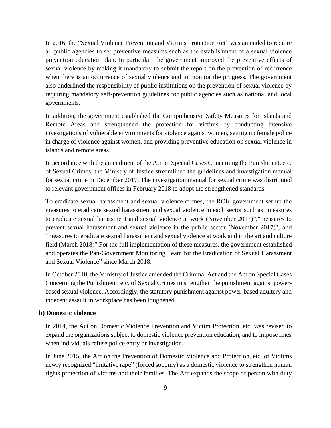In 2016, the "Sexual Violence Prevention and Victims Protection Act" was amended to require all public agencies to set preventive measures such as the establishment of a sexual violence prevention education plan. In particular, the government improved the preventive effects of sexual violence by making it mandatory to submit the report on the prevention of recurrence when there is an occurrence of sexual violence and to monitor the progress. The government also underlined the responsibility of public institutions on the prevention of sexual violence by requiring mandatory self-prevention guidelines for public agencies such as national and local governments.

In addition, the government established the Comprehensive Safety Measures for Islands and Remote Areas and strengthened the protection for victims by conducting intensive investigations of vulnerable environments for violence against women, setting up female police in charge of violence against women, and providing preventive education on sexual violence in islands and remote areas.

In accordance with the amendment of the Act on Special Cases Concerning the Punishment, etc. of Sexual Crimes, the Ministry of Justice streamlined the guidelines and investigation manual for sexual crime in December 2017. The investigation manual for sexual crime was distributed to relevant government offices in February 2018 to adopt the strengthened standards.

To eradicate sexual harassment and sexual violence crimes, the ROK government set up the measures to eradicate sexual harassment and sexual violence in each sector such as "measures to eradicate sexual harassment and sexual violence at work (November 2017)","measures to prevent sexual harassment and sexual violence in the public sector (November 2017)", and "measures to eradicate sexual harassment and sexual violence at work and in the art and culture field (March 2018)".For the full implementation of these measures, the government established and operates the Pan-Government Monitoring Team for the Eradication of Sexual Harassment and Sexual Violence" since March 2018.

In October 2018, the Ministry of Justice amended the Criminal Act and the Act on Special Cases Concerning the Punishment, etc. of Sexual Crimes to strengthen the punishment against powerbased sexual violence. Accordingly, the statutory punishment against power-based adultery and indecent assault in workplace has been toughened.

## **b) Domestic violence**

In 2014, the Act on Domestic Violence Prevention and Victim Protection, etc. was revised to expand the organizations subject to domestic violence prevention education, and to impose fines when individuals refuse police entry or investigation.

In June 2015, the Act on the Prevention of Domestic Violence and Protection, etc. of Victims newly recognized "imitative rape" (forced sodomy) as a domestic violence to strengthen human rights protection of victims and their families. The Act expands the scope of person with duty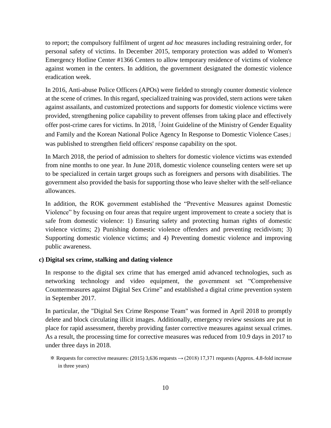to report; the compulsory fulfilment of urgent *ad hoc* measures including restraining order, for personal safety of victims. In December 2015, temporary protection was added to Women's Emergency Hotline Center #1366 Centers to allow temporary residence of victims of violence against women in the centers. In addition, the government designated the domestic violence eradication week.

In 2016, Anti-abuse Police Officers (APOs) were fielded to strongly counter domestic violence at the scene of crimes. In this regard, specialized training was provided, stern actions were taken against assailants, and customized protections and supports for domestic violence victims were provided, strengthening police capability to prevent offenses from taking place and effectively offer post-crime cares for victims. In 2018, 「Joint Guideline of the Ministry of Gender Equality and Family and the Korean National Police Agency In Response to Domestic Violence Cases」 was published to strengthen field officers' response capability on the spot.

In March 2018, the period of admission to shelters for domestic violence victims was extended from nine months to one year. In June 2018, domestic violence counseling centers were set up to be specialized in certain target groups such as foreigners and persons with disabilities. The government also provided the basis for supporting those who leave shelter with the self-reliance allowances.

In addition, the ROK government established the "Preventive Measures against Domestic Violence" by focusing on four areas that require urgent improvement to create a society that is safe from domestic violence: 1) Ensuring safety and protecting human rights of domestic violence victims; 2) Punishing domestic violence offenders and preventing recidivism; 3) Supporting domestic violence victims; and 4) Preventing domestic violence and improving public awareness.

#### **c) Digital sex crime, stalking and dating violence**

In response to the digital sex crime that has emerged amid advanced technologies, such as networking technology and video equipment, the government set "Comprehensive Countermeasures against Digital Sex Crime" and established a digital crime prevention system in September 2017.

In particular, the "Digital Sex Crime Response Team" was formed in April 2018 to promptly delete and block circulating illicit images. Additionally, emergency review sessions are put in place for rapid assessment, thereby providing faster corrective measures against sexual crimes. As a result, the processing time for corrective measures was reduced from 10.9 days in 2017 to under three days in 2018.

<sup>※</sup> Requests for corrective measures: (2015) 3,636 requests → (2018) 17,371 requests (Approx. 4.8-fold increase in three years)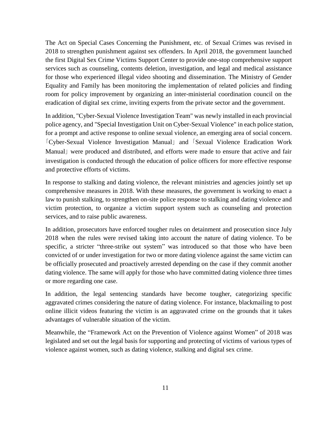The Act on Special Cases Concerning the Punishment, etc. of Sexual Crimes was revised in 2018 to strengthen punishment against sex offenders. In April 2018, the government launched the first Digital Sex Crime Victims Support Center to provide one-stop comprehensive support services such as counseling, contents deletion, investigation, and legal and medical assistance for those who experienced illegal video shooting and dissemination. The Ministry of Gender Equality and Family has been monitoring the implementation of related policies and finding room for policy improvement by organizing an inter-ministerial coordination council on the eradication of digital sex crime, inviting experts from the private sector and the government.

In addition, "Cyber-Sexual Violence Investigation Team" was newly installed in each provincial police agency, and "Special Investigation Unit on Cyber-Sexual Violence" in each police station, for a prompt and active response to online sexual violence, an emerging area of social concern. 「Cyber-Sexual Violence Investigation Manual」 and 「Sexual Violence Eradication Work Manual」 were produced and distributed, and efforts were made to ensure that active and fair investigation is conducted through the education of police officers for more effective response and protective efforts of victims.

In response to stalking and dating violence, the relevant ministries and agencies jointly set up comprehensive measures in 2018. With these measures, the government is working to enact a law to punish stalking, to strengthen on-site police response to stalking and dating violence and victim protection, to organize a victim support system such as counseling and protection services, and to raise public awareness.

In addition, prosecutors have enforced tougher rules on detainment and prosecution since July 2018 when the rules were revised taking into account the nature of dating violence. To be specific, a stricter "three-strike out system" was introduced so that those who have been convicted of or under investigation for two or more dating violence against the same victim can be officially prosecuted and proactively arrested depending on the case if they commit another dating violence. The same will apply for those who have committed dating violence three times or more regarding one case.

In addition, the legal sentencing standards have become tougher, categorizing specific aggravated crimes considering the nature of dating violence. For instance, blackmailing to post online illicit videos featuring the victim is an aggravated crime on the grounds that it takes advantages of vulnerable situation of the victim.

Meanwhile, the "Framework Act on the Prevention of Violence against Women" of 2018 was legislated and set out the legal basis for supporting and protecting of victims of various types of violence against women, such as dating violence, stalking and digital sex crime.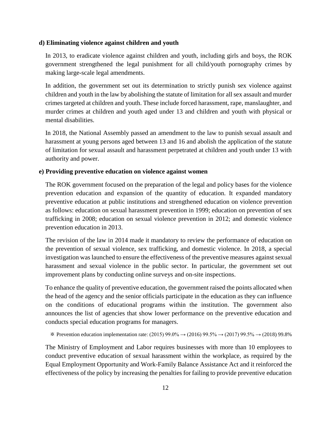#### **d) Eliminating violence against children and youth**

In 2013, to eradicate violence against children and youth, including girls and boys, the ROK government strengthened the legal punishment for all child/youth pornography crimes by making large-scale legal amendments.

In addition, the government set out its determination to strictly punish sex violence against children and youth in the law by abolishing the statute of limitation for all sex assault and murder crimes targeted at children and youth. These include forced harassment, rape, manslaughter, and murder crimes at children and youth aged under 13 and children and youth with physical or mental disabilities.

In 2018, the National Assembly passed an amendment to the law to punish sexual assault and harassment at young persons aged between 13 and 16 and abolish the application of the statute of limitation for sexual assault and harassment perpetrated at children and youth under 13 with authority and power.

#### **e) Providing preventive education on violence against women**

The ROK government focused on the preparation of the legal and policy bases for the violence prevention education and expansion of the quantity of education. It expanded mandatory preventive education at public institutions and strengthened education on violence prevention as follows: education on sexual harassment prevention in 1999; education on prevention of sex trafficking in 2008; education on sexual violence prevention in 2012; and domestic violence prevention education in 2013.

The revision of the law in 2014 made it mandatory to review the performance of education on the prevention of sexual violence, sex trafficking, and domestic violence. In 2018, a special investigation was launched to ensure the effectiveness of the preventive measures against sexual harassment and sexual violence in the public sector. In particular, the government set out improvement plans by conducting online surveys and on-site inspections.

To enhance the quality of preventive education, the government raised the points allocated when the head of the agency and the senior officials participate in the education as they can influence on the conditions of educational programs within the institution. The government also announces the list of agencies that show lower performance on the preventive education and conducts special education programs for managers.

```
※ Prevention education implementation rate: (2015) 99.0% → (2016) 99.5% → (2017) 99.5% → (2018) 99.8%
```
The Ministry of Employment and Labor requires businesses with more than 10 employees to conduct preventive education of sexual harassment within the workplace, as required by the Equal Employment Opportunity and Work-Family Balance Assistance Act and it reinforced the effectiveness of the policy by increasing the penalties for failing to provide preventive education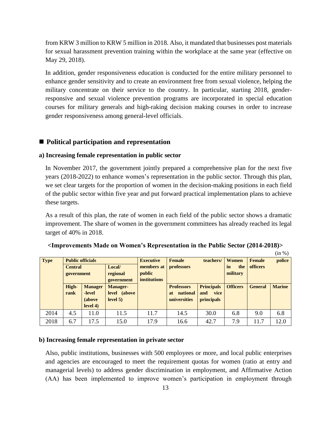from KRW 3 million to KRW 5 million in 2018. Also, it mandated that businesses post materials for sexual harassment prevention training within the workplace at the same year (effective on May 29, 2018).

In addition, gender responsiveness education is conducted for the entire military personnel to enhance gender sensitivity and to create an environment free from sexual violence, helping the military concentrate on their service to the country. In particular, starting 2018, genderresponsive and sexual violence prevention programs are incorporated in special education courses for military generals and high-raking decision making courses in order to increase gender responsiveness among general-level officials.

#### ■ **Political participation and representation**

#### **a) Increasing female representation in public sector**

In November 2017, the government jointly prepared a comprehensive plan for the next five years (2018-2022) to enhance women's representation in the public sector. Through this plan, we set clear targets for the proportion of women in the decision-making positions in each field of the public sector within five year and put forward practical implementation plans to achieve these targets.

As a result of this plan, the rate of women in each field of the public sector shows a dramatic improvement. The share of women in the government committees has already reached its legal target of 40% in 2018.

| <b>Type</b> |                | <b>Public officials</b> |                 |                     | <b>Female</b>         | teachers/         | Women           | <b>Female</b>   | police        |
|-------------|----------------|-------------------------|-----------------|---------------------|-----------------------|-------------------|-----------------|-----------------|---------------|
|             | <b>Central</b> |                         | Local/          | members at          | professors            |                   | in<br>the       | <b>officers</b> |               |
|             | government     |                         | regional        | public              |                       |                   | military        |                 |               |
|             |                |                         | government      | <i>institutions</i> |                       |                   |                 |                 |               |
|             | High-          | <b>Manager</b>          | <b>Manager-</b> |                     | <b>Professors</b>     | <b>Principals</b> | <b>Officers</b> | <b>General</b>  | <b>Marine</b> |
|             | rank           | -level                  | level (above    |                     | national<br><b>at</b> | vice<br>and       |                 |                 |               |
|             |                | (above                  | level 5)        |                     | universities          | <i>principals</i> |                 |                 |               |
|             |                | level 4)                |                 |                     |                       |                   |                 |                 |               |
| 2014        | 4.5            | 11.0                    | 11.5            | 11.7                | 14.5                  | 30.0              | 6.8             | 9.0             | 6.8           |
| 2018        | 6.7            | 17.5                    | 15.0            | 17.9                | 16.6                  | 42.7              | 7.9             | 11.7            | 12.0          |

#### **<Improvements Made on Women's Representation in the Public Sector (2014-2018)>**

 $(in %)$ 

#### **b) Increasing female representation in private sector**

Also, public institutions, businesses with 500 employees or more, and local public enterprises and agencies are encouraged to meet the requirement quotas for women (ratio at entry and managerial levels) to address gender discrimination in employment, and Affirmative Action (AA) has been implemented to improve women's participation in employment through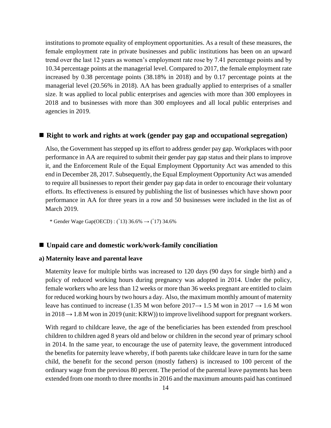institutions to promote equality of employment opportunities. As a result of these measures, the female employment rate in private businesses and public institutions has been on an upward trend over the last 12 years as women's employment rate rose by 7.41 percentage points and by 10.34 percentage points at the managerial level. Compared to 2017, the female employment rate increased by 0.38 percentage points (38.18% in 2018) and by 0.17 percentage points at the managerial level (20.56% in 2018). AA has been gradually applied to enterprises of a smaller size. It was applied to local public enterprises and agencies with more than 300 employees in 2018 and to businesses with more than 300 employees and all local public enterprises and agencies in 2019.

#### ■ **Right to work and rights at work** (gender pay gap and occupational segregation)

Also, the Government has stepped up its effort to address gender pay gap. Workplaces with poor performance in AA are required to submit their gender pay gap status and their plans to improve it, and the Enforcement Rule of the Equal Employment Opportunity Act was amended to this end in December 28, 2017. Subsequently, the Equal Employment Opportunity Act was amended to require all businesses to report their gender pay gap data in order to encourage their voluntary efforts. Its effectiveness is ensured by publishing the list of businesses which have shown poor performance in AA for three years in a row and 50 businesses were included in the list as of March 2019.

\* Gender Wage Gap(OECD) : ('13) 36.6%  $\rightarrow$  ('17) 34.6%

## ■ Unpaid care and domestic work/work-family conciliation

#### **a) Maternity leave and parental leave**

Maternity leave for multiple births was increased to 120 days (90 days for single birth) and a policy of reduced working hours during pregnancy was adopted in 2014. Under the policy, female workers who are less than 12 weeks or more than 36 weeks pregnant are entitled to claim for reduced working hours by two hours a day. Also, the maximum monthly amount of maternity leave has continued to increase (1.35 M won before  $2017 \rightarrow 1.5$  M won in  $2017 \rightarrow 1.6$  M won in 2018  $\rightarrow$  1.8 M won in 2019 (unit: KRW)) to improve livelihood support for pregnant workers.

With regard to childcare leave, the age of the beneficiaries has been extended from preschool children to children aged 8 years old and below or children in the second year of primary school in 2014. In the same year, to encourage the use of paternity leave, the government introduced the benefits for paternity leave whereby, if both parents take childcare leave in turn for the same child, the benefit for the second person (mostly fathers) is increased to 100 percent of the ordinary wage from the previous 80 percent. The period of the parental leave payments has been extended from one month to three months in 2016 and the maximum amounts paid has continued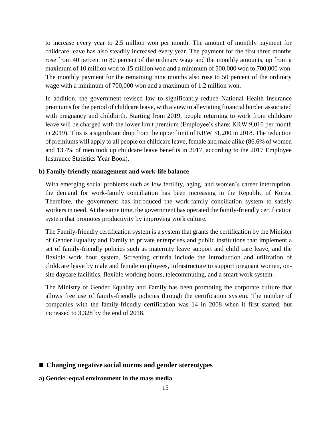to increase every year to 2.5 million won per month. The amount of monthly payment for childcare leave has also steadily increased every year. The payment for the first three months rose from 40 percent to 80 percent of the ordinary wage and the monthly amounts, up from a maximum of 10 million won to 15 million won and a minimum of 500,000 won to 700,000 won. The monthly payment for the remaining nine months also rose to 50 percent of the ordinary wage with a minimum of 700,000 won and a maximum of 1.2 million won.

In addition, the government revised law to significantly reduce National Health Insurance premiums for the period of childcare leave, with a view to alleviating financial burden associated with pregnancy and childbirth. Starting from 2019, people returning to work from childcare leave will be charged with the lower limit premium (Employee's share: KRW 9,010 per month in 2019). This is a significant drop from the upper limit of KRW 31,200 in 2018. The reduction of premiums will apply to all people on childcare leave, female and male alike (86.6% of women and 13.4% of men took up childcare leave benefits in 2017, according to the 2017 Employee Insurance Statistics Year Book).

#### **b) Family-friendly management and work-life balance**

With emerging social problems such as low fertility, aging, and women's career interruption, the demand for work-family conciliation has been increasing in the Republic of Korea. Therefore, the government has introduced the work-family conciliation system to satisfy workers in need. At the same time, the government has operated the family-friendly certification system that promotes productivity by improving work culture.

The Family-friendly certification system is a system that grants the certification by the Minister of Gender Equality and Family to private enterprises and public institutions that implement a set of family-friendly policies such as maternity leave support and child care leave, and the flexible work hour system. Screening criteria include the introduction and utilization of childcare leave by male and female employees, infrastructure to support pregnant women, onsite daycare facilities, flexible working hours, telecommuting, and a smart work system.

The Ministry of Gender Equality and Family has been promoting the corporate culture that allows free use of family-friendly policies through the certification system. The number of companies with the family-friendly certification was 14 in 2008 when it first started, but increased to 3,328 by the end of 2018.

- Changing negative social norms and gender stereotypes
- **a) Gender-equal environment in the mass media**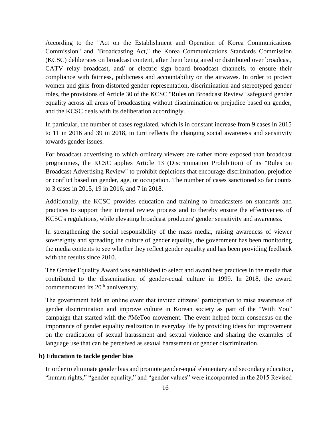According to the "Act on the Establishment and Operation of Korea Communications Commission" and "Broadcasting Act," the Korea Communications Standards Commission (KCSC) deliberates on broadcast content, after them being aired or distributed over broadcast, CATV relay broadcast, and/ or electric sign board broadcast channels, to ensure their compliance with fairness, publicness and accountability on the airwaves. In order to protect women and girls from distorted gender representation, discrimination and stereotyped gender roles, the provisions of Article 30 of the KCSC "Rules on Broadcast Review" safeguard gender equality across all areas of broadcasting without discrimination or prejudice based on gender, and the KCSC deals with its deliberation accordingly.

In particular, the number of cases regulated, which is in constant increase from 9 cases in 2015 to 11 in 2016 and 39 in 2018, in turn reflects the changing social awareness and sensitivity towards gender issues.

For broadcast advertising to which ordinary viewers are rather more exposed than broadcast programmes, the KCSC applies Article 13 (Discrimination Prohibition) of its "Rules on Broadcast Advertising Review" to prohibit depictions that encourage discrimination, prejudice or conflict based on gender, age, or occupation. The number of cases sanctioned so far counts to 3 cases in 2015, 19 in 2016, and 7 in 2018.

Additionally, the KCSC provides education and training to broadcasters on standards and practices to support their internal review process and to thereby ensure the effectiveness of KCSC's regulations, while elevating broadcast producers' gender sensitivity and awareness.

In strengthening the social responsibility of the mass media, raising awareness of viewer sovereignty and spreading the culture of gender equality, the government has been monitoring the media contents to see whether they reflect gender equality and has been providing feedback with the results since 2010.

The Gender Equality Award was established to select and award best practices in the media that contributed to the dissemination of gender-equal culture in 1999. In 2018, the award commemorated its 20<sup>th</sup> anniversary.

The government held an online event that invited citizens' participation to raise awareness of gender discrimination and improve culture in Korean society as part of the "With You" campaign that started with the #MeToo movement. The event helped form consensus on the importance of gender equality realization in everyday life by providing ideas for improvement on the eradication of sexual harassment and sexual violence and sharing the examples of language use that can be perceived as sexual harassment or gender discrimination.

#### **b) Education to tackle gender bias**

In order to eliminate gender bias and promote gender-equal elementary and secondary education, "human rights," "gender equality," and "gender values" were incorporated in the 2015 Revised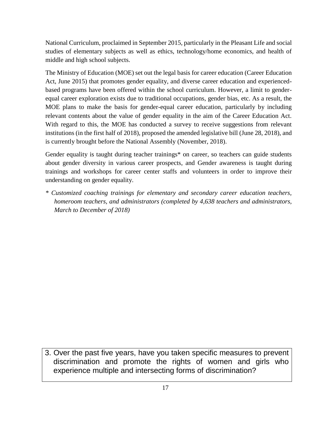National Curriculum, proclaimed in September 2015, particularly in the Pleasant Life and social studies of elementary subjects as well as ethics, technology/home economics, and health of middle and high school subjects.

The Ministry of Education (MOE) set out the legal basis for career education (Career Education Act, June 2015) that promotes gender equality, and diverse career education and experiencedbased programs have been offered within the school curriculum. However, a limit to genderequal career exploration exists due to traditional occupations, gender bias, etc. As a result, the MOE plans to make the basis for gender-equal career education, particularly by including relevant contents about the value of gender equality in the aim of the Career Education Act. With regard to this, the MOE has conducted a survey to receive suggestions from relevant institutions (in the first half of 2018), proposed the amended legislative bill (June 28, 2018), and is currently brought before the National Assembly (November, 2018).

Gender equality is taught during teacher trainings<sup>\*</sup> on career, so teachers can guide students about gender diversity in various career prospects, and Gender awareness is taught during trainings and workshops for career center staffs and volunteers in order to improve their understanding on gender equality.

*\* Customized coaching trainings for elementary and secondary career education teachers, homeroom teachers, and administrators (completed by 4,638 teachers and administrators, March to December of 2018)*

3. Over the past five years, have you taken specific measures to prevent discrimination and promote the rights of women and girls who experience multiple and intersecting forms of discrimination?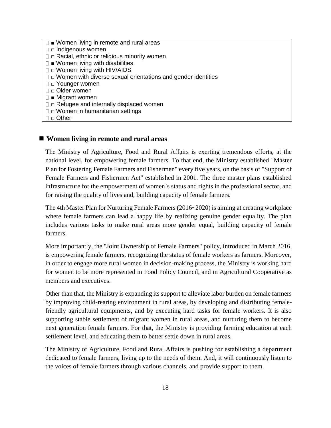$\square$   $\blacksquare$  Women living in remote and rural areas □ □ Indigenous women  $\square$   $\square$  Racial, ethnic or religious minority women  $\square$   $\blacksquare$  Women living with disabilities  $\square$   $\square$  Women living with HIV/AIDS  $\square$   $\square$  Women with diverse sexual orientations and gender identities □ □ Younger women □ Older women ■ Migrant women  $\square$   $\square$  Refugee and internally displaced women  $\square$   $\square$  Women in humanitarian settings □ □ Other

### ■ Women living in remote and rural areas

The Ministry of Agriculture, Food and Rural Affairs is exerting tremendous efforts, at the national level, for empowering female farmers. To that end, the Ministry established "Master Plan for Fostering Female Farmers and Fishermen" every five years, on the basis of "Support of Female Farmers and Fishermen Act" established in 2001. The three master plans established infrastructure for the empowerment of women`s status and rights in the professional sector, and for raising the quality of lives and, building capacity of female farmers.

The 4th Master Plan for Nurturing Female Farmers (2016~2020) is aiming at creating workplace where female farmers can lead a happy life by realizing genuine gender equality. The plan includes various tasks to make rural areas more gender equal, building capacity of female farmers.

More importantly, the "Joint Ownership of Female Farmers" policy, introduced in March 2016, is empowering female farmers, recognizing the status of female workers as farmers. Moreover, in order to engage more rural women in decision-making process, the Ministry is working hard for women to be more represented in Food Policy Council, and in Agricultural Cooperative as members and executives.

Other than that, the Ministry is expanding its support to alleviate labor burden on female farmers by improving child-rearing environment in rural areas, by developing and distributing femalefriendly agricultural equipments, and by executing hard tasks for female workers. It is also supporting stable settlement of migrant women in rural areas, and nurturing them to become next generation female farmers. For that, the Ministry is providing farming education at each settlement level, and educating them to better settle down in rural areas.

The Ministry of Agriculture, Food and Rural Affairs is pushing for establishing a department dedicated to female farmers, living up to the needs of them. And, it will continuously listen to the voices of female farmers through various channels, and provide support to them.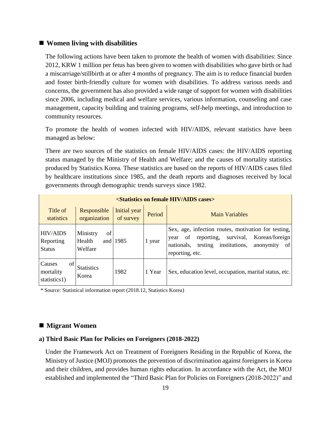#### ■ Women living with disabilities

The following actions have been taken to promote the health of women with disabilities: Since 2012, KRW 1 million per fetus has been given to women with disabilities who gave birth or had a miscarriage/stillbirth at or after 4 months of pregnancy. The aim is to reduce financial burden and foster birth-friendly culture for women with disabilities. To address various needs and concerns, the government has also provided a wide range of support for women with disabilities since 2006, including medical and welfare services, various information, counseling and case management, capacity building and training programs, self-help meetings, and introduction to community resources.

To promote the health of women infected with HIV/AIDS, relevant statistics have been managed as below:

There are two sources of the statistics on female HIV/AIDS cases: the HIV/AIDS reporting status managed by the Ministry of Health and Welfare; and the causes of mortality statistics produced by Statistics Korea. These statistics are based on the reports of HIV/AIDS cases filed by healthcare institutions since 1985, and the death reports and diagnoses received by local governments through demographic trends surveys since 1982.

|                                               | <statistics aids="" cases="" female="" hiv="" on=""></statistics> |                           |        |                                                                                                                                                                                                |  |  |  |
|-----------------------------------------------|-------------------------------------------------------------------|---------------------------|--------|------------------------------------------------------------------------------------------------------------------------------------------------------------------------------------------------|--|--|--|
| Title of<br>statistics                        | Responsible<br>organization                                       | Initial year<br>of survey | Period | <b>Main Variables</b>                                                                                                                                                                          |  |  |  |
| <b>HIV/AIDS</b><br>Reporting<br><b>Status</b> | Ministry<br>of<br>Health<br>and<br>Welfare                        | 1985                      | 1 year | Sex, age, infection routes, motivation for testing,<br>survival,<br>Korean/foreign<br>reporting,<br>0f<br>year<br>institutions,<br>testing<br>of<br>nationals,<br>anonymity<br>reporting, etc. |  |  |  |
| of<br>Causes<br>mortality<br>statistics1)     | <b>Statistics</b><br>Korea                                        | 1982                      | 1 Year | Sex, education level, occupation, marital status, etc.                                                                                                                                         |  |  |  |

\* Source: Statistical information report (2018.12, Statistics Korea)

#### ■ Migrant Women

#### **a) Third Basic Plan for Policies on Foreigners (2018-2022)**

Under the Framework Act on Treatment of Foreigners Residing in the Republic of Korea, the Ministry of Justice (MOJ) promotes the prevention of discrimination against foreigners in Korea and their children, and provides human rights education. In accordance with the Act, the MOJ established and implemented the "Third Basic Plan for Policies on Foreigners (2018-2022)" and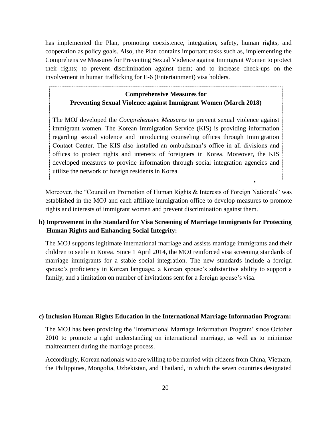has implemented the Plan, promoting coexistence, integration, safety, human rights, and cooperation as policy goals. Also, the Plan contains important tasks such as, implementing the Comprehensive Measures for Preventing Sexual Violence against Immigrant Women to protect their rights; to prevent discrimination against them; and to increase check-ups on the involvement in human trafficking for E-6 (Entertainment) visa holders.

# **Comprehensive Measures for Preventing Sexual Violence against Immigrant Women (March 2018)**

The MOJ developed the *Comprehensive Measures* to prevent sexual violence against immigrant women. The Korean Immigration Service (KIS) is providing information regarding sexual violence and introducing counseling offices through Immigration Contact Center. The KIS also installed an ombudsman's office in all divisions and offices to protect rights and interests of foreigners in Korea. Moreover, the KIS developed measures to provide information through social integration agencies and utilize the network of foreign residents in Korea.

◼

Moreover, the "Council on Promotion of Human Rights & Interests of Foreign Nationals" was established in the MOJ and each affiliate immigration office to develop measures to promote rights and interests of immigrant women and prevent discrimination against them.

## **b) Improvement in the Standard for Visa Screening of Marriage Immigrants for Protecting Human Rights and Enhancing Social Integrity:**

The MOJ supports legitimate international marriage and assists marriage immigrants and their children to settle in Korea. Since 1 April 2014, the MOJ reinforced visa screening standards of marriage immigrants for a stable social integration. The new standards include a foreign spouse's proficiency in Korean language, a Korean spouse's substantive ability to support a family, and a limitation on number of invitations sent for a foreign spouse's visa.

#### **c) Inclusion Human Rights Education in the International Marriage Information Program:**

The MOJ has been providing the 'International Marriage Information Program' since October 2010 to promote a right understanding on international marriage, as well as to minimize maltreatment during the marriage process.

Accordingly, Korean nationals who are willing to be married with citizens from China, Vietnam, the Philippines, Mongolia, Uzbekistan, and Thailand, in which the seven countries designated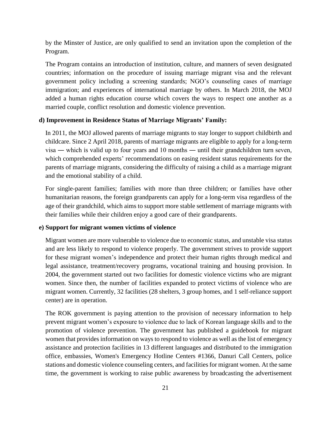by the Minster of Justice, are only qualified to send an invitation upon the completion of the Program.

The Program contains an introduction of institution, culture, and manners of seven designated countries; information on the procedure of issuing marriage migrant visa and the relevant government policy including a screening standards; NGO's counseling cases of marriage immigration; and experiences of international marriage by others. In March 2018, the MOJ added a human rights education course which covers the ways to respect one another as a married couple, conflict resolution and domestic violence prevention.

#### **d) Improvement in Residence Status of Marriage Migrants' Family:**

In 2011, the MOJ allowed parents of marriage migrants to stay longer to support childbirth and childcare. Since 2 April 2018, parents of marriage migrants are eligible to apply for a long-term visa ― which is valid up to four years and 10 months ― until their grandchildren turn seven, which comprehended experts' recommendations on easing resident status requirements for the parents of marriage migrants, considering the difficulty of raising a child as a marriage migrant and the emotional stability of a child.

For single-parent families; families with more than three children; or families have other humanitarian reasons, the foreign grandparents can apply for a long-term visa regardless of the age of their grandchild, which aims to support more stable settlement of marriage migrants with their families while their children enjoy a good care of their grandparents.

#### **e) Support for migrant women victims of violence**

Migrant women are more vulnerable to violence due to economic status, and unstable visa status and are less likely to respond to violence properly. The government strives to provide support for these migrant women's independence and protect their human rights through medical and legal assistance, treatment/recovery programs, vocational training and housing provision. In 2004, the government started out two facilities for domestic violence victims who are migrant women. Since then, the number of facilities expanded to protect victims of violence who are migrant women. Currently, 32 facilities (28 shelters, 3 group homes, and 1 self-reliance support center) are in operation.

The ROK government is paying attention to the provision of necessary information to help prevent migrant women's exposure to violence due to lack of Korean language skills and to the promotion of violence prevention. The government has published a guidebook for migrant women that provides information on ways to respond to violence as well as the list of emergency assistance and protection facilities in 13 different languages and distributed to the immigration office, embassies, Women's Emergency Hotline Centers #1366, Danuri Call Centers, police stations and domestic violence counseling centers, and facilities for migrant women. At the same time, the government is working to raise public awareness by broadcasting the advertisement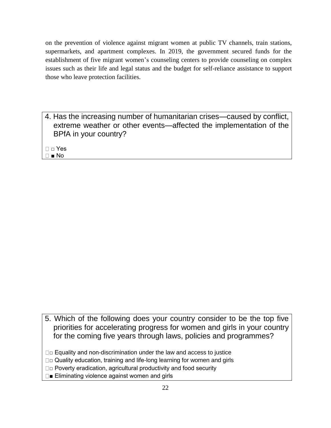on the prevention of violence against migrant women at public TV channels, train stations, supermarkets, and apartment complexes. In 2019, the government secured funds for the establishment of five migrant women's counseling centers to provide counseling on complex issues such as their life and legal status and the budget for self-reliance assistance to support those who leave protection facilities.

- 4. Has the increasing number of humanitarian crises—caused by conflict, extreme weather or other events—affected the implementation of the BPfA in your country?
- □ □ Yes ■ No

5. Which of the following does your country consider to be the top five priorities for accelerating progress for women and girls in your country for the coming five years through laws, policies and programmes?

- $\Box$  $\Box$  Equality and non-discrimination under the law and access to justice
- □□ Quality education, training and life-long learning for women and girls
- □□ Poverty eradication, agricultural productivity and food security
- □■ Eliminating violence against women and girls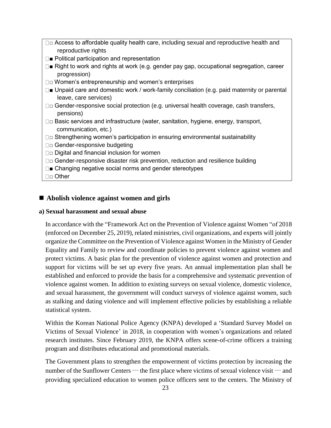- □ Access to affordable quality health care, including sexual and reproductive health and reproductive rights
- □■ Political participation and representation
- $\square$  Right to work and rights at work (e.g. gender pay gap, occupational segregation, career progression)
- □□ Women's entrepreneurship and women's enterprises
- $\square$  Unpaid care and domestic work / work-family conciliation (e.g. paid maternity or parental leave, care services)
- □ Gender-responsive social protection (e.g. universal health coverage, cash transfers, pensions)
- □ Basic services and infrastructure (water, sanitation, hygiene, energy, transport, communication, etc.)
- $\square$  $\square$  Strengthening women's participation in ensuring environmental sustainability
- □□ Gender-responsive budgeting
- $\square$  Digital and financial inclusion for women
- □□ Gender-responsive disaster risk prevention, reduction and resilience building
- □■ Changing negative social norms and gender stereotypes

□□ Other

# ■ Abolish violence against women and girls

## **a) Sexual harassment and sexual abuse**

In accordance with the "Framework Act on the Prevention of Violence against Women "of 2018 (enforced on December 25, 2019), related ministries, civil organizations, and experts will jointly organize the Committee on the Prevention of Violence against Women in the Ministry of Gender Equality and Family to review and coordinate policies to prevent violence against women and protect victims. A basic plan for the prevention of violence against women and protection and support for victims will be set up every five years. An annual implementation plan shall be established and enforced to provide the basis for a comprehensive and systematic prevention of violence against women. In addition to existing surveys on sexual violence, domestic violence, and sexual harassment, the government will conduct surveys of violence against women, such as stalking and dating violence and will implement effective policies by establishing a reliable statistical system.

Within the Korean National Police Agency (KNPA) developed a 'Standard Survey Model on Victims of Sexual Violence' in 2018, in cooperation with women's organizations and related research institutes. Since February 2019, the KNPA offers scene-of-crime officers a training program and distributes educational and promotional materials.

The Government plans to strengthen the empowerment of victims protection by increasing the number of the Sunflower Centers — the first place where victims of sexual violence visit — and providing specialized education to women police officers sent to the centers. The Ministry of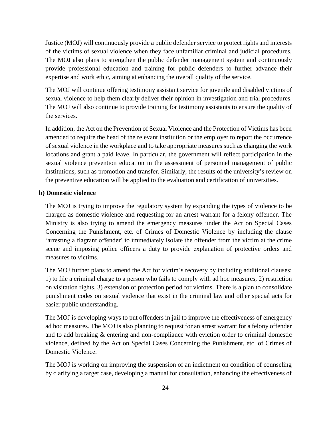Justice (MOJ) will continuously provide a public defender service to protect rights and interests of the victims of sexual violence when they face unfamiliar criminal and judicial procedures. The MOJ also plans to strengthen the public defender management system and continuously provide professional education and training for public defenders to further advance their expertise and work ethic, aiming at enhancing the overall quality of the service.

The MOJ will continue offering testimony assistant service for juvenile and disabled victims of sexual violence to help them clearly deliver their opinion in investigation and trial procedures. The MOJ will also continue to provide training for testimony assistants to ensure the quality of the services.

In addition, the Act on the Prevention of Sexual Violence and the Protection of Victims has been amended to require the head of the relevant institution or the employer to report the occurrence of sexual violence in the workplace and to take appropriate measures such as changing the work locations and grant a paid leave. In particular, the government will reflect participation in the sexual violence prevention education in the assessment of personnel management of public institutions, such as promotion and transfer. Similarly, the results of the university's review on the preventive education will be applied to the evaluation and certification of universities.

#### **b) Domestic violence**

The MOJ is trying to improve the regulatory system by expanding the types of violence to be charged as domestic violence and requesting for an arrest warrant for a felony offender. The Ministry is also trying to amend the emergency measures under the Act on Special Cases Concerning the Punishment, etc. of Crimes of Domestic Violence by including the clause 'arresting a flagrant offender' to immediately isolate the offender from the victim at the crime scene and imposing police officers a duty to provide explanation of protective orders and measures to victims.

The MOJ further plans to amend the Act for victim's recovery by including additional clauses; 1) to file a criminal charge to a person who fails to comply with ad hoc measures, 2) restriction on visitation rights, 3) extension of protection period for victims. There is a plan to consolidate punishment codes on sexual violence that exist in the criminal law and other special acts for easier public understanding.

The MOJ is developing ways to put offenders in jail to improve the effectiveness of emergency ad hoc measures. The MOJ is also planning to request for an arrest warrant for a felony offender and to add breaking & entering and non-compliance with eviction order to criminal domestic violence, defined by the Act on Special Cases Concerning the Punishment, etc. of Crimes of Domestic Violence.

The MOJ is working on improving the suspension of an indictment on condition of counseling by clarifying a target case, developing a manual for consultation, enhancing the effectiveness of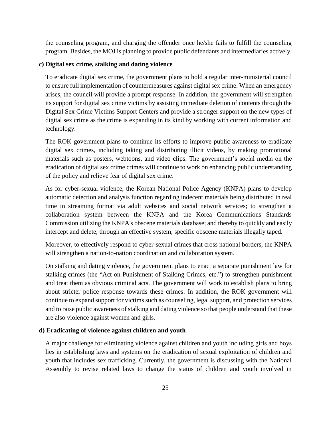the counseling program, and charging the offender once he/she fails to fulfill the counseling program. Besides, the MOJ is planning to provide public defendants and intermediaries actively.

## **c) Digital sex crime, stalking and dating violence**

To eradicate digital sex crime, the government plans to hold a regular inter-ministerial council to ensure full implementation of countermeasures against digital sex crime. When an emergency arises, the council will provide a prompt response. In addition, the government will strengthen its support for digital sex crime victims by assisting immediate deletion of contents through the Digital Sex Crime Victims Support Centers and provide a stronger support on the new types of digital sex crime as the crime is expanding in its kind by working with current information and technology.

The ROK government plans to continue its efforts to improve public awareness to eradicate digital sex crimes, including taking and distributing illicit videos, by making promotional materials such as posters, webtoons, and video clips. The government's social media on the eradication of digital sex crime crimes will continue to work on enhancing public understanding of the policy and relieve fear of digital sex crime.

As for cyber-sexual violence, the Korean National Police Agency (KNPA) plans to develop automatic detection and analysis function regarding indecent materials being distributed in real time in streaming format via adult websites and social network services; to strengthen a collaboration system between the KNPA and the Korea Communications Standards Commission utilizing the KNPA's obscene materials database; and thereby to quickly and easily intercept and delete, through an effective system, specific obscene materials illegally taped.

Moreover, to effectively respond to cyber-sexual crimes that cross national borders, the KNPA will strengthen a nation-to-nation coordination and collaboration system.

On stalking and dating violence, the government plans to enact a separate punishment law for stalking crimes (the "Act on Punishment of Stalking Crimes, etc.") to strengthen punishment and treat them as obvious criminal acts. The government will work to establish plans to bring about stricter police response towards these crimes. In addition, the ROK government will continue to expand support for victims such as counseling, legal support, and protection services and to raise public awareness of stalking and dating violence so that people understand that these are also violence against women and girls.

#### **d) Eradicating of violence against children and youth**

A major challenge for eliminating violence against children and youth including girls and boys lies in establishing laws and systems on the eradication of sexual exploitation of children and youth that includes sex trafficking. Currently, the government is discussing with the National Assembly to revise related laws to change the status of children and youth involved in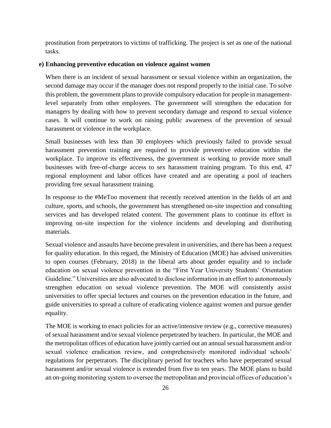prostitution from perpetrators to victims of trafficking. The project is set as one of the national tasks.

#### **e) Enhancing preventive education on violence against women**

When there is an incident of sexual harassment or sexual violence within an organization, the second damage may occur if the manager does not respond properly to the initial case. To solve this problem, the government plans to provide compulsory education for people in managementlevel separately from other employees. The government will strengthen the education for managers by dealing with how to prevent secondary damage and respond to sexual violence cases. It will continue to work on raising public awareness of the prevention of sexual harassment or violence in the workplace.

Small businesses with less than 30 employees which previously failed to provide sexual harassment prevention training are required to provide preventive education within the workplace. To improve its effectiveness, the government is working to provide more small businesses with free-of-charge access to sex harassment training program. To this end, 47 regional employment and labor offices have created and are operating a pool of teachers providing free sexual harassment training.

In response to the #MeToo movement that recently received attention in the fields of art and culture, sports, and schools, the government has strengthened on-site inspection and consulting services and has developed related content. The government plans to continue its effort in improving on-site inspection for the violence incidents and developing and distributing materials.

Sexual violence and assaults have become prevalent in universities, and there has been a request for quality education. In this regard, the Ministry of Education (MOE) has advised universities to open courses (February, 2018) in the liberal arts about gender equality and to include education on sexual violence prevention in the "First Year University Students' Orientation Guideline." Universities are also advocated to disclose information in an effort to autonomously strengthen education on sexual violence prevention. The MOE will consistently assist universities to offer special lectures and courses on the prevention education in the future, and guide universities to spread a culture of eradicating violence against women and pursue gender equality.

The MOE is working to enact policies for an active/intensive review (e.g., corrective measures) of sexual harassment and/or sexual violence perpetrated by teachers. In particular, the MOE and the metropolitan offices of education have jointly carried out an annual sexual harassment and/or sexual violence eradication review, and comprehensively monitored individual schools' regulations for perpetrators. The disciplinary period for teachers who have perpetrated sexual harassment and/or sexual violence is extended from five to ten years. The MOE plans to build an on-going monitoring system to oversee the metropolitan and provincial offices of education's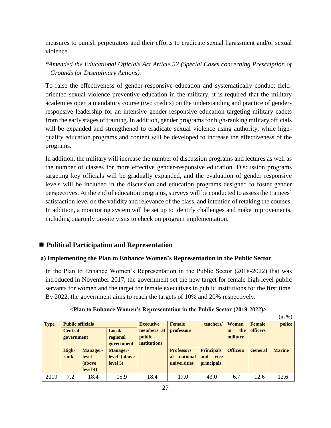measures to punish perpetrators and their efforts to eradicate sexual harassment and/or sexual violence.

# *\*Amended the Educational Officials Act Article 52 (Special Cases concerning Prescription of Grounds for Disciplinary Actions).*

To raise the effectiveness of gender-responsive education and systematically conduct fieldoriented sexual violence preventive education in the military, it is required that the military academies open a mandatory course (two credits) on the understanding and practice of genderresponsive leadership for an intensive gender-responsive education targeting military cadets from the early stages of training. In addition, gender programs for high-ranking military officials will be expanded and strengthened to eradicate sexual violence using authority, while highquality education programs and content will be developed to increase the effectiveness of the programs.

In addition, the military will increase the number of discussion programs and lectures as well as the number of classes for more effective gender-responsive education. Discussion programs targeting key officials will be gradually expanded, and the evaluation of gender responsive levels will be included in the discussion and education programs designed to foster gender perspectives. At the end of education programs, surveys will be conducted to assess the trainees' satisfaction level on the validity and relevance of the class, and intention of retaking the courses. In addition, a monitoring system will be set up to identify challenges and make improvements, including quarterly on-site visits to check on program implementation.

# ■ **Political Participation and Representation**

## **a) Implementing the Plan to Enhance Women's Representation in the Public Sector**

In the Plan to Enhance Women's Representation in the Public Sector (2018-2022) that was introduced in November 2017, the government set the new target for female high-level public servants for women and the target for female executives in public institutions for the first time. By 2022, the government aims to reach the targets of 10% and 20% respectively.

|             |                          |                 |                 |                     |                       |                   |                 |                | $\frac{1}{2}$ |
|-------------|--------------------------|-----------------|-----------------|---------------------|-----------------------|-------------------|-----------------|----------------|---------------|
| <b>Type</b> | <b>Public officials</b>  |                 |                 | <b>Executive</b>    | Female                | teachers/         | <b>Women</b>    | Female         | police        |
|             | Local/<br><b>Central</b> |                 | members at      | professors          |                       | in<br>the         | <b>officers</b> |                |               |
|             | government               |                 | regional        | public              |                       |                   | military        |                |               |
|             |                          |                 | government      | <i>institutions</i> |                       |                   |                 |                |               |
|             | High-                    | <b>Manager-</b> | <b>Manager-</b> |                     | <b>Professors</b>     | <b>Principals</b> | <b>Officers</b> | <b>General</b> | <b>Marine</b> |
|             | rank                     | level           | level (above    |                     | national<br><b>at</b> | and<br>vice       |                 |                |               |
|             |                          | (above          | level 5)        |                     | universities          | <i>principals</i> |                 |                |               |
|             |                          | level 4)        |                 |                     |                       |                   |                 |                |               |
| 2019        | 7.2                      | 18.4            | 15.9            | 18.4                | 17.0                  | 43.0              | 6.7             | 12.6           | 12.6          |

## **<Plan to Enhance Women's Representation in the Public Sector (2019-2022)>**

 $\lim M$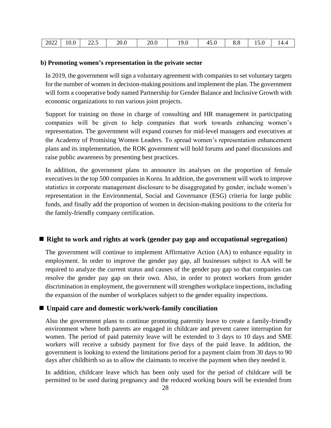| 2022 | 10.0 | $\sim$<br>$\overline{\phantom{0}}$<br>ن کا کا | 20.0 | 20.0 | 19.0 | $\sqrt{5}$<br>49.U | 0.0 | 0.01 | <b>14.4</b> |
|------|------|-----------------------------------------------|------|------|------|--------------------|-----|------|-------------|
|------|------|-----------------------------------------------|------|------|------|--------------------|-----|------|-------------|

#### **b) Promoting women's representation in the private sector**

In 2019, the government will sign a voluntary agreement with companies to set voluntary targets for the number of women in decision-making positions and implement the plan. The government will form a cooperative body named Partnership for Gender Balance and Inclusive Growth with economic organizations to run various joint projects.

Support for training on those in charge of consulting and HR management in participating companies will be given to help companies that work towards enhancing women's representation. The government will expand courses for mid-level managers and executives at the Academy of Promising Women Leaders. To spread women's representation enhancement plans and its implementation, the ROK government will hold forums and panel discussions and raise public awareness by presenting best practices.

In addition, the government plans to announce its analyses on the proportion of female executives in the top 500 companies in Korea. In addition, the government will work to improve statistics in corporate management disclosure to be disaggregated by gender, include women's representation in the Environmental, Social and Governance (ESG) criteria for large public funds, and finally add the proportion of women in decision-making positions to the criteria for the family-friendly company certification.

## ■ **Right to work and rights at work (gender pay gap and occupational segregation)**

The government will continue to implement Affirmative Action (AA) to enhance equality in employment. In order to improve the gender pay gap, all businesses subject to AA will be required to analyze the current status and causes of the gender pay gap so that companies can resolve the gender pay gap on their own. Also, in order to protect workers from gender discrimination in employment, the government will strengthen workplace inspections, including the expansion of the number of workplaces subject to the gender equality inspections.

#### ■ Unpaid care and domestic work/work-family conciliation

Also the government plans to continue promoting paternity leave to create a family-friendly environment where both parents are engaged in childcare and prevent career interruption for women. The period of paid paternity leave will be extended to 3 days to 10 days and SME workers will receive a subsidy payment for five days of the paid leave. In addition, the government is looking to extend the limitations period for a payment claim from 30 days to 90 days after childbirth so as to allow the claimants to receive the payment when they needed it.

In addition, childcare leave which has been only used for the period of childcare will be permitted to be used during pregnancy and the reduced working hours will be extended from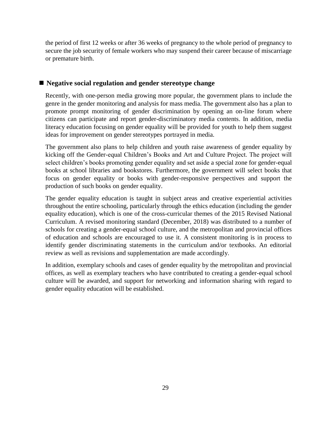the period of first 12 weeks or after 36 weeks of pregnancy to the whole period of pregnancy to secure the job security of female workers who may suspend their career because of miscarriage or premature birth.

## ■ **Negative social regulation and gender stereotype change**

Recently, with one-person media growing more popular, the government plans to include the genre in the gender monitoring and analysis for mass media. The government also has a plan to promote prompt monitoring of gender discrimination by opening an on-line forum where citizens can participate and report gender-discriminatory media contents. In addition, media literacy education focusing on gender equality will be provided for youth to help them suggest ideas for improvement on gender stereotypes portrayed in media.

The government also plans to help children and youth raise awareness of gender equality by kicking off the Gender-equal Children's Books and Art and Culture Project. The project will select children's books promoting gender equality and set aside a special zone for gender-equal books at school libraries and bookstores. Furthermore, the government will select books that focus on gender equality or books with gender-responsive perspectives and support the production of such books on gender equality.

The gender equality education is taught in subject areas and creative experiential activities throughout the entire schooling, particularly through the ethics education (including the gender equality education), which is one of the cross-curricular themes of the 2015 Revised National Curriculum. A revised monitoring standard (December, 2018) was distributed to a number of schools for creating a gender-equal school culture, and the metropolitan and provincial offices of education and schools are encouraged to use it. A consistent monitoring is in process to identify gender discriminating statements in the curriculum and/or textbooks. An editorial review as well as revisions and supplementation are made accordingly.

In addition, exemplary schools and cases of gender equality by the metropolitan and provincial offices, as well as exemplary teachers who have contributed to creating a gender-equal school culture will be awarded, and support for networking and information sharing with regard to gender equality education will be established.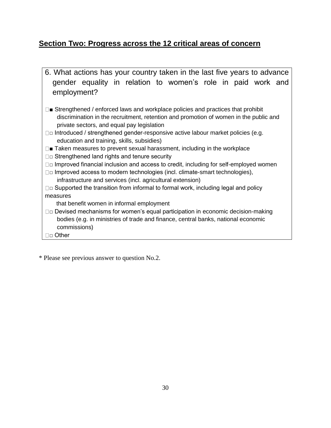# **Section Two: Progress across the 12 critical areas of concern**

6. What actions has your country taken in the last five years to advance gender equality in relation to women's role in paid work and employment?  $\square$  Strengthened / enforced laws and workplace policies and practices that prohibit discrimination in the recruitment, retention and promotion of women in the public and private sectors, and equal pay legislation □□ Introduced / strengthened gender-responsive active labour market policies (e.g. education and training, skills, subsidies) □■ Taken measures to prevent sexual harassment, including in the workplace  $\square$  $\square$  Strengthened land rights and tenure security  $\Box$  $\Box$  Improved financial inclusion and access to credit, including for self-employed women  $\Box$  Improved access to modern technologies (incl. climate-smart technologies), infrastructure and services (incl. agricultural extension)  $\square$  $\square$  Supported the transition from informal to formal work, including legal and policy

measures

that benefit women in informal employment

- $\Box$  $\Box$  Devised mechanisms for women's equal participation in economic decision-making bodies (e.g. in ministries of trade and finance, central banks, national economic commissions)
- □□ Other

\* Please see previous answer to question No.2.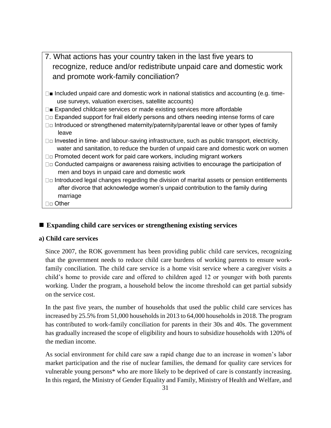- 7. What actions has your country taken in the last five years to recognize, reduce and/or redistribute unpaid care and domestic work and promote work-family conciliation?
- $\square$  Included unpaid care and domestic work in national statistics and accounting (e.g. timeuse surveys, valuation exercises, satellite accounts)
- $\square$  Expanded childcare services or made existing services more affordable
- $\Box$  $\Box$  Expanded support for frail elderly persons and others needing intense forms of care
- $\square$  Introduced or strengthened maternity/paternity/parental leave or other types of family leave
- $\Box$  Invested in time- and labour-saving infrastructure, such as public transport, electricity, water and sanitation, to reduce the burden of unpaid care and domestic work on women
- □□ Promoted decent work for paid care workers, including migrant workers
- □□ Conducted campaigns or awareness raising activities to encourage the participation of men and boys in unpaid care and domestic work
- $\square$  Introduced legal changes regarding the division of marital assets or pension entitlements after divorce that acknowledge women's unpaid contribution to the family during marriage
- □□ Other

## ■ **Expanding child care services or strengthening existing services**

## **a) Child care services**

Since 2007, the ROK government has been providing public child care services, recognizing that the government needs to reduce child care burdens of working parents to ensure workfamily conciliation. The child care service is a home visit service where a caregiver visits a child's home to provide care and offered to children aged 12 or younger with both parents working. Under the program, a household below the income threshold can get partial subsidy on the service cost.

In the past five years, the number of households that used the public child care services has increased by 25.5% from 51,000 households in 2013 to 64,000 households in 2018. The program has contributed to work-family conciliation for parents in their 30s and 40s. The government has gradually increased the scope of eligibility and hours to subsidize households with 120% of the median income.

As social environment for child care saw a rapid change due to an increase in women's labor market participation and the rise of nuclear families, the demand for quality care services for vulnerable young persons\* who are more likely to be deprived of care is constantly increasing. In this regard, the Ministry of Gender Equality and Family, Ministry of Health and Welfare, and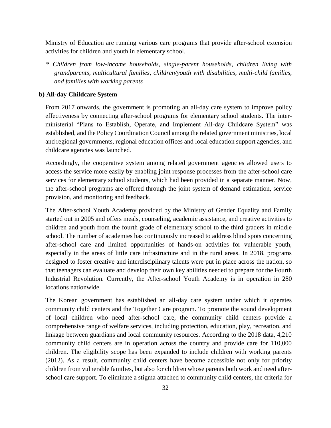Ministry of Education are running various care programs that provide after-school extension activities for children and youth in elementary school.

*\* Children from low-income households, single-parent households, children living with grandparents, multicultural families, children/youth with disabilities, multi-child families, and families with working parents* 

#### **b) All-day Childcare System**

From 2017 onwards, the government is promoting an all-day care system to improve policy effectiveness by connecting after-school programs for elementary school students. The interministerial "Plans to Establish, Operate, and Implement All-day Childcare System" was established, and the Policy Coordination Council among the related government ministries, local and regional governments, regional education offices and local education support agencies, and childcare agencies was launched.

Accordingly, the cooperative system among related government agencies allowed users to access the service more easily by enabling joint response processes from the after-school care services for elementary school students, which had been provided in a separate manner. Now, the after-school programs are offered through the joint system of demand estimation, service provision, and monitoring and feedback.

The After-school Youth Academy provided by the Ministry of Gender Equality and Family started out in 2005 and offers meals, counseling, academic assistance, and creative activities to children and youth from the fourth grade of elementary school to the third graders in middle school. The number of academies has continuously increased to address blind spots concerning after-school care and limited opportunities of hands-on activities for vulnerable youth, especially in the areas of little care infrastructure and in the rural areas. In 2018, programs designed to foster creative and interdisciplinary talents were put in place across the nation, so that teenagers can evaluate and develop their own key abilities needed to prepare for the Fourth Industrial Revolution. Currently, the After-school Youth Academy is in operation in 280 locations nationwide.

The Korean government has established an all-day care system under which it operates community child centers and the Together Care program. To promote the sound development of local children who need after-school care, the community child centers provide a comprehensive range of welfare services, including protection, education, play, recreation, and linkage between guardians and local community resources. According to the 2018 data, 4,210 community child centers are in operation across the country and provide care for 110,000 children. The eligibility scope has been expanded to include children with working parents (2012). As a result, community child centers have become accessible not only for priority children from vulnerable families, but also for children whose parents both work and need afterschool care support. To eliminate a stigma attached to community child centers, the criteria for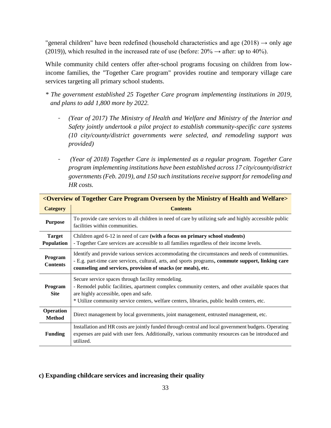"general children" have been redefined (household characteristics and age  $(2018) \rightarrow$  only age (2019)), which resulted in the increased rate of use (before:  $20\% \rightarrow$  after: up to 40%).

While community child centers offer after-school programs focusing on children from lowincome families, the "Together Care program" provides routine and temporary village care services targeting all primary school students.

- *\* The government established 25 Together Care program implementing institutions in 2019, and plans to add 1,800 more by 2022.* 
	- *(Year of 2017) The Ministry of Health and Welfare and Ministry of the Interior and Safety jointly undertook a pilot project to establish community-specific care systems (10 city/county/district governments were selected, and remodeling support was provided)*
	- *(Year of 2018) Together Care is implemented as a regular program. Together Care program implementing institutions have been established across 17 city/county/district governments (Feb. 2019), and 150 such institutions receive support for remodeling and HR costs.*

|                             | <u><overview and="" by="" care="" health="" ministry="" of="" overseen="" program="" the="" together="" welfare=""></overview></u>                                                                                                                                                               |  |  |  |  |  |  |  |
|-----------------------------|--------------------------------------------------------------------------------------------------------------------------------------------------------------------------------------------------------------------------------------------------------------------------------------------------|--|--|--|--|--|--|--|
| <b>Category</b>             | <b>Contents</b>                                                                                                                                                                                                                                                                                  |  |  |  |  |  |  |  |
| <b>Purpose</b>              | To provide care services to all children in need of care by utilizing safe and highly accessible public<br>facilities within communities.                                                                                                                                                        |  |  |  |  |  |  |  |
| <b>Target</b><br>Population | Children aged 6-12 in need of care (with a focus on primary school students)<br>- Together Care services are accessible to all families regardless of their income levels.                                                                                                                       |  |  |  |  |  |  |  |
| Program<br><b>Contents</b>  | Identify and provide various services accommodating the circumstances and needs of communities.<br>- E.g. part-time care services, cultural, arts, and sports programs, commute support, linking care<br>counseling and services, provision of snacks (or meals), etc.                           |  |  |  |  |  |  |  |
| Program<br><b>Site</b>      | Secure service spaces through facility remodeling.<br>- Remodel public facilities, apartment complex community centers, and other available spaces that<br>are highly accessible, open and safe.<br>* Utilize community service centers, welfare centers, libraries, public health centers, etc. |  |  |  |  |  |  |  |
| Operation<br><b>Method</b>  | Direct management by local governments, joint management, entrusted management, etc.                                                                                                                                                                                                             |  |  |  |  |  |  |  |
| <b>Funding</b>              | Installation and HR costs are jointly funded through central and local government budgets. Operating<br>expenses are paid with user fees. Additionally, various community resources can be introduced and<br>utilized.                                                                           |  |  |  |  |  |  |  |

# **<Overview of Together Care Program Overseen by the Ministry of Health and Welfare>**

#### **c) Expanding childcare services and increasing their quality**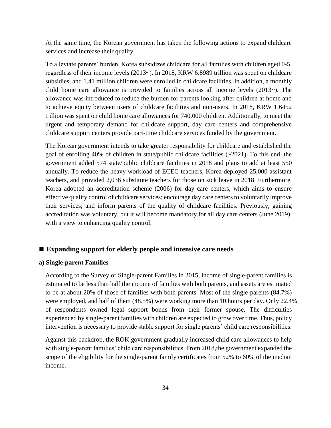At the same time, the Korean government has taken the following actions to expand childcare services and increase their quality.

To alleviate parents' burden, Korea subsidizes childcare for all families with children aged 0-5, regardless of their income levels (2013~). In 2018, KRW 6.8989 trillion was spent on childcare subsidies, and 1.41 million children were enrolled in childcare facilities. In addition, a monthly child home care allowance is provided to families across all income levels (2013~). The allowance was introduced to reduce the burden for parents looking after children at home and to achieve equity between users of childcare facilities and non-users. In 2018, KRW 1.6452 trillion was spent on child home care allowances for 740,000 children. Additionally, to meet the urgent and temporary demand for childcare support, day care centers and comprehensive childcare support centers provide part-time childcare services funded by the government.

The Korean government intends to take greater responsibility for childcare and established the goal of enrolling 40% of children in state/public childcare facilities (~2021). To this end, the government added 574 state/public childcare facilities in 2018 and plans to add at least 550 annually. To reduce the heavy workload of ECEC teachers, Korea deployed 25,000 assistant teachers, and provided 2,036 substitute teachers for those on sick leave in 2018. Furthermore, Korea adopted an accreditation scheme (2006) for day care centers, which aims to ensure effective quality control of childcare services; encourage day care centers to voluntarily improve their services; and inform parents of the quality of childcare facilities. Previously, gaining accreditation was voluntary, but it will become mandatory for all day care centers (June 2019), with a view to enhancing quality control.

## ■ **Expanding support for elderly people and intensive care needs**

#### **a) Single-parent Families**

According to the Survey of Single-parent Families in 2015, income of single-parent families is estimated to be less than half the income of families with both parents, and assets are estimated to be at about 20% of those of families with both parents. Most of the single-parents (84.7%) were employed, and half of them (48.5%) were working more than 10 hours per day. Only 22.4% of respondents owned legal support bonds from their former spouse. The difficulties experienced by single-parent families with children are expected to grow over time. Thus, policy intervention is necessary to provide stable support for single parents' child care responsibilities.

Against this backdrop, the ROK government gradually increased child care allowances to help with single-parent families' child care responsibilities. From 2018,the government expanded the scope of the eligibility for the single-parent family certificates from 52% to 60% of the median income.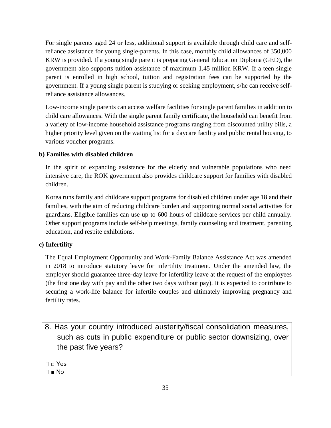For single parents aged 24 or less, additional support is available through child care and selfreliance assistance for young single-parents. In this case, monthly child allowances of 350,000 KRW is provided. If a young single parent is preparing General Education Diploma (GED), the government also supports tuition assistance of maximum 1.45 million KRW. If a teen single parent is enrolled in high school, tuition and registration fees can be supported by the government. If a young single parent is studying or seeking employment, s/he can receive selfreliance assistance allowances.

Low-income single parents can access welfare facilities for single parent families in addition to child care allowances. With the single parent family certificate, the household can benefit from a variety of low-income household assistance programs ranging from discounted utility bills, a higher priority level given on the waiting list for a daycare facility and public rental housing, to various voucher programs.

## **b) Families with disabled children**

In the spirit of expanding assistance for the elderly and vulnerable populations who need intensive care, the ROK government also provides childcare support for families with disabled children.

Korea runs family and childcare support programs for disabled children under age 18 and their families, with the aim of reducing childcare burden and supporting normal social activities for guardians. Eligible families can use up to 600 hours of childcare services per child annually. Other support programs include self-help meetings, family counseling and treatment, parenting education, and respite exhibitions.

## **c) Infertility**

The Equal Employment Opportunity and Work-Family Balance Assistance Act was amended in 2018 to introduce statutory leave for infertility treatment. Under the amended law, the employer should guarantee three-day leave for infertility leave at the request of the employees (the first one day with pay and the other two days without pay). It is expected to contribute to securing a work-life balance for infertile couples and ultimately improving pregnancy and fertility rates.

8. Has your country introduced austerity/fiscal consolidation measures, such as cuts in public expenditure or public sector downsizing, over the past five years?

□ Yes

■ No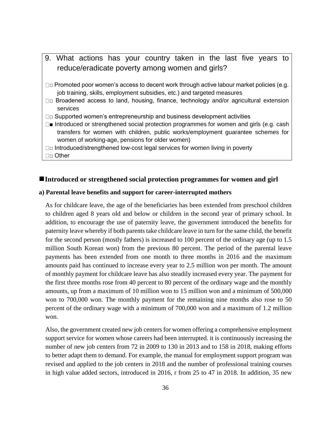- 9. What actions has your country taken in the last five years to reduce/eradicate poverty among women and girls?
- $\square$  Promoted poor women's access to decent work through active labour market policies (e.g. job training, skills, employment subsidies, etc.) and targeted measures
- $\square$  Broadened access to land, housing, finance, technology and/or agricultural extension services
- $\Box$  $\Box$  Supported women's entrepreneurship and business development activities
- $\square$  Introduced or strengthened social protection programmes for women and girls (e.g. cash transfers for women with children, public works/employment guarantee schemes for women of working-age, pensions for older women)
- □□ Introduced/strengthened low-cost legal services for women living in poverty
- □□ Other

## ■Introduced or strengthened social protection programmes for women and girl

#### **a) Parental leave benefits and support for career-interrupted mothers**

As for childcare leave, the age of the beneficiaries has been extended from preschool children to children aged 8 years old and below or children in the second year of primary school. In addition, to encourage the use of paternity leave, the government introduced the benefits for paternity leave whereby if both parents take childcare leave in turn for the same child, the benefit for the second person (mostly fathers) is increased to 100 percent of the ordinary age (up to 1.5 million South Korean won) from the previous 80 percent. The period of the parental leave payments has been extended from one month to three months in 2016 and the maximum amounts paid has continued to increase every year to 2.5 million won per month. The amount of monthly payment for childcare leave has also steadily increased every year. The payment for the first three months rose from 40 percent to 80 percent of the ordinary wage and the monthly amounts, up from a maximum of 10 million won to 15 million won and a minimum of 500,000 won to 700,000 won. The monthly payment for the remaining nine months also rose to 50 percent of the ordinary wage with a minimum of 700,000 won and a maximum of 1.2 million won.

Also, the government created new job centers for women offering a comprehensive employment support service for women whose careers had been interrupted. it is continuously increasing the number of new job centers from 72 in 2009 to 130 in 2013 and to 158 in 2018, making efforts to better adapt them to demand. For example, the manual for employment support program was revised and applied to the job centers in 2018 and the number of professional training courses in high value added sectors, introduced in 2016, r from 25 to 47 in 2018. In addition, 35 new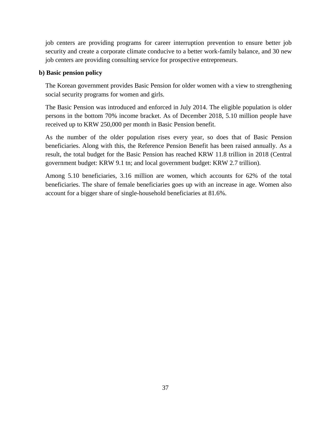job centers are providing programs for career interruption prevention to ensure better job security and create a corporate climate conducive to a better work-family balance, and 30 new job centers are providing consulting service for prospective entrepreneurs.

### **b) Basic pension policy**

The Korean government provides Basic Pension for older women with a view to strengthening social security programs for women and girls.

The Basic Pension was introduced and enforced in July 2014. The eligible population is older persons in the bottom 70% income bracket. As of December 2018, 5.10 million people have received up to KRW 250,000 per month in Basic Pension benefit.

As the number of the older population rises every year, so does that of Basic Pension beneficiaries. Along with this, the Reference Pension Benefit has been raised annually. As a result, the total budget for the Basic Pension has reached KRW 11.8 trillion in 2018 (Central government budget: KRW 9.1 tn; and local government budget: KRW 2.7 trillion).

Among 5.10 beneficiaries, 3.16 million are women, which accounts for 62% of the total beneficiaries. The share of female beneficiaries goes up with an increase in age. Women also account for a bigger share of single-household beneficiaries at 81.6%.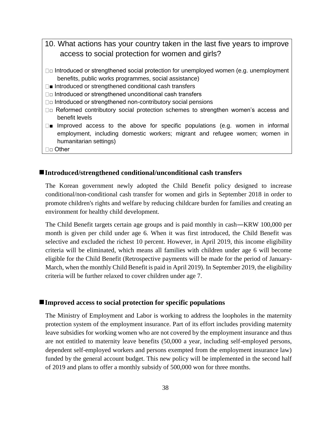- 10. What actions has your country taken in the last five years to improve access to social protection for women and girls?
- $\square$  Introduced or strengthened social protection for unemployed women (e.g. unemployment benefits, public works programmes, social assistance)
- □■ Introduced or strengthened conditional cash transfers
- □□ Introduced or strengthened unconditional cash transfers
- $\square$  Introduced or strengthened non-contributory social pensions
- □□ Reformed contributory social protection schemes to strengthen women's access and benefit levels
- $\square$  Improved access to the above for specific populations (e.g. women in informal employment, including domestic workers; migrant and refugee women; women in humanitarian settings)
- □□ Other

### ◼**Introduced/strengthened conditional/unconditional cash transfers**

The Korean government newly adopted the Child Benefit policy designed to increase conditional/non-conditional cash transfer for women and girls in September 2018 in order to promote children's rights and welfare by reducing childcare burden for families and creating an environment for healthy child development.

The Child Benefit targets certain age groups and is paid monthly in cash—KRW 100,000 per month is given per child under age 6. When it was first introduced, the Child Benefit was selective and excluded the richest 10 percent. However, in April 2019, this income eligibility criteria will be eliminated, which means all families with children under age 6 will become eligible for the Child Benefit (Retrospective payments will be made for the period of January-March, when the monthly Child Benefit is paid in April 2019). In September 2019, the eligibility criteria will be further relaxed to cover children under age 7.

#### ■Improved access to social protection for specific populations

The Ministry of Employment and Labor is working to address the loopholes in the maternity protection system of the employment insurance. Part of its effort includes providing maternity leave subsidies for working women who are not covered by the employment insurance and thus are not entitled to maternity leave benefits (50,000 a year, including self-employed persons, dependent self-employed workers and persons exempted from the employment insurance law) funded by the general account budget. This new policy will be implemented in the second half of 2019 and plans to offer a monthly subsidy of 500,000 won for three months.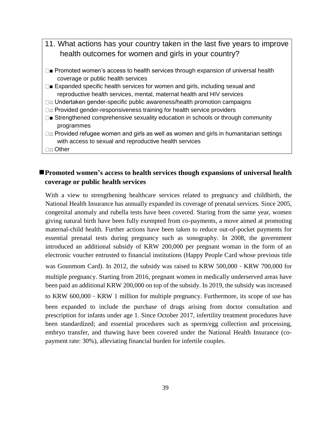- 11. What actions has your country taken in the last five years to improve health outcomes for women and girls in your country?
- $\square$  Promoted women's access to health services through expansion of universal health coverage or public health services
- $\square$  Expanded specific health services for women and girls, including sexual and reproductive health services, mental, maternal health and HIV services
- □ Undertaken gender-specific public awareness/health promotion campaigns
- □□ Provided gender-responsiveness training for health service providers
- $\square$  Strengthened comprehensive sexuality education in schools or through community programmes
- $\square$  $\square$  Provided refugee women and girls as well as women and girls in humanitarian settings with access to sexual and reproductive health services
- □□ Other

# ■**Promoted women's access to health services though expansions of universal health coverage or public health services**

With a view to strengthening healthcare services related to pregnancy and childbirth, the National Health Insurance has annually expanded its coverage of prenatal services. Since 2005, congenital anomaly and rubella tests have been covered. Staring from the same year, women giving natural birth have been fully exempted from co-payments, a move aimed at promoting maternal-child health. Further actions have been taken to reduce out-of-pocket payments for essential prenatal tests during pregnancy such as sonography. In 2008, the government introduced an additional subsidy of KRW 200,000 per pregnant woman in the form of an electronic voucher entrusted to financial institutions (Happy People Card whose previous title was Gounmom Card). In 2012, the subsidy was raised to KRW 500,000 - KRW 700,000 for multiple pregnancy. Starting from 2016, pregnant women in medically underserved areas have been paid an additional KRW 200,000 on top of the subsidy. In 2019, the subsidy was increased to KRW 600,000-KRW 1 million for multiple pregnancy. Furthermore, its scope of use has been expanded to include the purchase of drugs arising from doctor consultation and prescription for infants under age 1. Since October 2017, infertility treatment procedures have been standardized; and essential procedures such as sperm/egg collection and processing, embryo transfer, and thawing have been covered under the National Health Insurance (copayment rate: 30%), alleviating financial burden for infertile couples.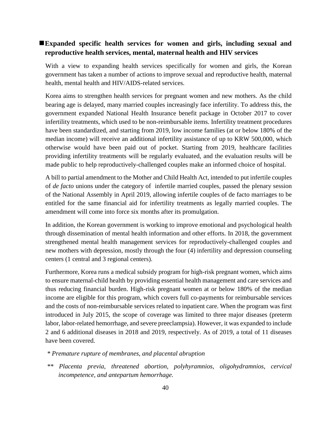## ■Expanded specific health services for women and girls, including sexual and **reproductive health services, mental, maternal health and HIV services**

With a view to expanding health services specifically for women and girls, the Korean government has taken a number of actions to improve sexual and reproductive health, maternal health, mental health and HIV/AIDS-related services.

Korea aims to strengthen health services for pregnant women and new mothers. As the child bearing age is delayed, many married couples increasingly face infertility. To address this, the government expanded National Health Insurance benefit package in October 2017 to cover infertility treatments, which used to be non-reimbursable items. Infertility treatment procedures have been standardized, and starting from 2019, low income families (at or below 180% of the median income) will receive an additional infertility assistance of up to KRW 500,000, which otherwise would have been paid out of pocket. Starting from 2019, healthcare facilities providing infertility treatments will be regularly evaluated, and the evaluation results will be made public to help reproductively-challenged couples make an informed choice of hospital.

A bill to partial amendment to the Mother and Child Health Act, intended to put infertile couples of *de facto* unions under the category of infertile married couples, passed the plenary session of the National Assembly in April 2019, allowing infertile couples of de facto marriages to be entitled for the same financial aid for infertility treatments as legally married couples. The amendment will come into force six months after its promulgation.

In addition, the Korean government is working to improve emotional and psychological health through dissemination of mental health information and other efforts. In 2018, the government strengthened mental health management services for reproductively-challenged couples and new mothers with depression, mostly through the four (4) infertility and depression counseling centers (1 central and 3 regional centers).

Furthermore, Korea runs a medical subsidy program for high-risk pregnant women, which aims to ensure maternal-child health by providing essential health management and care services and thus reducing financial burden. High-risk pregnant women at or below 180% of the median income are eligible for this program, which covers full co-payments for reimbursable services and the costs of non-reimbursable services related to inpatient care. When the program was first introduced in July 2015, the scope of coverage was limited to three major diseases (preterm labor, labor-related hemorrhage, and severe preeclampsia). However, it was expanded to include 2 and 6 additional diseases in 2018 and 2019, respectively. As of 2019, a total of 11 diseases have been covered.

- *\* Premature rupture of membranes, and placental abruption*
- *\*\* Placenta previa, threatened abortion, polyhyramnios, oligohydramnios, cervical incompetence, and antepartum hemorrhage.*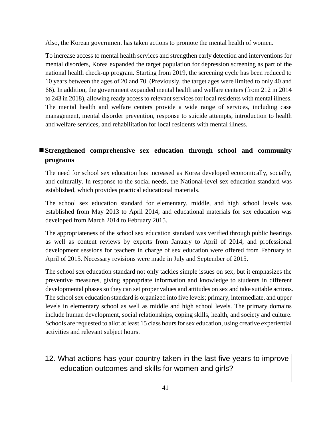Also, the Korean government has taken actions to promote the mental health of women.

To increase access to mental health services and strengthen early detection and interventions for mental disorders, Korea expanded the target population for depression screening as part of the national health check-up program. Starting from 2019, the screening cycle has been reduced to 10 years between the ages of 20 and 70. (Previously, the target ages were limited to only 40 and 66). In addition, the government expanded mental health and welfare centers (from 212 in 2014 to 243 in 2018), allowing ready access to relevant services for local residents with mental illness. The mental health and welfare centers provide a wide range of services, including case management, mental disorder prevention, response to suicide attempts, introduction to health and welfare services, and rehabilitation for local residents with mental illness.

# ■Strengthened comprehensive sex education through school and community **programs**

The need for school sex education has increased as Korea developed economically, socially, and culturally. In response to the social needs, the National-level sex education standard was established, which provides practical educational materials.

The school sex education standard for elementary, middle, and high school levels was established from May 2013 to April 2014, and educational materials for sex education was developed from March 2014 to February 2015.

The appropriateness of the school sex education standard was verified through public hearings as well as content reviews by experts from January to April of 2014, and professional development sessions for teachers in charge of sex education were offered from February to April of 2015. Necessary revisions were made in July and September of 2015.

The school sex education standard not only tackles simple issues on sex, but it emphasizes the preventive measures, giving appropriate information and knowledge to students in different developmental phases so they can set proper values and attitudes on sex and take suitable actions. The school sex education standard is organized into five levels; primary, intermediate, and upper levels in elementary school as well as middle and high school levels. The primary domains include human development, social relationships, coping skills, health, and society and culture. Schools are requested to allot at least 15 class hours for sex education, using creative experiential activities and relevant subject hours.

12. What actions has your country taken in the last five years to improve education outcomes and skills for women and girls?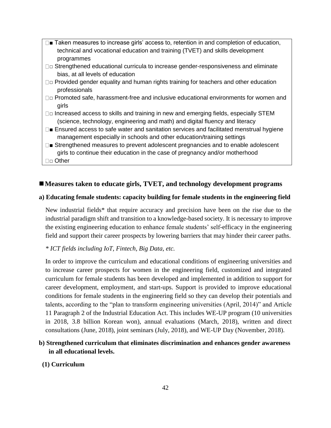- □■ Taken measures to increase girls' access to, retention in and completion of education, technical and vocational education and training (TVET) and skills development programmes
- □□ Strengthened educational curricula to increase gender-responsiveness and eliminate bias, at all levels of education
- $\square$  $\square$  Provided gender equality and human rights training for teachers and other education professionals
- □ Promoted safe, harassment-free and inclusive educational environments for women and girls
- $\square$  Increased access to skills and training in new and emerging fields, especially STEM (science, technology, engineering and math) and digital fluency and literacy
- $\square$  Ensured access to safe water and sanitation services and facilitated menstrual hygiene management especially in schools and other education/training settings
- Strengthened measures to prevent adolescent pregnancies and to enable adolescent girls to continue their education in the case of pregnancy and/or motherhood □□ Other

## ■ Measures taken to educate girls, TVET, and technology development programs

## **a) Educating female students: capacity building for female students in the engineering field**

New industrial fields\* that require accuracy and precision have been on the rise due to the industrial paradigm shift and transition to a knowledge-based society. It is necessary to improve the existing engineering education to enhance female students' self-efficacy in the engineering field and support their career prospects by lowering barriers that may hinder their career paths.

## *\* ICT fields including IoT, Fintech, Big Data, etc.*

In order to improve the curriculum and educational conditions of engineering universities and to increase career prospects for women in the engineering field, customized and integrated curriculum for female students has been developed and implemented in addition to support for career development, employment, and start-ups. Support is provided to improve educational conditions for female students in the engineering field so they can develop their potentials and talents, according to the "plan to transform engineering universities (April, 2014)" and Article 11 Paragraph 2 of the Industrial Education Act. This includes WE-UP program (10 universities in 2018, 3.8 billion Korean won), annual evaluations (March, 2018), written and direct consultations (June, 2018), joint seminars (July, 2018), and WE-UP Day (November, 2018).

## **b) Strengthened curriculum that eliminates discrimination and enhances gender awareness in all educational levels.**

## **(1) Curriculum**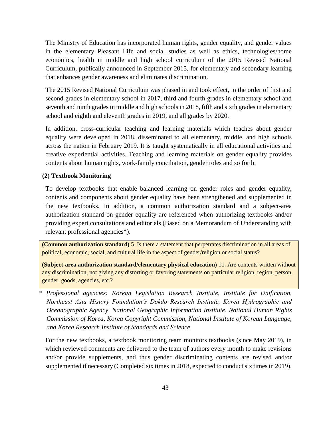The Ministry of Education has incorporated human rights, gender equality, and gender values in the elementary Pleasant Life and social studies as well as ethics, technologies/home economics, health in middle and high school curriculum of the 2015 Revised National Curriculum, publically announced in September 2015, for elementary and secondary learning that enhances gender awareness and eliminates discrimination.

The 2015 Revised National Curriculum was phased in and took effect, in the order of first and second grades in elementary school in 2017, third and fourth grades in elementary school and seventh and ninth grades in middle and high schools in 2018, fifth and sixth grades in elementary school and eighth and eleventh grades in 2019, and all grades by 2020.

In addition, cross-curricular teaching and learning materials which teaches about gender equality were developed in 2018, disseminated to all elementary, middle, and high schools across the nation in February 2019. It is taught systematically in all educational activities and creative experiential activities. Teaching and learning materials on gender equality provides contents about human rights, work-family conciliation, gender roles and so forth.

### **(2) Textbook Monitoring**

To develop textbooks that enable balanced learning on gender roles and gender equality, contents and components about gender equality have been strengthened and supplemented in the new textbooks. In addition, a common authorization standard and a subject-area authorization standard on gender equality are referenced when authorizing textbooks and/or providing expert consultations and editorials (Based on a Memorandum of Understanding with relevant professional agencies\*).

**(Common authorization standard)** 5. Is there a statement that perpetrates discrimination in all areas of political, economic, social, and cultural life in the aspect of gender/religion or social status?

**(Subject-area authorization standard/elementary physical education)** 11. Are contents written without any discrimination, not giving any distorting or favoring statements on particular religion, region, person, gender, goods, agencies, etc.?

*\* Professional agencies: Korean Legislation Research Institute, Institute for Unification, Northeast Asia History Foundation's Dokdo Research Institute, Korea Hydrographic and Oceanographic Agency, National Geographic Information Institute, National Human Rights Commission of Korea, Korea Copyright Commission, National Institute of Korean Language, and Korea Research Institute of Standards and Science* 

For the new textbooks, a textbook monitoring team monitors textbooks (since May 2019), in which reviewed comments are delivered to the team of authors every month to make revisions and/or provide supplements, and thus gender discriminating contents are revised and/or supplemented if necessary (Completed six times in 2018, expected to conduct six times in 2019).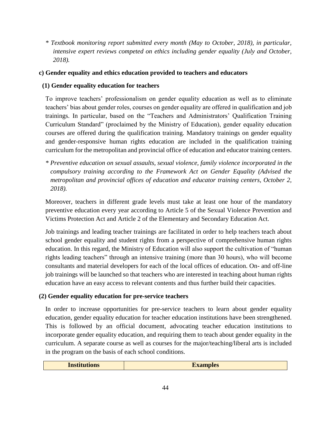*\* Textbook monitoring report submitted every month (May to October, 2018), in particular, intensive expert reviews competed on ethics including gender equality (July and October, 2018).*

## **c) Gender equality and ethics education provided to teachers and educators**

## **(1) Gender equality education for teachers**

To improve teachers' professionalism on gender equality education as well as to eliminate teachers' bias about gender roles, courses on gender equality are offered in qualification and job trainings. In particular, based on the "Teachers and Administrators' Qualification Training Curriculum Standard" (proclaimed by the Ministry of Education), gender equality education courses are offered during the qualification training. Mandatory trainings on gender equality and gender-responsive human rights education are included in the qualification training curriculum for the metropolitan and provincial office of education and educator training centers.

*\* Preventive education on sexual assaults, sexual violence, family violence incorporated in the compulsory training according to the Framework Act on Gender Equality (Advised the metropolitan and provincial offices of education and educator training centers, October 2, 2018).* 

Moreover, teachers in different grade levels must take at least one hour of the mandatory preventive education every year according to Article 5 of the Sexual Violence Prevention and Victims Protection Act and Article 2 of the Elementary and Secondary Education Act.

Job trainings and leading teacher trainings are facilitated in order to help teachers teach about school gender equality and student rights from a perspective of comprehensive human rights education. In this regard, the Ministry of Education will also support the cultivation of "human rights leading teachers" through an intensive training (more than 30 hours), who will become consultants and material developers for each of the local offices of education. On- and off-line job trainings will be launched so that teachers who are interested in teaching about human rights education have an easy access to relevant contents and thus further build their capacities.

## **(2) Gender equality education for pre-service teachers**

In order to increase opportunities for pre-service teachers to learn about gender equality education, gender equality education for teacher education institutions have been strengthened. This is followed by an official document, advocating teacher education institutions to incorporate gender equality education, and requiring them to teach about gender equality in the curriculum. A separate course as well as courses for the major/teaching/liberal arts is included in the program on the basis of each school conditions.

| <b>Institutions</b> | <b>Examples</b> |
|---------------------|-----------------|
|                     |                 |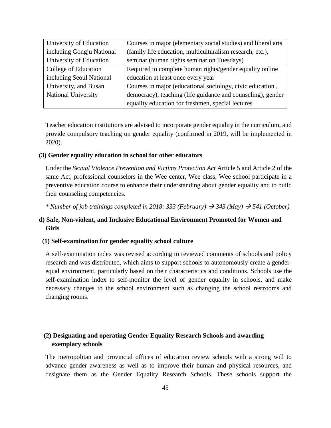| University of Education    | Courses in major (elementary social studies) and liberal arts |
|----------------------------|---------------------------------------------------------------|
| including Gongju National  | (family life education, multiculturalism research, etc.),     |
| University of Education    | seminar (human rights seminar on Tuesdays)                    |
| College of Education       | Required to complete human rights/gender equality online      |
| including Seoul National   | education at least once every year                            |
| University, and Busan      | Courses in major (educational sociology, civic education,     |
| <b>National University</b> | democracy), teaching (life guidance and counseling), gender   |
|                            | equality education for freshmen, special lectures             |

Teacher education institutions are advised to incorporate gender equality in the curriculum, and provide compulsory teaching on gender equality (confirmed in 2019, will be implemented in 2020).

#### **(3) Gender equality education in school for other educators**

Under the *Sexual Violence Prevention and Victims Protection Act* Article 5 and Article 2 of the same Act, professional counselors in the Wee center, Wee class, Wee school participate in a preventive education course to enhance their understanding about gender equality and to build their counseling competencies.

<sup>\*</sup> *Number of job trainings completed in 2018: 333 (February)*  $\rightarrow$  343 (May)  $\rightarrow$  541 (October)

## **d) Safe, Non-violent, and Inclusive Educational Environment Promoted for Women and Girls**

#### **(1) Self-examination for gender equality school culture**

A self-examination index was revised according to reviewed comments of schools and policy research and was distributed, which aims to support schools to autonomously create a genderequal environment, particularly based on their characteristics and conditions. Schools use the self-examination index to self-monitor the level of gender equality in schools, and make necessary changes to the school environment such as changing the school restrooms and changing rooms.

## **(2) Designating and operating Gender Equality Research Schools and awarding exemplary schools**

The metropolitan and provincial offices of education review schools with a strong will to advance gender awareness as well as to improve their human and physical resources, and designate them as the Gender Equality Research Schools. These schools support the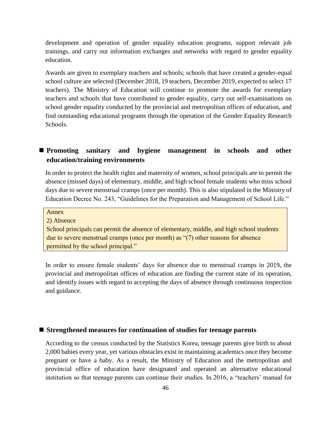development and operation of gender equality education programs, support relevant job trainings, and carry out information exchanges and networks with regard to gender equality education.

Awards are given to exemplary teachers and schools; schools that have created a gender-equal school culture are selected (December 2018, 19 teachers, December 2019, expected to select 17 teachers). The Ministry of Education will continue to promote the awards for exemplary teachers and schools that have contributed to gender equality, carry out self-examinations on school gender equality conducted by the provincial and metropolitan offices of education, and find outstanding educational programs through the operation of the Gender Equality Research Schools.

## ■ Promoting sanitary and hygiene management in schools and other **education/training environments**

In order to protect the health rights and maternity of women, school principals are to permit the absence (missed days) of elementary, middle, and high school female students who miss school days due to severe menstrual cramps (once per month). This is also stipulated in the Ministry of Education Decree No. 243, "Guidelines for the Preparation and Management of School Life."

Annex

2) Absence

School principals can permit the absence of elementary, middle, and high school students due to severe menstrual cramps (once per month) as "(7) other reasons for absence permitted by the school principal."

In order to ensure female students' days for absence due to menstrual cramps in 2019, the provincial and metropolitan offices of education are finding the current state of its operation, and identify issues with regard to accepting the days of absence through continuous inspection and guidance.

## ■ Strengthened measures for continuation of studies for teenage parents

According to the census conducted by the Statistics Korea, teenage parents give birth to about 2,000 babies every year, yet various obstacles exist in maintaining academics once they become pregnant or have a baby. As a result, the Ministry of Education and the metropolitan and provincial office of education have designated and operated an alternative educational institution so that teenage parents can continue their studies. In 2016, a "teachers' manual for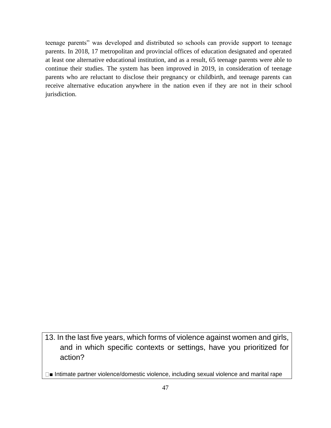teenage parents" was developed and distributed so schools can provide support to teenage parents. In 2018, 17 metropolitan and provincial offices of education designated and operated at least one alternative educational institution, and as a result, 65 teenage parents were able to continue their studies. The system has been improved in 2019, in consideration of teenage parents who are reluctant to disclose their pregnancy or childbirth, and teenage parents can receive alternative education anywhere in the nation even if they are not in their school jurisdiction.

13. In the last five years, which forms of violence against women and girls, and in which specific contexts or settings, have you prioritized for action?

□■ Intimate partner violence/domestic violence, including sexual violence and marital rape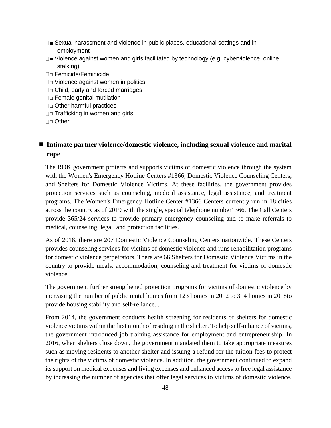$\square$  Sexual harassment and violence in public places, educational settings and in employment  $\square$  Violence against women and girls facilitated by technology (e.g. cyberviolence, online stalking) □ Femicide/Feminicide □□ Violence against women in politics □□ Child, early and forced marriages □□ Female genital mutilation □□ Other harmful practices □□ Trafficking in women and girls □□ Other

## ■ Intimate partner violence/domestic violence, including sexual violence and marital **rape**

The ROK government protects and supports victims of domestic violence through the system with the Women's Emergency Hotline Centers #1366, Domestic Violence Counseling Centers, and Shelters for Domestic Violence Victims. At these facilities, the government provides protection services such as counseling, medical assistance, legal assistance, and treatment programs. The Women's Emergency Hotline Center #1366 Centers currently run in 18 cities across the country as of 2019 with the single, special telephone number1366. The Call Centers provide 365/24 services to provide primary emergency counseling and to make referrals to medical, counseling, legal, and protection facilities.

As of 2018, there are 207 Domestic Violence Counseling Centers nationwide. These Centers provides counseling services for victims of domestic violence and runs rehabilitation programs for domestic violence perpetrators. There are 66 Shelters for Domestic Violence Victims in the country to provide meals, accommodation, counseling and treatment for victims of domestic violence.

The government further strengthened protection programs for victims of domestic violence by increasing the number of public rental homes from 123 homes in 2012 to 314 homes in 2018to provide housing stability and self-reliance. .

From 2014, the government conducts health screening for residents of shelters for domestic violence victims within the first month of residing in the shelter. To help self-reliance of victims, the government introduced job training assistance for employment and entrepreneurship. In 2016, when shelters close down, the government mandated them to take appropriate measures such as moving residents to another shelter and issuing a refund for the tuition fees to protect the rights of the victims of domestic violence. In addition, the government continued to expand its support on medical expenses and living expenses and enhanced access to free legal assistance by increasing the number of agencies that offer legal services to victims of domestic violence.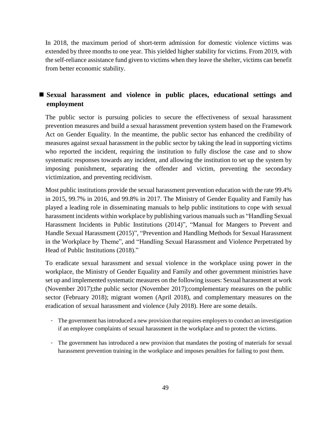In 2018, the maximum period of short-term admission for domestic violence victims was extended by three months to one year. This yielded higher stability for victims. From 2019, with the self-reliance assistance fund given to victims when they leave the shelter, victims can benefit from better economic stability.

# ■ Sexual harassment and violence in public places, educational settings and **employment**

The public sector is pursuing policies to secure the effectiveness of sexual harassment prevention measures and build a sexual harassment prevention system based on the Framework Act on Gender Equality. In the meantime, the public sector has enhanced the credibility of measures against sexual harassment in the public sector by taking the lead in supporting victims who reported the incident, requiring the institution to fully disclose the case and to show systematic responses towards any incident, and allowing the institution to set up the system by imposing punishment, separating the offender and victim, preventing the secondary victimization, and preventing recidivism.

Most public institutions provide the sexual harassment prevention education with the rate 99.4% in 2015, 99.7% in 2016, and 99.8% in 2017. The Ministry of Gender Equality and Family has played a leading role in disseminating manuals to help public institutions to cope with sexual harassment incidents within workplace by publishing various manuals such as "Handling Sexual Harassment Incidents in Public Institutions (2014)", "Manual for Mangers to Prevent and Handle Sexual Harassment (2015)", "Prevention and Handling Methods for Sexual Harassment in the Workplace by Theme", and "Handling Sexual Harassment and Violence Perpetrated by Head of Public Institutions (2018)."

To eradicate sexual harassment and sexual violence in the workplace using power in the workplace, the Ministry of Gender Equality and Family and other government ministries have set up and implemented systematic measures on the following issues: Sexual harassment at work (November 2017);the public sector (November 2017);complementary measures on the public sector (February 2018); migrant women (April 2018), and complementary measures on the eradication of sexual harassment and violence (July 2018). Here are some details.

- The government has introduced a new provision that requires employers to conduct an investigation if an employee complaints of sexual harassment in the workplace and to protect the victims.
- The government has introduced a new provision that mandates the posting of materials for sexual harassment prevention training in the workplace and imposes penalties for failing to post them.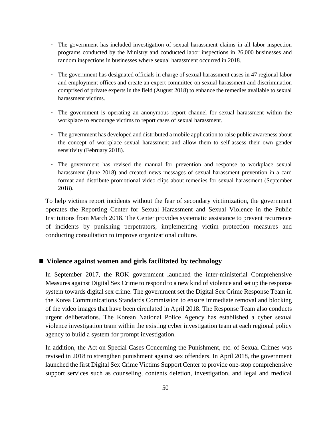- The government has included investigation of sexual harassment claims in all labor inspection programs conducted by the Ministry and conducted labor inspections in 26,000 businesses and random inspections in businesses where sexual harassment occurred in 2018.
- The government has designated officials in charge of sexual harassment cases in 47 regional labor and employment offices and create an expert committee on sexual harassment and discrimination comprised of private experts in the field (August 2018) to enhance the remedies available to sexual harassment victims.
- The government is operating an anonymous report channel for sexual harassment within the workplace to encourage victims to report cases of sexual harassment.
- The government has developed and distributed a mobile application to raise public awareness about the concept of workplace sexual harassment and allow them to self-assess their own gender sensitivity (February 2018).
- The government has revised the manual for prevention and response to workplace sexual harassment (June 2018) and created news messages of sexual harassment prevention in a card format and distribute promotional video clips about remedies for sexual harassment (September 2018).

To help victims report incidents without the fear of secondary victimization, the government operates the Reporting Center for Sexual Harassment and Sexual Violence in the Public Institutions from March 2018. The Center provides systematic assistance to prevent recurrence of incidents by punishing perpetrators, implementing victim protection measures and conducting consultation to improve organizational culture.

### ◼ **Violence against women and girls facilitated by technology**

In September 2017, the ROK government launched the inter-ministerial Comprehensive Measures against Digital Sex Crime to respond to a new kind of violence and set up the response system towards digital sex crime. The government set the Digital Sex Crime Response Team in the Korea Communications Standards Commission to ensure immediate removal and blocking of the video images that have been circulated in April 2018. The Response Team also conducts urgent deliberations. The Korean National Police Agency has established a cyber sexual violence investigation team within the existing cyber investigation team at each regional policy agency to build a system for prompt investigation.

In addition, the Act on Special Cases Concerning the Punishment, etc. of Sexual Crimes was revised in 2018 to strengthen punishment against sex offenders. In April 2018, the government launched the first Digital Sex Crime Victims Support Center to provide one-stop comprehensive support services such as counseling, contents deletion, investigation, and legal and medical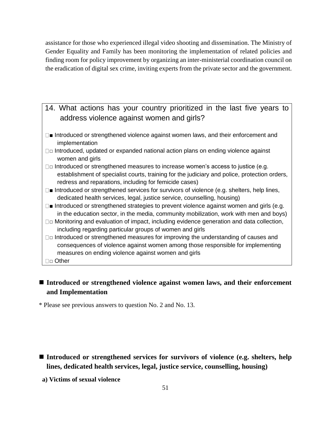assistance for those who experienced illegal video shooting and dissemination. The Ministry of Gender Equality and Family has been monitoring the implementation of related policies and finding room for policy improvement by organizing an inter-ministerial coordination council on the eradication of digital sex crime, inviting experts from the private sector and the government.

# 14. What actions has your country prioritized in the last five years to address violence against women and girls?

- □■ Introduced or strengthened violence against women laws, and their enforcement and implementation
- □□ Introduced, updated or expanded national action plans on ending violence against women and girls
- $\square$  Introduced or strengthened measures to increase women's access to justice (e.g. establishment of specialist courts, training for the judiciary and police, protection orders, redress and reparations, including for femicide cases)
- □■ Introduced or strengthened services for survivors of violence (e.g. shelters, help lines, dedicated health services, legal, justice service, counselling, housing)
- $\square$  Introduced or strengthened strategies to prevent violence against women and girls (e.g. in the education sector, in the media, community mobilization, work with men and boys)
- $\square$  $\square$  Monitoring and evaluation of impact, including evidence generation and data collection, including regarding particular groups of women and girls
- $\square$  Introduced or strengthened measures for improving the understanding of causes and consequences of violence against women among those responsible for implementing measures on ending violence against women and girls
- □□ Other

# ■ Introduced or strengthened violence against women laws, and their enforcement **and Implementation**

\* Please see previous answers to question No. 2 and No. 13.

- Introduced or strengthened services for survivors of violence (e.g. shelters, help **lines, dedicated health services, legal, justice service, counselling, housing)**
- **a) Victims of sexual violence**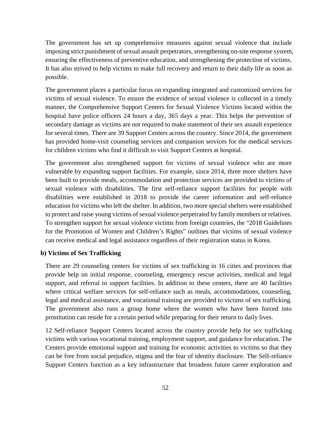The government has set up comprehensive measures against sexual violence that include imposing strict punishment of sexual assault perpetrators, strengthening on-site response system, ensuring the effectiveness of preventive education, and strengthening the protection of victims. It has also strived to help victims to make full recovery and return to their daily life as soon as possible.

The government places a particular focus on expanding integrated and customized services for victims of sexual violence. To ensure the evidence of sexual violence is collected in a timely manner, the Comprehensive Support Centers for Sexual Violence Victims located within the hospital have police officers 24 hours a day, 365 days a year. This helps the prevention of secondary damage as victims are not required to make statement of their sex assault experience for several times. There are 39 Support Centers across the country. Since 2014, the government has provided home-visit counseling services and companion services for the medical services for children victims who find it difficult to visit Support Centers at hospital.

The government also strengthened support for victims of sexual violence who are more vulnerable by expanding support facilities. For example, since 2014, three more shelters have been built to provide meals, accommodation and protection services are provided to victims of sexual violence with disabilities. The first self-reliance support facilities for people with disabilities were established in 2018 to provide the career information and self-reliance education for victims who left the shelter. In addition, two more special shelters were established to protect and raise young victims of sexual violence perpetrated by family members or relatives. To strengthen support for sexual violence victims from foreign countries, the "2018 Guidelines for the Promotion of Women and Children's Rights" outlines that victims of sexual violence can receive medical and legal assistance regardless of their registration status in Korea.

### **b) Victims of Sex Trafficking**

There are 29 counseling centers for victims of sex trafficking in 16 cities and provinces that provide help on initial response, counseling, emergency rescue activities, medical and legal support, and referral to support facilities. In addition to these centers, there are 40 facilities where critical welfare services for self-reliance such as meals, accommodations, counseling, legal and medical assistance, and vocational training are provided to victims of sex trafficking. The government also runs a group home where the women who have been forced into prostitution can reside for a certain period while preparing for their return to daily lives.

12 Self-reliance Support Centers located across the country provide help for sex trafficking victims with various vocational training, employment support, and guidance for education. The Centers provide emotional support and training for economic activities to victims so that they can be free from social prejudice, stigma and the fear of identity disclosure. The Self-reliance Support Centers function as a key infrastructure that broadens future career exploration and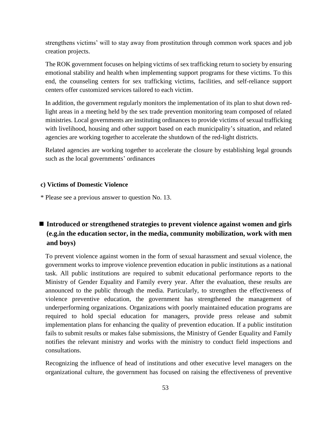strengthens victims' will to stay away from prostitution through common work spaces and job creation projects.

The ROK government focuses on helping victims of sex trafficking return to society by ensuring emotional stability and health when implementing support programs for these victims. To this end, the counseling centers for sex trafficking victims, facilities, and self-reliance support centers offer customized services tailored to each victim.

In addition, the government regularly monitors the implementation of its plan to shut down redlight areas in a meeting held by the sex trade prevention monitoring team composed of related ministries. Local governments are instituting ordinances to provide victims of sexual trafficking with livelihood, housing and other support based on each municipality's situation, and related agencies are working together to accelerate the shutdown of the red-light districts.

Related agencies are working together to accelerate the closure by establishing legal grounds such as the local governments' ordinances

### **c) Victims of Domestic Violence**

\* Please see a previous answer to question No. 13.

# ■ Introduced or strengthened strategies to prevent violence against women and girls **(e.g.in the education sector, in the media, community mobilization, work with men and boys)**

To prevent violence against women in the form of sexual harassment and sexual violence, the government works to improve violence prevention education in public institutions as a national task. All public institutions are required to submit educational performance reports to the Ministry of Gender Equality and Family every year. After the evaluation, these results are announced to the public through the media. Particularly, to strengthen the effectiveness of violence preventive education, the government has strengthened the management of underperforming organizations. Organizations with poorly maintained education programs are required to hold special education for managers, provide press release and submit implementation plans for enhancing the quality of prevention education. If a public institution fails to submit results or makes false submissions, the Ministry of Gender Equality and Family notifies the relevant ministry and works with the ministry to conduct field inspections and consultations.

Recognizing the influence of head of institutions and other executive level managers on the organizational culture, the government has focused on raising the effectiveness of preventive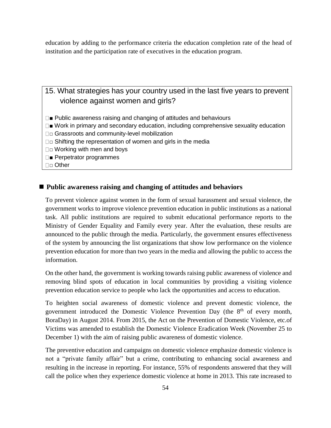education by adding to the performance criteria the education completion rate of the head of institution and the participation rate of executives in the education program.

# 15. What strategies has your country used in the last five years to prevent violence against women and girls?

- $\square$  Public awareness raising and changing of attitudes and behaviours
- $\square$  Work in primary and secondary education, including comprehensive sexuality education
- □□ Grassroots and community-level mobilization
- $\square$  $\square$  Shifting the representation of women and girls in the media
- $\square$  Working with men and boys
- □■ Perpetrator programmes
- □□ Other

## ■ Public awareness raising and changing of attitudes and behaviors

To prevent violence against women in the form of sexual harassment and sexual violence, the government works to improve violence prevention education in public institutions as a national task. All public institutions are required to submit educational performance reports to the Ministry of Gender Equality and Family every year. After the evaluation, these results are announced to the public through the media. Particularly, the government ensures effectiveness of the system by announcing the list organizations that show low performance on the violence prevention education for more than two years in the media and allowing the public to access the information.

On the other hand, the government is working towards raising public awareness of violence and removing blind spots of education in local communities by providing a visiting violence prevention education service to people who lack the opportunities and access to education.

To heighten social awareness of domestic violence and prevent domestic violence, the government introduced the Domestic Violence Prevention Day (the 8<sup>th</sup> of every month, BoraDay) in August 2014. From 2015, the Act on the Prevention of Domestic Violence, etc.of Victims was amended to establish the Domestic Violence Eradication Week (November 25 to December 1) with the aim of raising public awareness of domestic violence.

The preventive education and campaigns on domestic violence emphasize domestic violence is not a "private family affair" but a crime, contributing to enhancing social awareness and resulting in the increase in reporting. For instance, 55% of respondents answered that they will call the police when they experience domestic violence at home in 2013. This rate increased to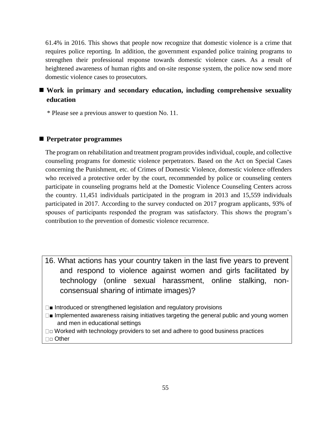61.4% in 2016. This shows that people now recognize that domestic violence is a crime that requires police reporting. In addition, the government expanded police training programs to strengthen their professional response towards domestic violence cases. As a result of heightened awareness of human rights and on-site response system, the police now send more domestic violence cases to prosecutors.

# ■ Work in primary and secondary education, including comprehensive sexuality **education**

\* Please see a previous answer to question No. 11.

### ◼ **Perpetrator programmes**

The program on rehabilitation and treatment program provides individual, couple, and collective counseling programs for domestic violence perpetrators. Based on the Act on Special Cases concerning the Punishment, etc. of Crimes of Domestic Violence, domestic violence offenders who received a protective order by the court, recommended by police or counseling centers participate in counseling programs held at the Domestic Violence Counseling Centers across the country. 11,451 individuals participated in the program in 2013 and 15,559 individuals participated in 2017. According to the survey conducted on 2017 program applicants, 93% of spouses of participants responded the program was satisfactory. This shows the program's contribution to the prevention of domestic violence recurrence.

- 16. What actions has your country taken in the last five years to prevent and respond to violence against women and girls facilitated by technology (online sexual harassment, online stalking, nonconsensual sharing of intimate images)?
- $\square$  Introduced or strengthened legislation and regulatory provisions
- $\square$  Implemented awareness raising initiatives targeting the general public and young women and men in educational settings
- □□ Worked with technology providers to set and adhere to good business practices □□ Other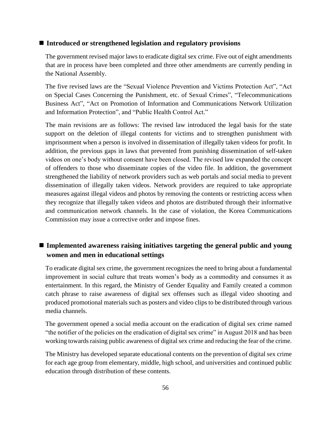### ■ Introduced or strengthened legislation and regulatory provisions

The government revised major laws to eradicate digital sex crime. Five out of eight amendments that are in process have been completed and three other amendments are currently pending in the National Assembly.

The five revised laws are the "Sexual Violence Prevention and Victims Protection Act", "Act on Special Cases Concerning the Punishment, etc. of Sexual Crimes", "Telecommunications Business Act", "Act on Promotion of Information and Communications Network Utilization and Information Protection", and "Public Health Control Act."

The main revisions are as follows: The revised law introduced the legal basis for the state support on the deletion of illegal contents for victims and to strengthen punishment with imprisonment when a person is involved in dissemination of illegally taken videos for profit. In addition, the previous gaps in laws that prevented from punishing dissemination of self-taken videos on one's body without consent have been closed. The revised law expanded the concept of offenders to those who disseminate copies of the video file. In addition, the government strengthened the liability of network providers such as web portals and social media to prevent dissemination of illegally taken videos. Network providers are required to take appropriate measures against illegal videos and photos by removing the contents or restricting access when they recognize that illegally taken videos and photos are distributed through their informative and communication network channels. In the case of violation, the Korea Communications Commission may issue a corrective order and impose fines.

## ■ Implemented awareness raising initiatives targeting the general public and young **women and men in educational settings**

To eradicate digital sex crime, the government recognizes the need to bring about a fundamental improvement in social culture that treats women's body as a commodity and consumes it as entertainment. In this regard, the Ministry of Gender Equality and Family created a common catch phrase to raise awareness of digital sex offenses such as illegal video shooting and produced promotional materials such as posters and video clips to be distributed through various media channels.

The government opened a social media account on the eradication of digital sex crime named "the notifier of the policies on the eradication of digital sex crime" in August 2018 and has been working towards raising public awareness of digital sex crime and reducing the fear of the crime.

The Ministry has developed separate educational contents on the prevention of digital sex crime for each age group from elementary, middle, high school, and universities and continued public education through distribution of these contents.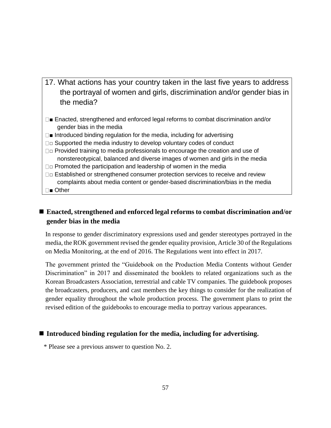- 17. What actions has your country taken in the last five years to address the portrayal of women and girls, discrimination and/or gender bias in the media?
- Enacted, strengthened and enforced legal reforms to combat discrimination and/or gender bias in the media
- $\square$  Introduced binding regulation for the media, including for advertising
- $\Box$  $\Box$  Supported the media industry to develop voluntary codes of conduct
- $\Box$  $\Box$  Provided training to media professionals to encourage the creation and use of nonstereotypical, balanced and diverse images of women and girls in the media
- $\square$  $\square$  Promoted the participation and leadership of women in the media
- □□ Established or strengthened consumer protection services to receive and review complaints about media content or gender-based discrimination/bias in the media
- □■ Other

# ■ Enacted, strengthened and enforced legal reforms to combat discrimination and/or **gender bias in the media**

In response to gender discriminatory expressions used and gender stereotypes portrayed in the media, the ROK government revised the gender equality provision, Article 30 of the Regulations on Media Monitoring, at the end of 2016. The Regulations went into effect in 2017.

The government printed the "Guidebook on the Production Media Contents without Gender Discrimination" in 2017 and disseminated the booklets to related organizations such as the Korean Broadcasters Association, terrestrial and cable TV companies. The guidebook proposes the broadcasters, producers, and cast members the key things to consider for the realization of gender equality throughout the whole production process. The government plans to print the revised edition of the guidebooks to encourage media to portray various appearances.

## ■ Introduced binding regulation for the media, including for advertising.

\* Please see a previous answer to question No. 2.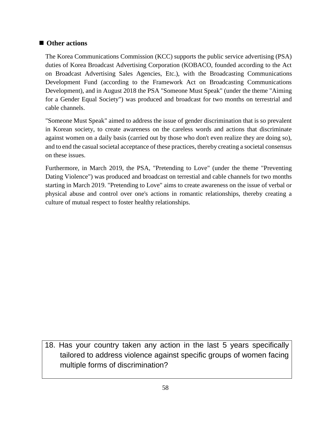## ■ Other actions

The Korea Communications Commission (KCC) supports the public service advertising (PSA) duties of Korea Broadcast Advertising Corporation (KOBACO, founded according to the Act on Broadcast Advertising Sales Agencies, Etc.), with the Broadcasting Communications Development Fund (according to the Framework Act on Broadcasting Communications Development), and in August 2018 the PSA "Someone Must Speak" (under the theme "Aiming for a Gender Equal Society") was produced and broadcast for two months on terrestrial and cable channels.

"Someone Must Speak" aimed to address the issue of gender discrimination that is so prevalent in Korean society, to create awareness on the careless words and actions that discriminate against women on a daily basis (carried out by those who don't even realize they are doing so), and to end the casual societal acceptance of these practices, thereby creating a societal consensus on these issues.

Furthermore, in March 2019, the PSA, "Pretending to Love" (under the theme "Preventing Dating Violence") was produced and broadcast on terrestial and cable channels for two months starting in March 2019. "Pretending to Love" aims to create awareness on the issue of verbal or physical abuse and control over one's actions in romantic relationships, thereby creating a culture of mutual respect to foster healthy relationships.

18. Has your country taken any action in the last 5 years specifically tailored to address violence against specific groups of women facing multiple forms of discrimination?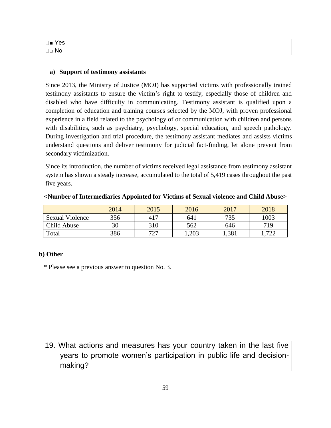| $\square$ Yes          |  |  |
|------------------------|--|--|
| $\square$ $\square$ No |  |  |

### **a) Support of testimony assistants**

Since 2013, the Ministry of Justice (MOJ) has supported victims with professionally trained testimony assistants to ensure the victim's right to testify, especially those of children and disabled who have difficulty in communicating. Testimony assistant is qualified upon a completion of education and training courses selected by the MOJ, with proven professional experience in a field related to the psychology of or communication with children and persons with disabilities, such as psychiatry, psychology, special education, and speech pathology. During investigation and trial procedure, the testimony assistant mediates and assists victims understand questions and deliver testimony for judicial fact-finding, let alone prevent from secondary victimization.

Since its introduction, the number of victims received legal assistance from testimony assistant system has shown a steady increase, accumulated to the total of 5,419 cases throughout the past five years.

|                        | 2014 | 2015 | 2016  | 2017 | 2018       |
|------------------------|------|------|-------|------|------------|
| <b>Sexual Violence</b> | 356  | 417  | 641   | 735  | 1003       |
| Child Abuse            | 30   | 310  | 562   | 646  | 719        |
| Total                  | 386  | 727  | 1,203 | .381 | 722<br>ے ک |

**<Number of Intermediaries Appointed for Victims of Sexual violence and Child Abuse>**

## **b) Other**

\* Please see a previous answer to question No. 3.

# 19. What actions and measures has your country taken in the last five years to promote women's participation in public life and decisionmaking?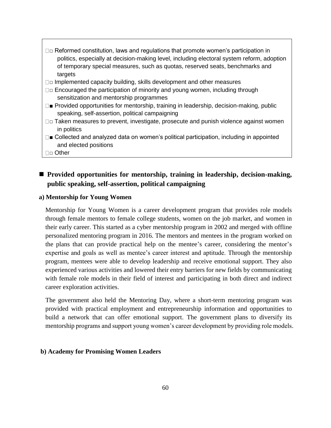- $\square$  Reformed constitution, laws and regulations that promote women's participation in politics, especially at decision-making level, including electoral system reform, adoption of temporary special measures, such as quotas, reserved seats, benchmarks and targets
- $\Box$  Implemented capacity building, skills development and other measures
- $\square$  Encouraged the participation of minority and young women, including through sensitization and mentorship programmes
- □■ Provided opportunities for mentorship, training in leadership, decision-making, public speaking, self-assertion, political campaigning
- $\square$  $\square$  Taken measures to prevent, investigate, prosecute and punish violence against women in politics
- $\square$  Collected and analyzed data on women's political participation, including in appointed and elected positions

□□ Other

# ■ Provided opportunities for mentorship, training in leadership, decision-making, **public speaking, self-assertion, political campaigning**

### **a) Mentorship for Young Women**

Mentorship for Young Women is a career development program that provides role models through female mentors to female college students, women on the job market, and women in their early career. This started as a cyber mentorship program in 2002 and merged with offline personalized mentoring program in 2016. The mentors and mentees in the program worked on the plans that can provide practical help on the mentee's career, considering the mentor's expertise and goals as well as mentee's career interest and aptitude. Through the mentorship program, mentees were able to develop leadership and receive emotional support. They also experienced various activities and lowered their entry barriers for new fields by communicating with female role models in their field of interest and participating in both direct and indirect career exploration activities.

The government also held the Mentoring Day, where a short-term mentoring program was provided with practical employment and entrepreneurship information and opportunities to build a network that can offer emotional support. The government plans to diversify its mentorship programs and support young women's career development by providing role models.

### **b) Academy for Promising Women Leaders**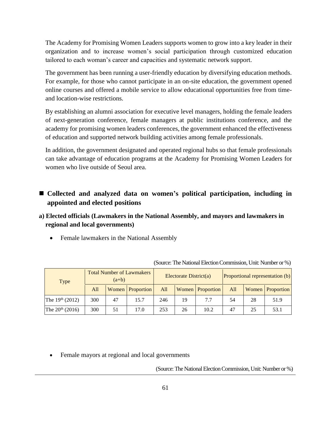The Academy for Promising Women Leaders supports women to grow into a key leader in their organization and to increase women's social participation through customized education tailored to each woman's career and capacities and systematic network support.

The government has been running a user-friendly education by diversifying education methods. For example, for those who cannot participate in an on-site education, the government opened online courses and offered a mobile service to allow educational opportunities free from timeand location-wise restrictions.

By establishing an alumni association for executive level managers, holding the female leaders of next-generation conference, female managers at public institutions conference, and the academy for promising women leaders conferences, the government enhanced the effectiveness of education and supported network building activities among female professionals.

In addition, the government designated and operated regional hubs so that female professionals can take advantage of education programs at the Academy for Promising Women Leaders for women who live outside of Seoul area.

# ■ Collected and analyzed data on women's political participation, including in **appointed and elected positions**

- **a) Elected officials (Lawmakers in the National Assembly, and mayors and lawmakers in regional and local governments)**
	- Female lawmakers in the National Assembly

| Type                 | <b>Total Number of Lawmakers</b><br>$(a+b)$ |    |                  | Electorate District(a) |    |                  | <b>Proportional representation (b)</b> |    |                  |
|----------------------|---------------------------------------------|----|------------------|------------------------|----|------------------|----------------------------------------|----|------------------|
|                      | All                                         |    | Women Proportion | All                    |    | Women Proportion | All                                    |    | Women Proportion |
| The $19^{th}$ (2012) | 300                                         | 47 | 15.7             | 246                    | 19 | 7.7              | 54                                     | 28 | 51.9             |
| The $20^{th}$ (2016) | 300                                         | 51 | 17.0             | 253                    | 26 | 10.2             | 47                                     | 25 | 53.1             |

(Source: The National Election Commission, Unit: Number or %)

• Female mayors at regional and local governments

(Source: The National Election Commission, Unit: Number or %)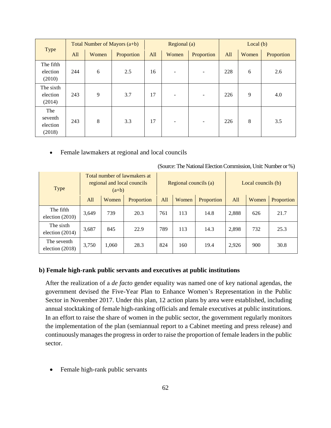| Type                                 | Total Number of Mayors $(a+b)$ |       |            | Regional (a) |       |                          | Local $(b)$ |       |            |
|--------------------------------------|--------------------------------|-------|------------|--------------|-------|--------------------------|-------------|-------|------------|
|                                      | All                            | Women | Proportion | All          | Women | Proportion               | All         | Women | Proportion |
| The fifth<br>election<br>(2010)      | 244                            | 6     | 2.5        | 16           |       | ٠                        | 228         | 6     | 2.6        |
| The sixth<br>election<br>(2014)      | 243                            | 9     | 3.7        | 17           |       | ٠                        | 226         | 9     | 4.0        |
| The<br>seventh<br>election<br>(2018) | 243                            | 8     | 3.3        | 17           | -     | $\overline{\phantom{a}}$ | 226         | 8     | 3.5        |

• Female lawmakers at regional and local councils

| Type                             | Total number of lawmakers at<br>regional and local councils<br>$(a+b)$ |       |            | Regional councils (a) |       |            | Local councils (b) |       |            |
|----------------------------------|------------------------------------------------------------------------|-------|------------|-----------------------|-------|------------|--------------------|-------|------------|
|                                  | All                                                                    | Women | Proportion | All                   | Women | Proportion | A11                | Women | Proportion |
| The fifth<br>election $(2010)$   | 3,649                                                                  | 739   | 20.3       | 761                   | 113   | 14.8       | 2,888              | 626   | 21.7       |
| The sixth<br>election $(2014)$   | 3,687                                                                  | 845   | 22.9       | 789                   | 113   | 14.3       | 2,898              | 732   | 25.3       |
| The seventh<br>election $(2018)$ | 3,750                                                                  | 1,060 | 28.3       | 824                   | 160   | 19.4       | 2,926              | 900   | 30.8       |

(Source: The National Election Commission, Unit: Number or %)

### **b) Female high-rank public servants and executives at public institutions**

After the realization of a *de facto* gender equality was named one of key national agendas, the government devised the Five-Year Plan to Enhance Women's Representation in the Public Sector in November 2017. Under this plan, 12 action plans by area were established, including annual stocktaking of female high-ranking officials and female executives at public institutions. In an effort to raise the share of women in the public sector, the government regularly monitors the implementation of the plan (semiannual report to a Cabinet meeting and press release) and continuously manages the progressin order to raise the proportion of female leaders in the public sector.

• Female high-rank public servants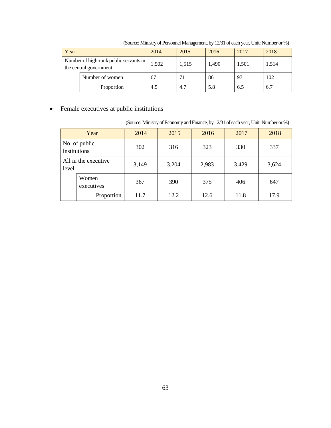| Year       |                                                                  | 2014  | 2015  | 2016 | 2017 | 2018 |
|------------|------------------------------------------------------------------|-------|-------|------|------|------|
|            | Number of high-rank public servants in<br>the central government | 1.502 | 1.515 | .490 | .501 | .514 |
|            | Number of women                                                  |       |       | 86   |      | 102  |
| Proportion |                                                                  |       | 4.1   |      | n. J |      |

(Source: Ministry of Personnel Management, by 12/31 of each year, Unit: Number or %)

• Female executives at public institutions

|  |  |  | (Source: Ministry of Economy and Finance, by 12/31 of each year, Unit: Number or %) |  |
|--|--|--|-------------------------------------------------------------------------------------|--|
|  |  |  |                                                                                     |  |
|  |  |  |                                                                                     |  |

| Year                          |  | 2014       | 2015  | 2016  | 2017  | 2018  |      |
|-------------------------------|--|------------|-------|-------|-------|-------|------|
| No. of public<br>institutions |  |            | 302   | 316   | 323   | 330   | 337  |
| All in the executive<br>level |  | 3,149      | 3,204 | 2,983 | 3,429 | 3,624 |      |
| Women<br>executives           |  | 367        | 390   | 375   | 406   | 647   |      |
|                               |  | Proportion | 11.7  | 12.2  | 12.6  | 11.8  | 17.9 |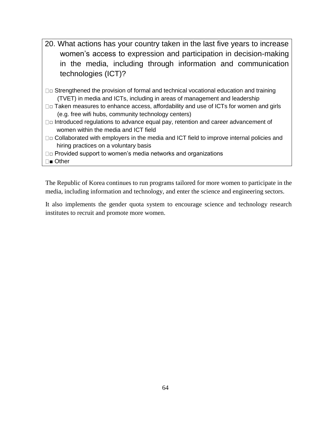- 20. What actions has your country taken in the last five years to increase women's access to expression and participation in decision-making in the media, including through information and communication technologies (ICT)?
- $\square$  $\square$  Strengthened the provision of formal and technical vocational education and training (TVET) in media and ICTs, including in areas of management and leadership
- □□ Taken measures to enhance access, affordability and use of ICTs for women and girls (e.g. free wifi hubs, community technology centers)
- □□ Introduced regulations to advance equal pay, retention and career advancement of women within the media and ICT field
- $\square$  $\square$  Collaborated with employers in the media and ICT field to improve internal policies and hiring practices on a voluntary basis
- □□ Provided support to women's media networks and organizations
- Other

The Republic of Korea continues to run programs tailored for more women to participate in the media, including information and technology, and enter the science and engineering sectors.

It also implements the gender quota system to encourage science and technology research institutes to recruit and promote more women.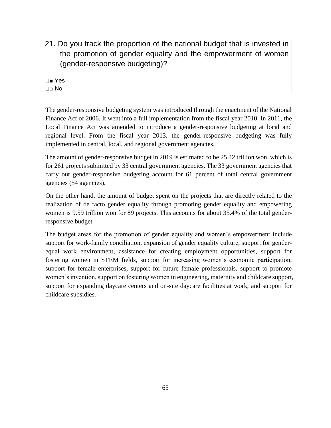21. Do you track the proportion of the national budget that is invested in the promotion of gender equality and the empowerment of women (gender-responsive budgeting)?

■ Yes  $\Box \Box$  No

The gender-responsive budgeting system was introduced through the enactment of the National Finance Act of 2006. It went into a full implementation from the fiscal year 2010. In 2011, the Local Finance Act was amended to introduce a gender-responsive budgeting at local and regional level. From the fiscal year 2013, the gender-responsive budgeting was fully implemented in central, local, and regional government agencies.

The amount of gender-responsive budget in 2019 is estimated to be 25.42 trillion won, which is for 261 projects submitted by 33 central government agencies. The 33 government agencies that carry out gender-responsive budgeting account for 61 percent of total central government agencies (54 agencies).

On the other hand, the amount of budget spent on the projects that are directly related to the realization of de facto gender equality through promoting gender equality and empowering women is 9.59 trillion won for 89 projects. This accounts for about 35.4% of the total genderresponsive budget.

The budget areas for the promotion of gender equality and women's empowerment include support for work-family conciliation, expansion of gender equality culture, support for genderequal work environment, assistance for creating employment opportunities, support for fostering women in STEM fields, support for increasing women's economic participation, support for female enterprises, support for future female professionals, support to promote women's invention, support on fostering women in engineering, maternity and childcare support, support for expanding daycare centers and on-site daycare facilities at work, and support for childcare subsidies.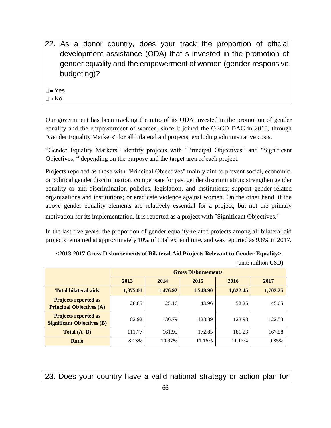22. As a donor country, does your track the proportion of official development assistance (ODA) that s invested in the promotion of gender equality and the empowerment of women (gender-responsive budgeting)?

■ Yes

□□ No

Our government has been tracking the ratio of its ODA invested in the promotion of gender equality and the empowerment of women, since it joined the OECD DAC in 2010, through "Gender Equality Markers" for all bilateral aid projects, excluding administrative costs.

"Gender Equality Markers" identify projects with "Principal Objectives" and "Significant Objectives, " depending on the purpose and the target area of each project.

Projects reported as those with "Principal Objectives" mainly aim to prevent social, economic, or political gender discrimination; compensate for past gender discrimination; strengthen gender equality or anti-discrimination policies, legislation, and institutions; support gender-related organizations and institutions; or eradicate violence against women. On the other hand, if the above gender equality elements are relatively essential for a project, but not the primary motivation for its implementation, it is reported as a project with "Significant Objectives."

In the last five years, the proportion of gender equality-related projects among all bilateral aid projects remained at approximately 10% of total expenditure, and was reported as 9.8% in 2017.

| <2013-2017 Gross Disbursements of Bilateral Aid Projects Relevant to Gender Equality> |
|---------------------------------------------------------------------------------------|
|---------------------------------------------------------------------------------------|

|                                                                  |          | <b>Gross Disbursements</b> |          |          |          |  |  |  |  |
|------------------------------------------------------------------|----------|----------------------------|----------|----------|----------|--|--|--|--|
|                                                                  | 2013     | 2014                       | 2015     | 2016     | 2017     |  |  |  |  |
| <b>Total bilateral aids</b>                                      | 1,375.01 | 1,476.92                   | 1,548.90 | 1,622.45 | 1,702.25 |  |  |  |  |
| <b>Projects reported as</b><br><b>Principal Objectives (A)</b>   | 28.85    | 25.16                      | 43.96    | 52.25    | 45.05    |  |  |  |  |
| <b>Projects reported as</b><br><b>Significant Objectives (B)</b> | 82.92    | 136.79                     | 128.89   | 128.98   | 122.53   |  |  |  |  |
| Total $(A+B)$                                                    | 111.77   | 161.95                     | 172.85   | 181.23   | 167.58   |  |  |  |  |
| <b>Ratio</b>                                                     | 8.13%    | 10.97%                     | 11.16%   | 11.17%   | 9.85%    |  |  |  |  |

(unit: million USD)

23. Does your country have a valid national strategy or action plan for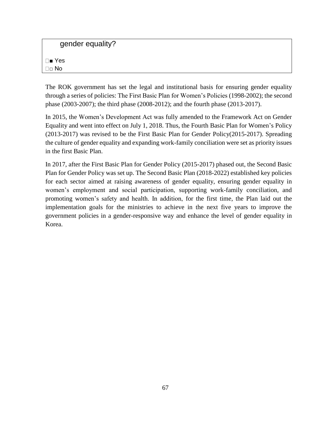gender equality?

■ Yes □□ No

The ROK government has set the legal and institutional basis for ensuring gender equality through a series of policies: The First Basic Plan for Women's Policies (1998-2002); the second phase (2003-2007); the third phase (2008-2012); and the fourth phase (2013-2017).

In 2015, the Women's Development Act was fully amended to the Framework Act on Gender Equality and went into effect on July 1, 2018. Thus, the Fourth Basic Plan for Women's Policy (2013-2017) was revised to be the First Basic Plan for Gender Policy(2015-2017). Spreading the culture of gender equality and expanding work-family conciliation were set as priority issues in the first Basic Plan.

In 2017, after the First Basic Plan for Gender Policy (2015-2017) phased out, the Second Basic Plan for Gender Policy was set up. The Second Basic Plan (2018-2022) established key policies for each sector aimed at raising awareness of gender equality, ensuring gender equality in women's employment and social participation, supporting work-family conciliation, and promoting women's safety and health. In addition, for the first time, the Plan laid out the implementation goals for the ministries to achieve in the next five years to improve the government policies in a gender-responsive way and enhance the level of gender equality in Korea.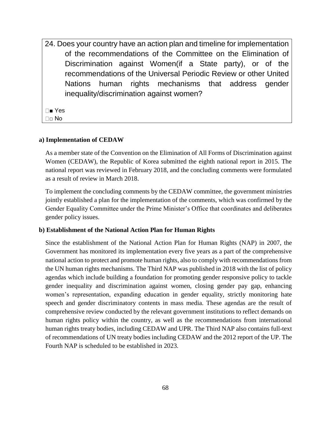24. Does your country have an action plan and timeline for implementation of the recommendations of the Committee on the Elimination of Discrimination against Women(if a State party), or of the recommendations of the Universal Periodic Review or other United Nations human rights mechanisms that address gender inequality/discrimination against women?

■ Yes □□ No

#### **a) Implementation of CEDAW**

As a member state of the Convention on the Elimination of All Forms of Discrimination against Women (CEDAW), the Republic of Korea submitted the eighth national report in 2015. The national report was reviewed in February 2018, and the concluding comments were formulated as a result of review in March 2018.

To implement the concluding comments by the CEDAW committee, the government ministries jointly established a plan for the implementation of the comments, which was confirmed by the Gender Equality Committee under the Prime Minister's Office that coordinates and deliberates gender policy issues.

#### **b) Establishment of the National Action Plan for Human Rights**

Since the establishment of the National Action Plan for Human Rights (NAP) in 2007, the Government has monitored its implementation every five years as a part of the comprehensive national action to protect and promote human rights, also to comply with recommendations from the UN human rights mechanisms. The Third NAP was published in 2018 with the list of policy agendas which include building a foundation for promoting gender responsive policy to tackle gender inequality and discrimination against women, closing gender pay gap, enhancing women's representation, expanding education in gender equality, strictly monitoring hate speech and gender discriminatory contents in mass media. These agendas are the result of comprehensive review conducted by the relevant government institutions to reflect demands on human rights policy within the country, as well as the recommendations from international human rights treaty bodies, including CEDAW and UPR. The Third NAP also contains full-text of recommendations of UN treaty bodies including CEDAW and the 2012 report of the UP. The Fourth NAP is scheduled to be established in 2023.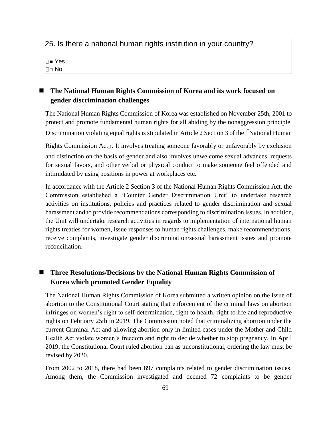25. Is there a national human rights institution in your country? ■ Yes □□ No

# ◼ **The National Human Rights Commission of Korea and its work focused on gender discrimination challenges**

The National Human Rights Commission of Korea was established on November 25th, 2001 to protect and promote fundamental human rights for all abiding by the nonaggression principle. Discrimination violating equal rights is stipulated in Article 2 Section 3 of the 「National Human

Rights Commission Act」. It involves treating someone favorably or unfavorably by exclusion and distinction on the basis of gender and also involves unwelcome sexual advances, requests for sexual favors, and other verbal or physical conduct to make someone feel offended and intimidated by using positions in power at workplaces etc.

In accordance with the Article 2 Section 3 of the National Human Rights Commission Act, the Commission established a 'Counter Gender Discrimination Unit' to undertake research activities on institutions, policies and practices related to gender discrimination and sexual harassment and to provide recommendations corresponding to discrimination issues. In addition, the Unit will undertake research activities in regards to implementation of international human rights treaties for women, issue responses to human rights challenges, make recommendations, receive complaints, investigate gender discrimination/sexual harassment issues and promote reconciliation.

# ◼ **Three Resolutions/Decisions by the National Human Rights Commission of Korea which promoted Gender Equality**

The National Human Rights Commission of Korea submitted a written opinion on the issue of abortion to the Constitutional Court stating that enforcement of the criminal laws on abortion infringes on women's right to self-determination, right to health, right to life and reproductive rights on February 25th in 2019. The Commission noted that criminalizing abortion under the current Criminal Act and allowing abortion only in limited cases under the Mother and Child Health Act violate women's freedom and right to decide whether to stop pregnancy. In April 2019, the Constitutional Court ruled abortion ban as unconstitutional, ordering the law must be revised by 2020.

From 2002 to 2018, there had been 897 complaints related to gender discrimination issues. Among them, the Commission investigated and deemed 72 complaints to be gender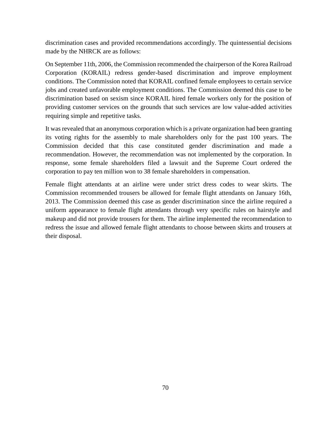discrimination cases and provided recommendations accordingly. The quintessential decisions made by the NHRCK are as follows:

On September 11th, 2006, the Commission recommended the chairperson of the Korea Railroad Corporation (KORAIL) redress gender-based discrimination and improve employment conditions. The Commission noted that KORAIL confined female employees to certain service jobs and created unfavorable employment conditions. The Commission deemed this case to be discrimination based on sexism since KORAIL hired female workers only for the position of providing customer services on the grounds that such services are low value-added activities requiring simple and repetitive tasks.

It was revealed that an anonymous corporation which is a private organization had been granting its voting rights for the assembly to male shareholders only for the past 100 years. The Commission decided that this case constituted gender discrimination and made a recommendation. However, the recommendation was not implemented by the corporation. In response, some female shareholders filed a lawsuit and the Supreme Court ordered the corporation to pay ten million won to 38 female shareholders in compensation.

Female flight attendants at an airline were under strict dress codes to wear skirts. The Commission recommended trousers be allowed for female flight attendants on January 16th, 2013. The Commission deemed this case as gender discrimination since the airline required a uniform appearance to female flight attendants through very specific rules on hairstyle and makeup and did not provide trousers for them. The airline implemented the recommendation to redress the issue and allowed female flight attendants to choose between skirts and trousers at their disposal.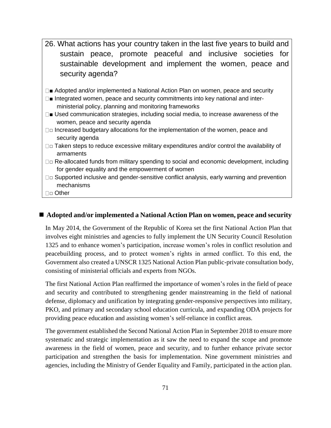- 26. What actions has your country taken in the last five years to build and sustain peace, promote peaceful and inclusive societies for sustainable development and implement the women, peace and security agenda?
- □■ Adopted and/or implemented a National Action Plan on women, peace and security
- $\square$  Integrated women, peace and security commitments into key national and interministerial policy, planning and monitoring frameworks
- $\square$  Used communication strategies, including social media, to increase awareness of the women, peace and security agenda
- □□ Increased budgetary allocations for the implementation of the women, peace and security agenda
- $\square$  $\square$  Taken steps to reduce excessive military expenditures and/or control the availability of armaments
- $\Box$  Re-allocated funds from military spending to social and economic development, including for gender equality and the empowerment of women
- □□ Supported inclusive and gender-sensitive conflict analysis, early warning and prevention mechanisms
- □□ Other

## ■ Adopted and/or implemented a National Action Plan on women, peace and security

In May 2014, the Government of the Republic of Korea set the first National Action Plan that involves eight ministries and agencies to fully implement the UN Security Council Resolution 1325 and to enhance women's participation, increase women's roles in conflict resolution and peacebuilding process, and to protect women's rights in armed conflict. To this end, the Government also created a UNSCR 1325 National Action Plan public-private consultation body, consisting of ministerial officials and experts from NGOs.

The first National Action Plan reaffirmed the importance of women's roles in the field of peace and security and contributed to strengthening gender mainstreaming in the field of national defense, diplomacy and unification by integrating gender-responsive perspectives into military, PKO, and primary and secondary school education curricula, and expanding ODA projects for providing peace educat**i**on and assisting women's self-reliance in conflict areas.

The government established the Second National Action Plan in September 2018 to ensure more systematic and strategic implementation as it saw the need to expand the scope and promote awareness in the field of women, peace and security, and to further enhance private sector participation and strengthen the basis for implementation. Nine government ministries and agencies, including the Ministry of Gender Equality and Family, participated in the action plan.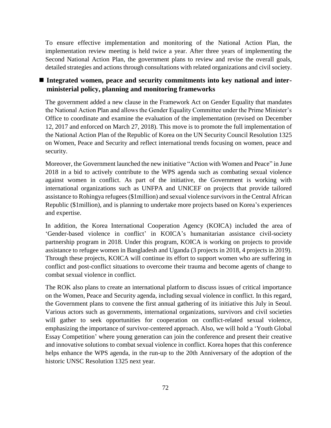To ensure effective implementation and monitoring of the National Action Plan, the implementation review meeting is held twice a year. After three years of implementing the Second National Action Plan, the government plans to review and revise the overall goals, detailed strategies and actions through consultations with related organizations and civil society.

## ■ Integrated women, peace and security commitments into key national and inter**ministerial policy, planning and monitoring frameworks**

The government added a new clause in the Framework Act on Gender Equality that mandates the National Action Plan and allows the Gender Equality Committee under the Prime Minister's Office to coordinate and examine the evaluation of the implementation (revised on December 12, 2017 and enforced on March 27, 2018). This move is to promote the full implementation of the National Action Plan of the Republic of Korea on the UN Security Council Resolution 1325 on Women, Peace and Security and reflect international trends focusing on women, peace and security.

Moreover, the Government launched the new initiative "Action with Women and Peace" in June 2018 in a bid to actively contribute to the WPS agenda such as combating sexual violence against women in conflict. As part of the initiative, the Government is working with international organizations such as UNFPA and UNICEF on projects that provide tailored assistance to Rohingya refugees (\$1million) and sexual violence survivors in the Central African Republic (\$1million), and is planning to undertake more projects based on Korea's experiences and expertise.

In addition, the Korea International Cooperation Agency (KOICA) included the area of 'Gender-based violence in conflict' in KOICA's humanitarian assistance civil-society partnership program in 2018. Under this program, KOICA is working on projects to provide assistance to refugee women in Bangladesh and Uganda (3 projects in 2018, 4 projects in 2019). Through these projects, KOICA will continue its effort to support women who are suffering in conflict and post-conflict situations to overcome their trauma and become agents of change to combat sexual violence in conflict.

The ROK also plans to create an international platform to discuss issues of critical importance on the Women, Peace and Security agenda, including sexual violence in conflict. In this regard, the Government plans to convene the first annual gathering of its initiative this July in Seoul. Various actors such as governments, international organizations, survivors and civil societies will gather to seek opportunities for cooperation on conflict-related sexual violence, emphasizing the importance of survivor-centered approach. Also, we will hold a 'Youth Global Essay Competition' where young generation can join the conference and present their creative and innovative solutions to combat sexual violence in conflict. Korea hopes that this conference helps enhance the WPS agenda, in the run-up to the 20th Anniversary of the adoption of the historic UNSC Resolution 1325 next year.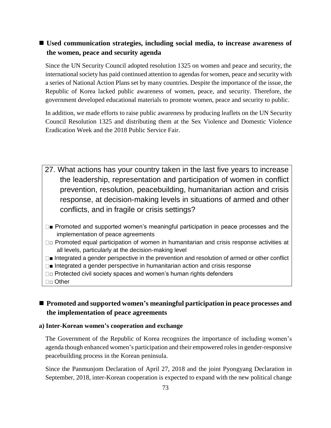### ■ Used communication strategies, including social media, to increase awareness of **the women, peace and security agenda**

Since the UN Security Council adopted resolution 1325 on women and peace and security, the international society has paid continued attention to agendas for women, peace and security with a series of National Action Plans set by many countries. Despite the importance of the issue, the Republic of Korea lacked public awareness of women, peace, and security. Therefore, the government developed educational materials to promote women, peace and security to public.

In addition, we made efforts to raise public awareness by producing leaflets on the UN Security Council Resolution 1325 and distributing them at the Sex Violence and Domestic Violence Eradication Week and the 2018 Public Service Fair.

- 27. What actions has your country taken in the last five years to increase the leadership, representation and participation of women in conflict prevention, resolution, peacebuilding, humanitarian action and crisis response, at decision-making levels in situations of armed and other conflicts, and in fragile or crisis settings?
- $\square$  Promoted and supported women's meaningful participation in peace processes and the implementation of peace agreements
- □ Promoted equal participation of women in humanitarian and crisis response activities at all levels, particularly at the decision-making level
- $\square$  Integrated a gender perspective in the prevention and resolution of armed or other conflict
- $\square$  Integrated a gender perspective in humanitarian action and crisis response
- □□ Protected civil society spaces and women's human rights defenders
- □□ Other

# ■ Promoted and supported women's meaningful participation in peace processes and **the implementation of peace agreements**

#### **a) Inter-Korean women's cooperation and exchange**

The Government of the Republic of Korea recognizes the importance of including women's agenda though enhanced women's participation and their empowered rolesin gender-responsive peacebuilding process in the Korean peninsula.

Since the Panmunjom Declaration of April 27, 2018 and the joint Pyongyang Declaration in September, 2018, inter-Korean cooperation is expected to expand with the new political change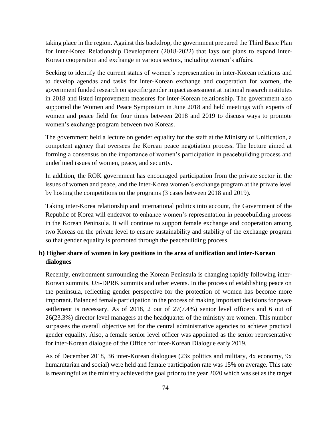taking place in the region. Against this backdrop, the government prepared the Third Basic Plan for Inter-Korea Relationship Development (2018-2022) that lays out plans to expand inter-Korean cooperation and exchange in various sectors, including women's affairs.

Seeking to identify the current status of women's representation in inter-Korean relations and to develop agendas and tasks for inter-Korean exchange and cooperation for women, the government funded research on specific gender impact assessment at national research institutes in 2018 and listed improvement measures for inter-Korean relationship. The government also supported the Women and Peace Symposium in June 2018 and held meetings with experts of women and peace field for four times between 2018 and 2019 to discuss ways to promote women's exchange program between two Koreas.

The government held a lecture on gender equality for the staff at the Ministry of Unification, a competent agency that oversees the Korean peace negotiation process. The lecture aimed at forming a consensus on the importance of women's participation in peacebuilding process and underlined issues of women, peace, and security.

In addition, the ROK government has encouraged participation from the private sector in the issues of women and peace, and the Inter-Korea women's exchange program at the private level by hosting the competitions on the programs (3 cases between 2018 and 2019).

Taking inter-Korea relationship and international politics into account, the Government of the Republic of Korea will endeavor to enhance women's representation in peacebuilding process in the Korean Peninsula. It will continue to support female exchange and cooperation among two Koreas on the private level to ensure sustainability and stability of the exchange program so that gender equality is promoted through the peacebuilding process.

### **b) Higher share of women in key positions in the area of unification and inter-Korean dialogues**

Recently, environment surrounding the Korean Peninsula is changing rapidly following inter-Korean summits, US-DPRK summits and other events. In the process of establishing peace on the peninsula, reflecting gender perspective for the protection of women has become more important. Balanced female participation in the process of making important decisions for peace settlement is necessary. As of 2018, 2 out of 27(7.4%) senior level officers and 6 out of 26(23.3%) director level managers at the headquarter of the ministry are women. This number surpasses the overall objective set for the central administrative agencies to achieve practical gender equality. Also, a female senior level officer was appointed as the senior representative for inter-Korean dialogue of the Office for inter-Korean Dialogue early 2019.

As of December 2018, 36 inter-Korean dialogues (23x politics and military, 4x economy, 9x humanitarian and social) were held and female participation rate was 15% on average. This rate is meaningful as the ministry achieved the goal prior to the year 2020 which was set as the target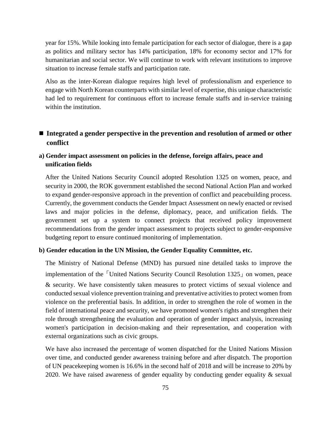year for 15%. While looking into female participation for each sector of dialogue, there is a gap as politics and military sector has 14% participation, 18% for economy sector and 17% for humanitarian and social sector. We will continue to work with relevant institutions to improve situation to increase female staffs and participation rate.

Also as the inter-Korean dialogue requires high level of professionalism and experience to engage with North Korean counterparts with similar level of expertise, this unique characteristic had led to requirement for continuous effort to increase female staffs and in-service training within the institution.

## ■ Integrated a gender perspective in the prevention and resolution of armed or other **conflict**

### **a) Gender impact assessment on policies in the defense, foreign affairs, peace and unification fields**

After the United Nations Security Council adopted Resolution 1325 on women, peace, and security in 2000, the ROK government established the second National Action Plan and worked to expand gender-responsive approach in the prevention of conflict and peacebuilding process. Currently, the government conducts the Gender Impact Assessment on newly enacted or revised laws and major policies in the defense, diplomacy, peace, and unification fields. The government set up a system to connect projects that received policy improvement recommendations from the gender impact assessment to projects subject to gender-responsive budgeting report to ensure continued monitoring of implementation.

#### **b) Gender education in the UN Mission, the Gender Equality Committee, etc.**

The Ministry of National Defense (MND) has pursued nine detailed tasks to improve the implementation of the 「United Nations Security Council Resolution 1325」 on women, peace & security. We have consistently taken measures to protect victims of sexual violence and conducted sexual violence prevention training and preventative activities to protect women from violence on the preferential basis. In addition, in order to strengthen the role of women in the field of international peace and security, we have promoted women's rights and strengthen their role through strengthening the evaluation and operation of gender impact analysis, increasing women's participation in decision-making and their representation, and cooperation with external organizations such as civic groups.

We have also increased the percentage of women dispatched for the United Nations Mission over time, and conducted gender awareness training before and after dispatch. The proportion of UN peacekeeping women is 16.6% in the second half of 2018 and will be increase to 20% by 2020. We have raised awareness of gender equality by conducting gender equality & sexual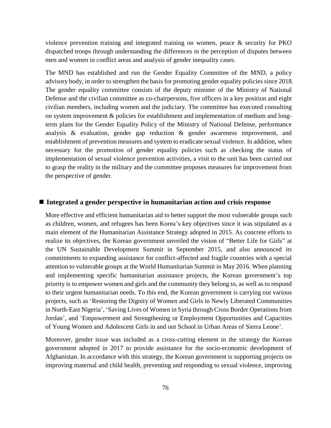violence prevention training and integrated training on women, peace & security for PKO dispatched troops through understanding the differences in the perception of disputes between men and women in conflict areas and analysis of gender inequality cases.

The MND has established and run the Gender Equality Committee of the MND, a policy advisory body, in order to strengthen the basis for promoting gender equality policies since 2018. The gender equality committee consists of the deputy minister of the Ministry of National Defense and the civilian committee as co-chairpersons, five officers in a key position and eight civilian members, including women and the judiciary. The committee has executed consulting on system improvement & policies for establishment and implementation of medium and longterm plans for the Gender Equality Policy of the Ministry of National Defense, performance analysis & evaluation, gender gap reduction & gender awareness improvement, and establishment of prevention measures and system to eradicate sexual violence. In addition, when necessary for the promotion of gender equality policies such as checking the status of implementation of sexual violence prevention activities, a visit to the unit has been carried out to grasp the reality in the military and the committee proposes measures for improvement from the perspective of gender.

#### ■ Integrated a gender perspective in humanitarian action and crisis response

More effective and efficient humanitarian aid to better support the most vulnerable groups such as children, women, and refugees has been Korea's key objectives since it was stipulated as a main element of the Humanitarian Assistance Strategy adopted in 2015. As concrete efforts to realize its objectives, the Korean government unveiled the vision of "Better Life for Girls" at the UN Sustainable Development Summit in September 2015, and also announced its commitments to expanding assistance for conflict-affected and fragile countries with a special attention to vulnerable groups at the World Humanitarian Summit in May 2016. When planning and implementing specific humanitarian assistance projects, the Korean government's top priority is to empower women and girls and the community they belong to, as well as to respond to their urgent humanitarian needs. To this end, the Korean government is carrying out various projects, such as 'Restoring the Dignity of Women and Girls in Newly Liberated Communities in North-East Nigeria', 'Saving Lives of Women in Syria through Cross Border Operations from Jordan', and 'Empowerment and Strengthening or Employment Opportunities and Capacities of Young Women and Adolescent Girls in and out School in Urban Areas of Sierra Leone'.

Moreover, gender issue was included as a cross-cutting element in the strategy the Korean government adopted in 2017 to provide assistance for the socio-economic development of Afghanistan. In accordance with this strategy, the Korean government is supporting projects on improving maternal and child health, preventing and responding to sexual violence, improving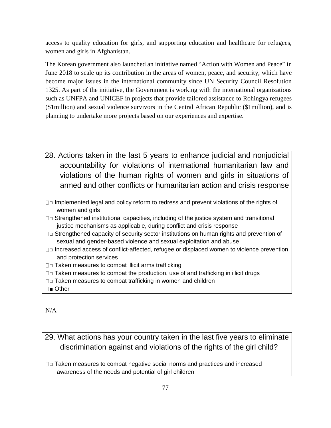access to quality education for girls, and supporting education and healthcare for refugees, women and girls in Afghanistan.

The Korean government also launched an initiative named "Action with Women and Peace" in June 2018 to scale up its contribution in the areas of women, peace, and security, which have become major issues in the international community since UN Security Council Resolution 1325. As part of the initiative, the Government is working with the international organizations such as UNFPA and UNICEF in projects that provide tailored assistance to Rohingya refugees (\$1million) and sexual violence survivors in the Central African Republic (\$1million), and is planning to undertake more projects based on our experiences and expertise.

- 28. Actions taken in the last 5 years to enhance judicial and nonjudicial accountability for violations of international humanitarian law and violations of the human rights of women and girls in situations of armed and other conflicts or humanitarian action and crisis response
- □□ Implemented legal and policy reform to redress and prevent violations of the rights of women and girls
- $\square$  $\square$  Strengthened institutional capacities, including of the justice system and transitional justice mechanisms as applicable, during conflict and crisis response
- □□ Strengthened capacity of security sector institutions on human rights and prevention of sexual and gender-based violence and sexual exploitation and abuse
- □□ Increased access of conflict-affected, refugee or displaced women to violence prevention and protection services
- $\square$  $\square$  Taken measures to combat illicit arms trafficking
- $\square$  $\square$  Taken measures to combat the production, use of and trafficking in illicit drugs
- $\Box$  $\Box$  Taken measures to combat trafficking in women and children
- □■ Other

N/A

# 29. What actions has your country taken in the last five years to eliminate discrimination against and violations of the rights of the girl child?

 $\Box$  $\Box$  Taken measures to combat negative social norms and practices and increased awareness of the needs and potential of girl children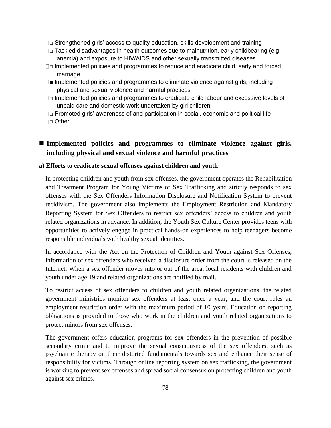- $\Box$  $\Box$  Strengthened girls' access to quality education, skills development and training
- $\square$  $\square$  Tackled disadvantages in health outcomes due to malnutrition, early childbearing (e.g. anemia) and exposure to HIV/AIDS and other sexually transmitted diseases
- □□ Implemented policies and programmes to reduce and eradicate child, early and forced marriage
- $\square$  Implemented policies and programmes to eliminate violence against girls, including physical and sexual violence and harmful practices
- □□ Implemented policies and programmes to eradicate child labour and excessive levels of unpaid care and domestic work undertaken by girl children

□□ Promoted girls' awareness of and participation in social, economic and political life □□ Other

## ■ Implemented policies and programmes to eliminate violence against girls, **including physical and sexual violence and harmful practices**

#### **a) Efforts to eradicate sexual offenses against children and youth**

In protecting children and youth from sex offenses, the government operates the Rehabilitation and Treatment Program for Young Victims of Sex Trafficking and strictly responds to sex offenses with the Sex Offenders Information Disclosure and Notification System to prevent recidivism. The government also implements the Employment Restriction and Mandatory Reporting System for Sex Offenders to restrict sex offenders' access to children and youth related organizations in advance. In addition, the Youth Sex Culture Center provides teens with opportunities to actively engage in practical hands-on experiences to help teenagers become responsible individuals with healthy sexual identities.

In accordance with the Act on the Protection of Children and Youth against Sex Offenses, information of sex offenders who received a disclosure order from the court is released on the Internet. When a sex offender moves into or out of the area, local residents with children and youth under age 19 and related organizations are notified by mail.

To restrict access of sex offenders to children and youth related organizations, the related government ministries monitor sex offenders at least once a year, and the court rules an employment restriction order with the maximum period of 10 years. Education on reporting obligations is provided to those who work in the children and youth related organizations to protect minors from sex offenses.

The government offers education programs for sex offenders in the prevention of possible secondary crime and to improve the sexual consciousness of the sex offenders, such as psychiatric therapy on their distorted fundamentals towards sex and enhance their sense of responsibility for victims. Through online reporting system on sex trafficking, the government is working to prevent sex offenses and spread social consensus on protecting children and youth against sex crimes.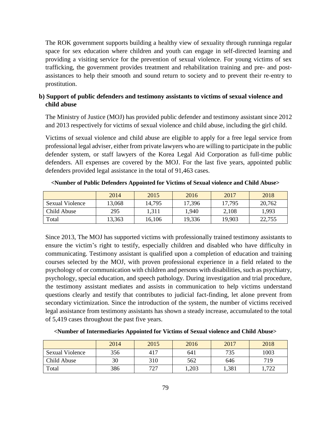The ROK government supports building a healthy view of sexuality through runninga regular space for sex education where children and youth can engage in self-directed learning and providing a visiting service for the prevention of sexual violence. For young victims of sex trafficking, the government provides treatment and rehabilitation training and pre- and postassistances to help their smooth and sound return to society and to prevent their re-entry to prostitution.

#### **b) Support of public defenders and testimony assistants to victims of sexual violence and child abuse**

The Ministry of Justice (MOJ) has provided public defender and testimony assistant since 2012 and 2013 respectively for victims of sexual violence and child abuse, including the girl child.

Victims of sexual violence and child abuse are eligible to apply for a free legal service from professional legal adviser, either from private lawyers who are willing to participate in the public defender system, or staff lawyers of the Korea Legal Aid Corporation as full-time public defenders. All expenses are covered by the MOJ. For the last five years, appointed public defenders provided legal assistance in the total of 91,463 cases.

|                        | 2014   | 2015   | 2016   | 2017   | 2018   |
|------------------------|--------|--------|--------|--------|--------|
| <b>Sexual Violence</b> | 13,068 | 14,795 | 17,396 | 17,795 | 20,762 |
| Child Abuse            | 295    | 1.311  | 1.940  | 2,108  | 1.993  |
| Total                  | 13,363 | 16,106 | 19,336 | 19,903 | 22,755 |

**<Number of Public Defenders Appointed for Victims of Sexual violence and Child Abuse>**

Since 2013, The MOJ has supported victims with professionally trained testimony assistants to ensure the victim's right to testify, especially children and disabled who have difficulty in communicating. Testimony assistant is qualified upon a completion of education and training courses selected by the MOJ, with proven professional experience in a field related to the psychology of or communication with children and persons with disabilities, such as psychiatry, psychology, special education, and speech pathology. During investigation and trial procedure, the testimony assistant mediates and assists in communication to help victims understand questions clearly and testify that contributes to judicial fact-finding, let alone prevent from secondary victimization. Since the introduction of the system, the number of victims received legal assistance from testimony assistants has shown a steady increase, accumulated to the total of 5,419 cases throughout the past five years.

**<Number of Intermediaries Appointed for Victims of Sexual violence and Child Abuse>**

|                        | 2014 | 2015 | 2016  | 2017  | 2018  |
|------------------------|------|------|-------|-------|-------|
| <b>Sexual Violence</b> | 356  | 417  | 641   | 735   | 1003  |
| Child Abuse            | 30   | 310  | 562   | 646   | 719   |
| Total                  | 386  | 727  | 1,203 | 1,381 | 1,722 |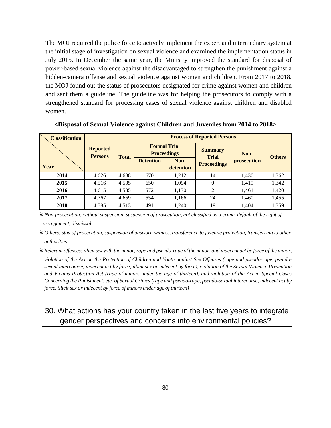The MOJ required the police force to actively implement the expert and intermediary system at the initial stage of investigation on sexual violence and examined the implementation status in July 2015. In December the same year, the Ministry improved the standard for disposal of power-based sexual violence against the disadvantaged to strengthen the punishment against a hidden-camera offense and sexual violence against women and children. From 2017 to 2018, the MOJ found out the status of prosecutors designated for crime against women and children and sent them a guideline. The guideline was for helping the prosecutors to comply with a strengthened standard for processing cases of sexual violence against children and disabled women.

| <b>Classification</b> |                                   | <b>Process of Reported Persons</b> |                  |                                           |                                |                    |               |  |
|-----------------------|-----------------------------------|------------------------------------|------------------|-------------------------------------------|--------------------------------|--------------------|---------------|--|
|                       | <b>Reported</b><br><b>Persons</b> | <b>Total</b>                       |                  | <b>Formal Trial</b><br><b>Proceedings</b> | <b>Summary</b><br><b>Trial</b> | Non-               | <b>Others</b> |  |
|                       |                                   |                                    | <b>Detention</b> | Non-                                      | <b>Proceedings</b>             | <i>prosecution</i> |               |  |
| Year                  |                                   |                                    |                  | detention                                 |                                |                    |               |  |
| 2014                  | 4,626                             | 4,688                              | 670              | 1,212                                     | 14                             | 1,430              | 1,362         |  |
| 2015                  | 4,516                             | 4,505                              | 650              | 1,094                                     |                                | 1,419              | 1,342         |  |
| 2016                  | 4,615                             | 4,585                              | 572              | 1,130                                     | $\mathfrak{D}$                 | 1,461              | 1,420         |  |
| 2017                  | 4,767                             | 4,659                              | 554              | 1,166                                     | 24                             | 1,460              | 1,455         |  |
| 2018                  | 4,585                             | 4,513                              | 491              | 1,240                                     | 19                             | 1,404              | 1,359         |  |

**<Disposal of Sexual Violence against Children and Juveniles from 2014 to 2018>**

※ *Non-prosecution: without suspension, suspension of prosecution, not classified as a crime, default of the right of* 

*arraignment, dismissal*

※ *Others: stay of prosecution, suspension of unsworn witness, transference to juvenile protection, transferring to other authorities* 

※ *Relevant offenses: illicit sex with the minor, rape and pseudo-rape of the minor, and indecent act by force of the minor, violation of the Act on the Protection of Children and Youth against Sex Offenses (rape and pseudo-rape, pseudosexual intercourse, indecent act by force, illicit sex or indecent by force), violation of the Sexual Violence Prevention and Victims Protection Act (rape of minors under the age of thirteen), and violation of the Act in Special Cases Concerning the Punishment, etc. of Sexual Crimes (rape and pseudo-rape, pseudo-sexual intercourse, indecent act by force, illicit sex or indecent by force of minors under age of thirteen)* 

# 30. What actions has your country taken in the last five years to integrate gender perspectives and concerns into environmental policies?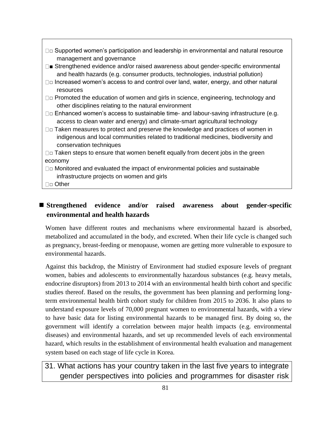- $\square$  $\square$  Supported women's participation and leadership in environmental and natural resource management and governance
- □■ Strengthened evidence and/or raised awareness about gender-specific environmental and health hazards (e.g. consumer products, technologies, industrial pollution)
- □□ Increased women's access to and control over land, water, energy, and other natural resources
- □□ Promoted the education of women and girls in science, engineering, technology and other disciplines relating to the natural environment
- $\Box$  Enhanced women's access to sustainable time- and labour-saving infrastructure (e.g. access to clean water and energy) and climate-smart agricultural technology
- $\Box$  $\Box$  Taken measures to protect and preserve the knowledge and practices of women in indigenous and local communities related to traditional medicines, biodiversity and conservation techniques

 $\square$  $\square$  Taken steps to ensure that women benefit equally from decent jobs in the green economy

 $\square$  $\square$  Monitored and evaluated the impact of environmental policies and sustainable infrastructure projects on women and girls

□□ Other

# ■ Strengthened evidence and/or raised awareness about gender-specific **environmental and health hazards**

Women have different routes and mechanisms where environmental hazard is absorbed, metabolized and accumulated in the body, and excreted. When their life cycle is changed such as pregnancy, breast-feeding or menopause, women are getting more vulnerable to exposure to environmental hazards.

Against this backdrop, the Ministry of Environment had studied exposure levels of pregnant women, babies and adolescents to environmentally hazardous substances (e.g. heavy metals, endocrine disruptors) from 2013 to 2014 with an environmental health birth cohort and specific studies thereof. Based on the results, the government has been planning and performing longterm environmental health birth cohort study for children from 2015 to 2036. It also plans to understand exposure levels of 70,000 pregnant women to environmental hazards, with a view to have basic data for listing environmental hazards to be managed first. By doing so, the government will identify a correlation between major health impacts (e.g. environmental diseases) and environmental hazards, and set up recommended levels of each environmental hazard, which results in the establishment of environmental health evaluation and management system based on each stage of life cycle in Korea.

31. What actions has your country taken in the last five years to integrate gender perspectives into policies and programmes for disaster risk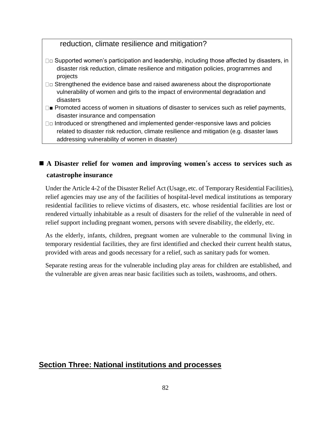## reduction, climate resilience and mitigation?

- $\square$  $\square$  Supported women's participation and leadership, including those affected by disasters, in disaster risk reduction, climate resilience and mitigation policies, programmes and projects
- $\square$  $\square$  Strengthened the evidence base and raised awareness about the disproportionate vulnerability of women and girls to the impact of environmental degradation and disasters
- $\square$  Promoted access of women in situations of disaster to services such as relief payments, disaster insurance and compensation
- $\square$  Introduced or strengthened and implemented gender-responsive laws and policies related to disaster risk reduction, climate resilience and mitigation (e.g. disaster laws addressing vulnerability of women in disaster)

# ■ A Disaster relief for women and improving women's access to services such as **catastrophe insurance**

Under the Article 4-2 of the Disaster Relief Act (Usage, etc. of Temporary Residential Facilities), relief agencies may use any of the facilities of hospital-level medical institutions as temporary residential facilities to relieve victims of disasters, etc. whose residential facilities are lost or rendered virtually inhabitable as a result of disasters for the relief of the vulnerable in need of relief support including pregnant women, persons with severe disability, the elderly, etc.

As the elderly, infants, children, pregnant women are vulnerable to the communal living in temporary residential facilities, they are first identified and checked their current health status, provided with areas and goods necessary for a relief, such as sanitary pads for women.

Separate resting areas for the vulnerable including play areas for children are established, and the vulnerable are given areas near basic facilities such as toilets, washrooms, and others.

## **Section Three: National institutions and processes**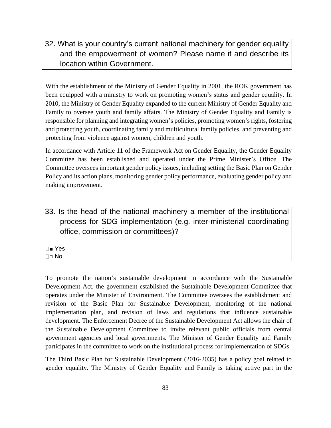# 32. What is your country's current national machinery for gender equality and the empowerment of women? Please name it and describe its location within Government.

With the establishment of the Ministry of Gender Equality in 2001, the ROK government has been equipped with a ministry to work on promoting women's status and gender equality. In 2010, the Ministry of Gender Equality expanded to the current Ministry of Gender Equality and Family to oversee youth and family affairs. The Ministry of Gender Equality and Family is responsible for planning and integrating women's policies, promoting women's rights, fostering and protecting youth, coordinating family and multicultural family policies, and preventing and protecting from violence against women, children and youth.

In accordance with Article 11 of the Framework Act on Gender Equality, the Gender Equality Committee has been established and operated under the Prime Minister's Office. The Committee oversees important gender policy issues, including setting the Basic Plan on Gender Policy and its action plans, monitoring gender policy performance, evaluating gender policy and making improvement.

33. Is the head of the national machinery a member of the institutional process for SDG implementation (e.g. inter-ministerial coordinating office, commission or committees)?

■ Yes  $\square$   $\square$  No

To promote the nation's sustainable development in accordance with the Sustainable Development Act, the government established the Sustainable Development Committee that operates under the Minister of Environment. The Committee oversees the establishment and revision of the Basic Plan for Sustainable Development, monitoring of the national implementation plan, and revision of laws and regulations that influence sustainable development. The Enforcement Decree of the Sustainable Development Act allows the chair of the Sustainable Development Committee to invite relevant public officials from central government agencies and local governments. The Minister of Gender Equality and Family participates in the committee to work on the institutional process for implementation of SDGs.

The Third Basic Plan for Sustainable Development (2016-2035) has a policy goal related to gender equality. The Ministry of Gender Equality and Family is taking active part in the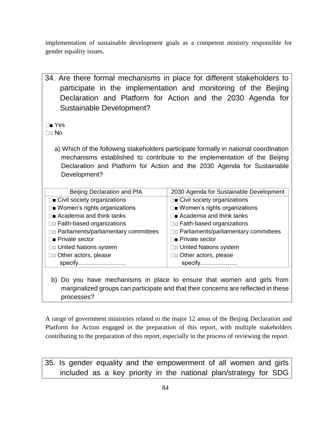implementation of sustainable development goals as a competent ministry responsible for gender equality issues.

- 34. Are there formal mechanisms in place for different stakeholders to participate in the implementation and monitoring of the Beijing Declaration and Platform for Action and the 2030 Agenda for Sustainable Development? ■ Yes  $\Box \Box$  No a) Which of the following stakeholders participate formally in national coordination mechanisms established to contribute to the implementation of the Beijing Declaration and Platform for Action and the 2030 Agenda for Sustainable Development? Beijing Declaration and PfA 2030 Agenda for Sustainable Development  $\square$  Civil society organizations □■ Women's rights organizations  $\square$  Academia and think tanks □□ Faith-based organizations □□ Parliaments/parliamentary committees ■ Private sector □□ United Nations system □□ Other actors, please specify…………………… □■ Civil society organizations □■ Women's rights organizations  $\Box$ **Academia and think tanks** □□ Faith-based organizations □□ Parliaments/parliamentary committees ■ Private sector □□ United Nations system □□ Other actors, please specify….……………
	- b) Do you have mechanisms in place to ensure that women and girls from marginalized groups can participate and that their concerns are reflected in these processes?

A range of government ministries related to the major 12 areas of the Beijing Declaration and Platform for Action engaged in the preparation of this report, with multiple stakeholders contributing to the preparation of this report, especially in the process of reviewing the report.

35. Is gender equality and the empowerment of all women and girls included as a key priority in the national plan/strategy for SDG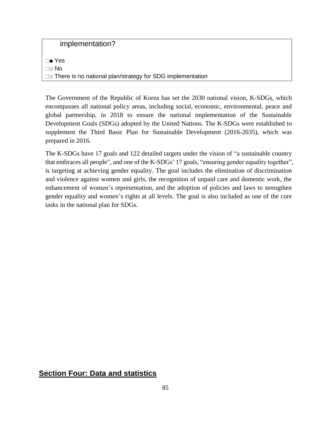implementation?

■ Yes □□ No □□ There is no national plan/strategy for SDG implementation

The Government of the Republic of Korea has set the 2030 national vision, K-SDGs, which encompasses all national policy areas, including social, economic, environmental, peace and global partnership, in 2018 to ensure the national implementation of the Sustainable Development Goals (SDGs) adopted by the United Nations. The K-SDGs were established to supplement the Third Basic Plan for Sustainable Development (2016-2035), which was prepared in 2016.

The K-SDGs have 17 goals and 122 detailed targets under the vision of "a sustainable country that embraces all people", and one of the K-SDGs' 17 goals, "ensuring gender equality together", is targeting at achieving gender equality. The goal includes the elimination of discrimination and violence against women and girls, the recognition of unpaid care and domestic work, the enhancement of women's representation, and the adoption of policies and laws to strengthen gender equality and women's rights at all levels. The goal is also included as one of the core tasks in the national plan for SDGs.

## **Section Four: Data and statistics**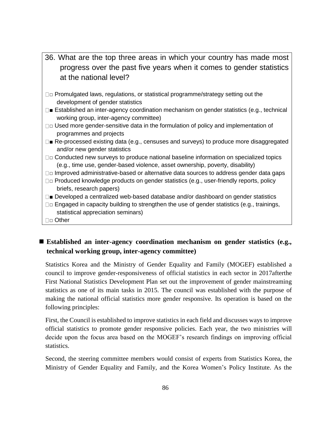| 36. What are the top three areas in which your country has made most<br>progress over the past five years when it comes to gender statistics |
|----------------------------------------------------------------------------------------------------------------------------------------------|
| at the national level?                                                                                                                       |
| $\Box$ Promulgated laws, regulations, or statistical programme/strategy setting out the<br>development of gender statistics                  |
| □■ Established an inter-agency coordination mechanism on gender statistics (e.g., technical<br>working group, inter-agency committee)        |
| □□ Used more gender-sensitive data in the formulation of policy and implementation of                                                        |

- programmes and projects
- $\square$  Re-processed existing data (e.g., censuses and surveys) to produce more disaggregated and/or new gender statistics
- □□ Conducted new surveys to produce national baseline information on specialized topics (e.g., time use, gender-based violence, asset ownership, poverty, disability)
- $\square$  Improved administrative-based or alternative data sources to address gender data gaps
- $\square$  Produced knowledge products on gender statistics (e.g., user-friendly reports, policy briefs, research papers)
- $\square$  Developed a centralized web-based database and/or dashboard on gender statistics
- $\square$  Engaged in capacity building to strengthen the use of gender statistics (e.g., trainings, statistical appreciation seminars)
- □□ Other

# ■ Established an inter-agency coordination mechanism on gender statistics (e.g., **technical working group, inter-agency committee)**

Statistics Korea and the Ministry of Gender Equality and Family (MOGEF) established a council to improve gender-responsiveness of official statistics in each sector in 2017afterthe First National Statistics Development Plan set out the improvement of gender mainstreaming statistics as one of its main tasks in 2015. The council was established with the purpose of making the national official statistics more gender responsive. Its operation is based on the following principles:

First, the Council is established to improve statistics in each field and discusses ways to improve official statistics to promote gender responsive policies. Each year, the two ministries will decide upon the focus area based on the MOGEF's research findings on improving official statistics.

Second, the steering committee members would consist of experts from Statistics Korea, the Ministry of Gender Equality and Family, and the Korea Women's Policy Institute. As the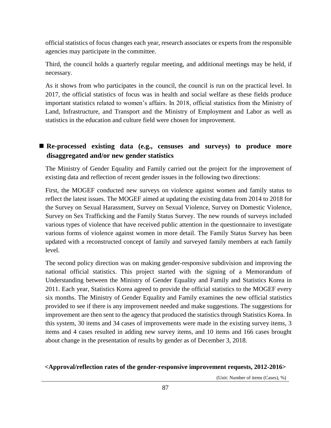official statistics of focus changes each year, research associates or experts from the responsible agencies may participate in the committee.

Third, the council holds a quarterly regular meeting, and additional meetings may be held, if necessary.

As it shows from who participates in the council, the council is run on the practical level. In 2017, the official statistics of focus was in health and social welfare as these fields produce important statistics related to women's affairs. In 2018, official statistics from the Ministry of Land, Infrastructure, and Transport and the Ministry of Employment and Labor as well as statistics in the education and culture field were chosen for improvement.

# ■ Re-processed existing data (e.g., censuses and surveys) to produce more **disaggregated and/or new gender statistics**

The Ministry of Gender Equality and Family carried out the project for the improvement of existing data and reflection of recent gender issues in the following two directions:

First, the MOGEF conducted new surveys on violence against women and family status to reflect the latest issues. The MOGEF aimed at updating the existing data from 2014 to 2018 for the Survey on Sexual Harassment, Survey on Sexual Violence, Survey on Domestic Violence, Survey on Sex Trafficking and the Family Status Survey. The new rounds of surveys included various types of violence that have received public attention in the questionnaire to investigate various forms of violence against women in more detail. The Family Status Survey has been updated with a reconstructed concept of family and surveyed family members at each family level.

The second policy direction was on making gender-responsive subdivision and improving the national official statistics. This project started with the signing of a Memorandum of Understanding between the Ministry of Gender Equality and Family and Statistics Korea in 2011. Each year, Statistics Korea agreed to provide the official statistics to the MOGEF every six months. The Ministry of Gender Equality and Family examines the new official statistics provided to see if there is any improvement needed and make suggestions. The suggestions for improvement are then sent to the agency that produced the statistics through Statistics Korea. In this system, 30 items and 34 cases of improvements were made in the existing survey items, 3 items and 4 cases resulted in adding new survey items, and 10 items and 166 cases brought about change in the presentation of results by gender as of December 3, 2018.

#### **<Approval/reflection rates of the gender-responsive improvement requests, 2012-2016>**

(Unit: Number of items (Cases), %)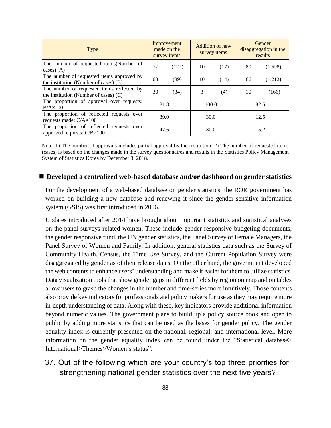| <b>Type</b>                                                                           | Improvement<br>made on the<br>survey items |       | Addition of new<br>survey items |      | Gender<br>disaggregation in the<br>results |         |
|---------------------------------------------------------------------------------------|--------------------------------------------|-------|---------------------------------|------|--------------------------------------------|---------|
| The number of requested items(Number of<br>cases) $(A)$                               | 77                                         | (122) | 10                              | (17) | 80                                         | (1,598) |
| The number of requested items approved by<br>the institution (Number of cases) (B)    | 63                                         | (89)  | 10                              | (14) | 66                                         | (1,212) |
| The number of requested items reflected by<br>the institution (Number of cases) $(C)$ | 30                                         | (34)  | 3                               | (4)  | 10                                         | (166)   |
| The proportion of approval over requests:<br>$B/A \times 100$                         | 81.8                                       |       | 100.0                           |      |                                            | 82.5    |
| The proportion of reflected requests over<br>requests made: $C/A \times 100$          | 39.0                                       |       | 30.0                            |      | 12.5                                       |         |
| The proportion of reflected requests over<br>approved requests: $C/B \times 100$      | 47.6                                       |       | 30.0                            |      | 15.2                                       |         |

Note: 1) The number of approvals includes partial approval by the institution; 2) The number of requested items (cases) is based on the changes made in the survey questionnaires and results in the Statistics Policy Management System of Statistics Korea by December 3, 2018.

#### ■ Developed a centralized web-based database and/or dashboard on gender statistics

For the development of a web-based database on gender statistics, the ROK government has worked on building a new database and renewing it since the gender-sensitive information system (GSIS) was first introduced in 2006.

Updates introduced after 2014 have brought about important statistics and statistical analyses on the panel surveys related women. These include gender-responsive budgeting documents, the gender responsive fund, the UN gender statistics, the Panel Survey of Female Managers, the Panel Survey of Women and Family. In addition, general statistics data such as the Survey of Community Health, Census, the Time Use Survey, and the Current Population Survey were disaggregated by gender as of their release dates. On the other hand, the government developed the web contents to enhance users' understanding and make it easier for them to utilize statistics. Data visualization tools that show gender gaps in different fields by region on map and on tables allow users to grasp the changes in the number and time-series more intuitively. Those contents also provide key indicators for professionals and policy makers for use as they may require more in-depth understanding of data. Along with these, key indicators provide additional information beyond numeric values. The government plans to build up a policy source book and open to public by adding more statistics that can be used as the bases for gender policy. The gender equality index is currently presented on the national, regional, and international level. More information on the gender equality index can be found under the "Statistical database> International>Themes>Women's status".

# 37. Out of the following which are your country's top three priorities for strengthening national gender statistics over the next five years?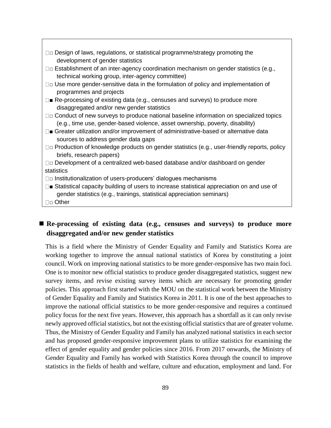| $\Box$ Design of laws, regulations, or statistical programme/strategy promoting the<br>development of gender statistics                                                       |
|-------------------------------------------------------------------------------------------------------------------------------------------------------------------------------|
| □□ Establishment of an inter-agency coordination mechanism on gender statistics (e.g.,                                                                                        |
| technical working group, inter-agency committee)                                                                                                                              |
| □□ Use more gender-sensitive data in the formulation of policy and implementation of<br>programmes and projects                                                               |
| $\square$ Re-processing of existing data (e.g., censuses and surveys) to produce more<br>disaggregated and/or new gender statistics                                           |
| $\Box$ Conduct of new surveys to produce national baseline information on specialized topics<br>(e.g., time use, gender-based violence, asset ownership, poverty, disability) |
| $\square$ Greater utilization and/or improvement of administrative-based or alternative data<br>sources to address gender data gaps                                           |
| $\Box\Box$ Production of knowledge products on gender statistics (e.g., user-friendly reports, policy<br>briefs, research papers)                                             |
| □□ Development of a centralized web-based database and/or dashboard on gender                                                                                                 |
| statistics                                                                                                                                                                    |
| □□ Institutionalization of users-producers' dialogues mechanisms                                                                                                              |
| □■ Statistical capacity building of users to increase statistical appreciation on and use of<br>gender statistics (e.g., trainings, statistical appreciation seminars)        |
| $\Box$ Other                                                                                                                                                                  |

### ■ Re-processing of existing data (e.g., censuses and surveys) to produce more **disaggregated and/or new gender statistics**

This is a field where the Ministry of Gender Equality and Family and Statistics Korea are working together to improve the annual national statistics of Korea by constituting a joint council. Work on improving national statistics to be more gender-responsive has two main foci. One is to monitor new official statistics to produce gender disaggregated statistics, suggest new survey items, and revise existing survey items which are necessary for promoting gender policies. This approach first started with the MOU on the statistical work between the Ministry of Gender Equality and Family and Statistics Korea in 2011. It is one of the best approaches to improve the national official statistics to be more gender-responsive and requires a continued policy focus for the next five years. However, this approach has a shortfall as it can only revise newly approved official statistics, but not the existing official statistics that are of greater volume. Thus, the Ministry of Gender Equality and Family has analyzed national statistics in each sector and has proposed gender-responsive improvement plans to utilize statistics for examining the effect of gender equality and gender policies since 2016. From 2017 onwards, the Ministry of Gender Equality and Family has worked with Statistics Korea through the council to improve statistics in the fields of health and welfare, culture and education, employment and land. For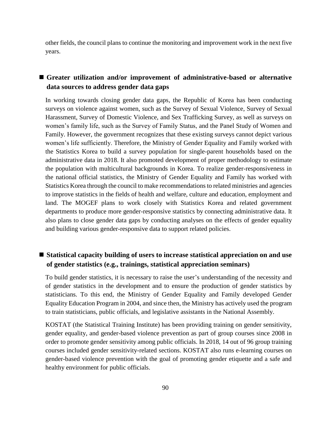other fields, the council plans to continue the monitoring and improvement work in the next five years.

## ■ Greater utilization and/or improvement of administrative-based or alternative **data sources to address gender data gaps**

In working towards closing gender data gaps, the Republic of Korea has been conducting surveys on violence against women, such as the Survey of Sexual Violence, Survey of Sexual Harassment, Survey of Domestic Violence, and Sex Trafficking Survey, as well as surveys on women's family life, such as the Survey of Family Status, and the Panel Study of Women and Family. However, the government recognizes that these existing surveys cannot depict various women's life sufficiently. Therefore, the Ministry of Gender Equality and Family worked with the Statistics Korea to build a survey population for single-parent households based on the administrative data in 2018. It also promoted development of proper methodology to estimate the population with multicultural backgrounds in Korea. To realize gender-responsiveness in the national official statistics, the Ministry of Gender Equality and Family has worked with Statistics Korea through the council to make recommendations to related ministries and agencies to improve statistics in the fields of health and welfare, culture and education, employment and land. The MOGEF plans to work closely with Statistics Korea and related government departments to produce more gender-responsive statistics by connecting administrative data. It also plans to close gender data gaps by conducting analyses on the effects of gender equality and building various gender-responsive data to support related policies.

## ■ Statistical capacity building of users to increase statistical appreciation on and use **of gender statistics (e.g., trainings, statistical appreciation seminars)**

To build gender statistics, it is necessary to raise the user's understanding of the necessity and of gender statistics in the development and to ensure the production of gender statistics by statisticians. To this end, the Ministry of Gender Equality and Family developed Gender Equality Education Program in 2004, and since then, the Ministry has actively used the program to train statisticians, public officials, and legislative assistants in the National Assembly.

KOSTAT (the Statistical Training Institute) has been providing training on gender sensitivity, gender equality, and gender-based violence prevention as part of group courses since 2008 in order to promote gender sensitivity among public officials. In 2018, 14 out of 96 group training courses included gender sensitivity-related sections. KOSTAT also runs e-learning courses on gender-based violence prevention with the goal of promoting gender etiquette and a safe and healthy environment for public officials.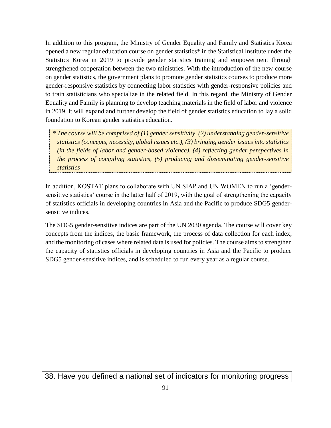In addition to this program, the Ministry of Gender Equality and Family and Statistics Korea opened a new regular education course on gender statistics\* in the Statistical Institute under the Statistics Korea in 2019 to provide gender statistics training and empowerment through strengthened cooperation between the two ministries. With the introduction of the new course on gender statistics, the government plans to promote gender statistics courses to produce more gender-responsive statistics by connecting labor statistics with gender-responsive policies and to train statisticians who specialize in the related field. In this regard, the Ministry of Gender Equality and Family is planning to develop teaching materials in the field of labor and violence in 2019. It will expand and further develop the field of gender statistics education to lay a solid foundation to Korean gender statistics education.

*\* The course will be comprised of (1) gender sensitivity, (2) understanding gender-sensitive statistics (concepts, necessity, global issues etc.), (3) bringing gender issues into statistics (in the fields of labor and gender-based violence), (4) reflecting gender perspectives in the process of compiling statistics, (5) producing and disseminating gender-sensitive statistics*

In addition, KOSTAT plans to collaborate with UN SIAP and UN WOMEN to run a 'gendersensitive statistics' course in the latter half of 2019, with the goal of strengthening the capacity of statistics officials in developing countries in Asia and the Pacific to produce SDG5 gendersensitive indices.

The SDG5 gender-sensitive indices are part of the UN 2030 agenda. The course will cover key concepts from the indices, the basic framework, the process of data collection for each index, and the monitoring of cases where related data is used for policies. The course aims to strengthen the capacity of statistics officials in developing countries in Asia and the Pacific to produce SDG5 gender-sensitive indices, and is scheduled to run every year as a regular course.

38. Have you defined a national set of indicators for monitoring progress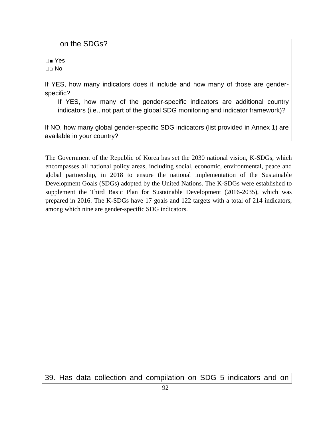on the SDGs?

■ Yes □□ No

If YES, how many indicators does it include and how many of those are genderspecific?

If YES, how many of the gender-specific indicators are additional country indicators (i.e., not part of the global SDG monitoring and indicator framework)?

If NO, how many global gender-specific SDG indicators (list provided in Annex 1) are available in your country?

The Government of the Republic of Korea has set the 2030 national vision, K-SDGs, which encompasses all national policy areas, including social, economic, environmental, peace and global partnership, in 2018 to ensure the national implementation of the Sustainable Development Goals (SDGs) adopted by the United Nations. The K-SDGs were established to supplement the Third Basic Plan for Sustainable Development (2016-2035), which was prepared in 2016. The K-SDGs have 17 goals and 122 targets with a total of 214 indicators, among which nine are gender-specific SDG indicators.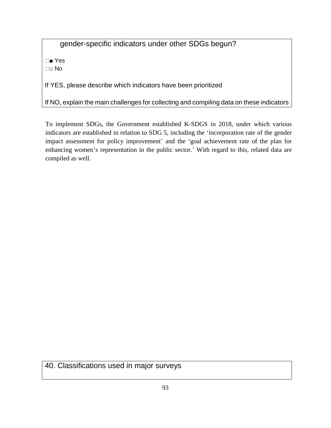gender-specific indicators under other SDGs begun?

■ Yes □□ No

If YES, please describe which indicators have been prioritized

If NO, explain the main challenges for collecting and compiling data on these indicators

To implement SDGs, the Government established K-SDGS in 2018, under which various indicators are established in relation to SDG 5, including the 'incorporation rate of the gender impact assessment for policy improvement' and the 'goal achievement rate of the plan for enhancing women's representation in the public sector.' With regard to this, related data are compiled as well.

40. Classifications used in major surveys